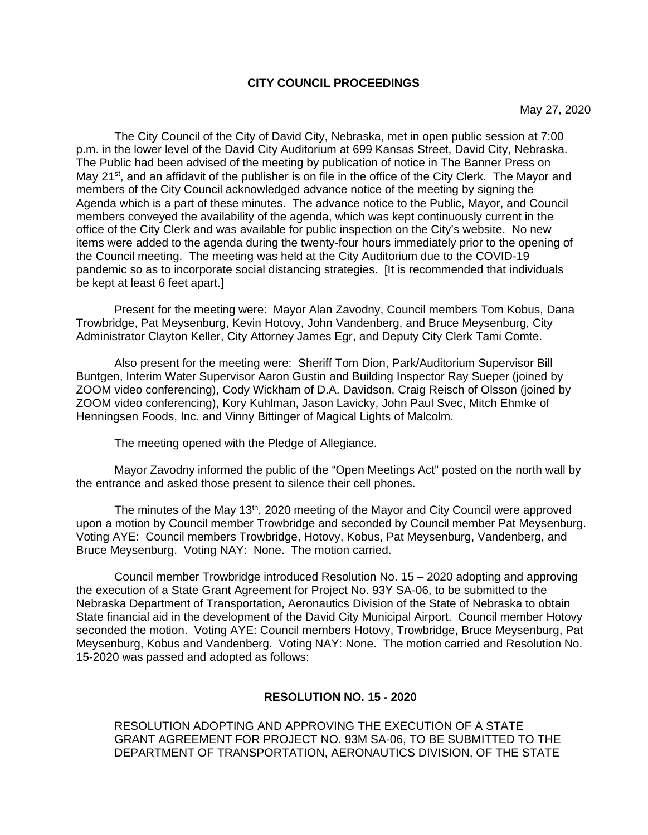#### **CITY COUNCIL PROCEEDINGS**

The City Council of the City of David City, Nebraska, met in open public session at 7:00 p.m. in the lower level of the David City Auditorium at 699 Kansas Street, David City, Nebraska. The Public had been advised of the meeting by publication of notice in The Banner Press on May 21<sup>st</sup>, and an affidavit of the publisher is on file in the office of the City Clerk. The Mayor and members of the City Council acknowledged advance notice of the meeting by signing the Agenda which is a part of these minutes. The advance notice to the Public, Mayor, and Council members conveyed the availability of the agenda, which was kept continuously current in the office of the City Clerk and was available for public inspection on the City's website. No new items were added to the agenda during the twenty-four hours immediately prior to the opening of the Council meeting. The meeting was held at the City Auditorium due to the COVID-19 pandemic so as to incorporate social distancing strategies. [It is recommended that individuals be kept at least 6 feet apart.]

Present for the meeting were: Mayor Alan Zavodny, Council members Tom Kobus, Dana Trowbridge, Pat Meysenburg, Kevin Hotovy, John Vandenberg, and Bruce Meysenburg, City Administrator Clayton Keller, City Attorney James Egr, and Deputy City Clerk Tami Comte.

Also present for the meeting were: Sheriff Tom Dion, Park/Auditorium Supervisor Bill Buntgen, Interim Water Supervisor Aaron Gustin and Building Inspector Ray Sueper (joined by ZOOM video conferencing), Cody Wickham of D.A. Davidson, Craig Reisch of Olsson (joined by ZOOM video conferencing), Kory Kuhlman, Jason Lavicky, John Paul Svec, Mitch Ehmke of Henningsen Foods, Inc. and Vinny Bittinger of Magical Lights of Malcolm.

The meeting opened with the Pledge of Allegiance.

Mayor Zavodny informed the public of the "Open Meetings Act" posted on the north wall by the entrance and asked those present to silence their cell phones.

The minutes of the May  $13<sup>th</sup>$ , 2020 meeting of the Mayor and City Council were approved upon a motion by Council member Trowbridge and seconded by Council member Pat Meysenburg. Voting AYE: Council members Trowbridge, Hotovy, Kobus, Pat Meysenburg, Vandenberg, and Bruce Meysenburg. Voting NAY: None. The motion carried.

Council member Trowbridge introduced Resolution No. 15 – 2020 adopting and approving the execution of a State Grant Agreement for Project No. 93Y SA-06, to be submitted to the Nebraska Department of Transportation, Aeronautics Division of the State of Nebraska to obtain State financial aid in the development of the David City Municipal Airport. Council member Hotovy seconded the motion. Voting AYE: Council members Hotovy, Trowbridge, Bruce Meysenburg, Pat Meysenburg, Kobus and Vandenberg. Voting NAY: None. The motion carried and Resolution No. 15-2020 was passed and adopted as follows:

#### **RESOLUTION NO. 15 - 2020**

RESOLUTION ADOPTING AND APPROVING THE EXECUTION OF A STATE GRANT AGREEMENT FOR PROJECT NO. 93M SA-06, TO BE SUBMITTED TO THE DEPARTMENT OF TRANSPORTATION, AERONAUTICS DIVISION, OF THE STATE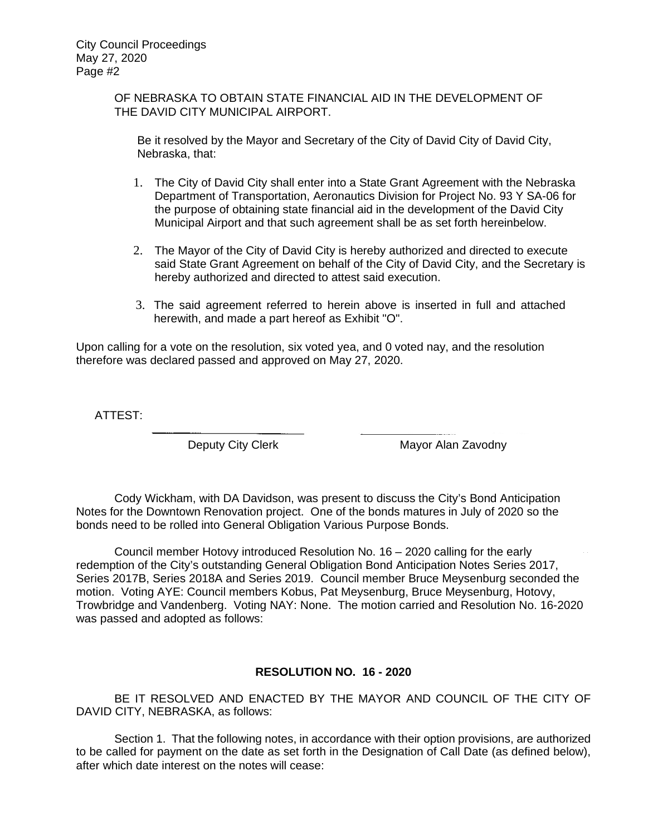OF NEBRASKA TO OBTAIN STATE FINANCIAL AID IN THE DEVELOPMENT OF THE DAVID CITY MUNICIPAL AIRPORT.

Be it resolved by the Mayor and Secretary of the City of David City of David City, Nebraska, that:

- 1. The City of David City shall enter into a State Grant Agreement with the Nebraska Department of Transportation, Aeronautics Division for Project No. 93 Y SA-06 for the purpose of obtaining state financial aid in the development of the David City Municipal Airport and that such agreement shall be as set forth hereinbelow.
- 2. The Mayor of the City of David City is hereby authorized and directed to execute said State Grant Agreement on behalf of the City of David City, and the Secretary is hereby authorized and directed to attest said execution.
- 3. The said agreement referred to herein above is inserted in full and attached herewith, and made a part hereof as Exhibit "O".

Upon calling for a vote on the resolution, six voted yea, and 0 voted nay, and the resolution therefore was declared passed and approved on May 27, 2020.

ATTEST:

Deputy City Clerk Mayor Alan Zavodny

Cody Wickham, with DA Davidson, was present to discuss the City's Bond Anticipation Notes for the Downtown Renovation project. One of the bonds matures in July of 2020 so the bonds need to be rolled into General Obligation Various Purpose Bonds.

Council member Hotovy introduced Resolution No. 16 – 2020 calling for the early redemption of the City's outstanding General Obligation Bond Anticipation Notes Series 2017, Series 2017B, Series 2018A and Series 2019. Council member Bruce Meysenburg seconded the motion. Voting AYE: Council members Kobus, Pat Meysenburg, Bruce Meysenburg, Hotovy, Trowbridge and Vandenberg. Voting NAY: None. The motion carried and Resolution No. 16-2020 was passed and adopted as follows:

## **RESOLUTION NO. 16 - 2020**

BE IT RESOLVED AND ENACTED BY THE MAYOR AND COUNCIL OF THE CITY OF DAVID CITY, NEBRASKA, as follows:

Section 1. That the following notes, in accordance with their option provisions, are authorized to be called for payment on the date as set forth in the Designation of Call Date (as defined below), after which date interest on the notes will cease: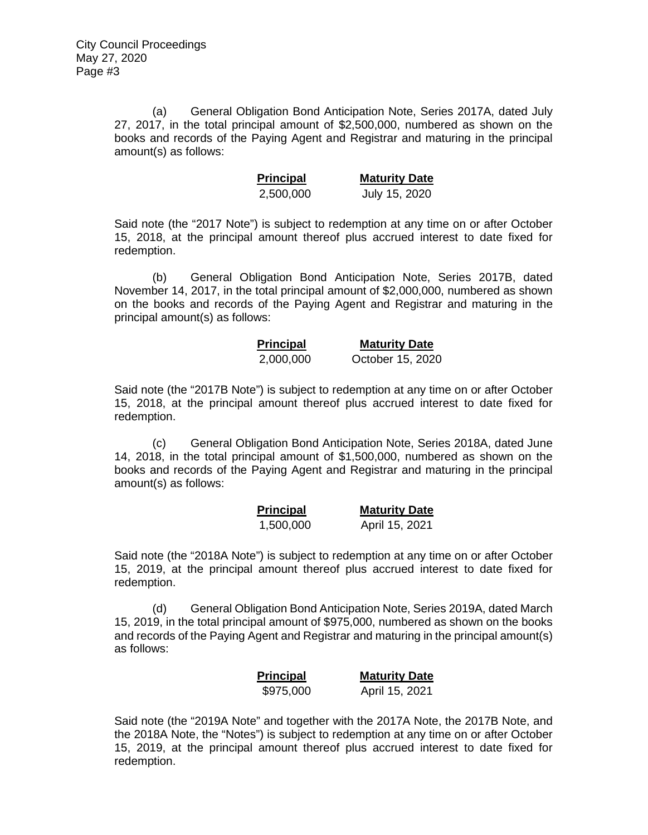(a) General Obligation Bond Anticipation Note, Series 2017A, dated July 27, 2017, in the total principal amount of \$2,500,000, numbered as shown on the books and records of the Paying Agent and Registrar and maturing in the principal amount(s) as follows:

| <b>Principal</b> | <b>Maturity Date</b> |
|------------------|----------------------|
| 2,500,000        | July 15, 2020        |

Said note (the "2017 Note") is subject to redemption at any time on or after October 15, 2018, at the principal amount thereof plus accrued interest to date fixed for redemption.

(b) General Obligation Bond Anticipation Note, Series 2017B, dated November 14, 2017, in the total principal amount of \$2,000,000, numbered as shown on the books and records of the Paying Agent and Registrar and maturing in the principal amount(s) as follows:

### **Principal Maturity Date**  2,000,000 October 15, 2020

Said note (the "2017B Note") is subject to redemption at any time on or after October 15, 2018, at the principal amount thereof plus accrued interest to date fixed for redemption.

(c) General Obligation Bond Anticipation Note, Series 2018A, dated June 14, 2018, in the total principal amount of \$1,500,000, numbered as shown on the books and records of the Paying Agent and Registrar and maturing in the principal amount(s) as follows:

| <b>Principal</b> | <b>Maturity Date</b> |
|------------------|----------------------|
| 1,500,000        | April 15, 2021       |

Said note (the "2018A Note") is subject to redemption at any time on or after October 15, 2019, at the principal amount thereof plus accrued interest to date fixed for redemption.

(d) General Obligation Bond Anticipation Note, Series 2019A, dated March 15, 2019, in the total principal amount of \$975,000, numbered as shown on the books and records of the Paying Agent and Registrar and maturing in the principal amount(s) as follows:

| <b>Principal</b> | <b>Maturity Date</b> |
|------------------|----------------------|
| \$975,000        | April 15, 2021       |

Said note (the "2019A Note" and together with the 2017A Note, the 2017B Note, and the 2018A Note, the "Notes") is subject to redemption at any time on or after October 15, 2019, at the principal amount thereof plus accrued interest to date fixed for redemption.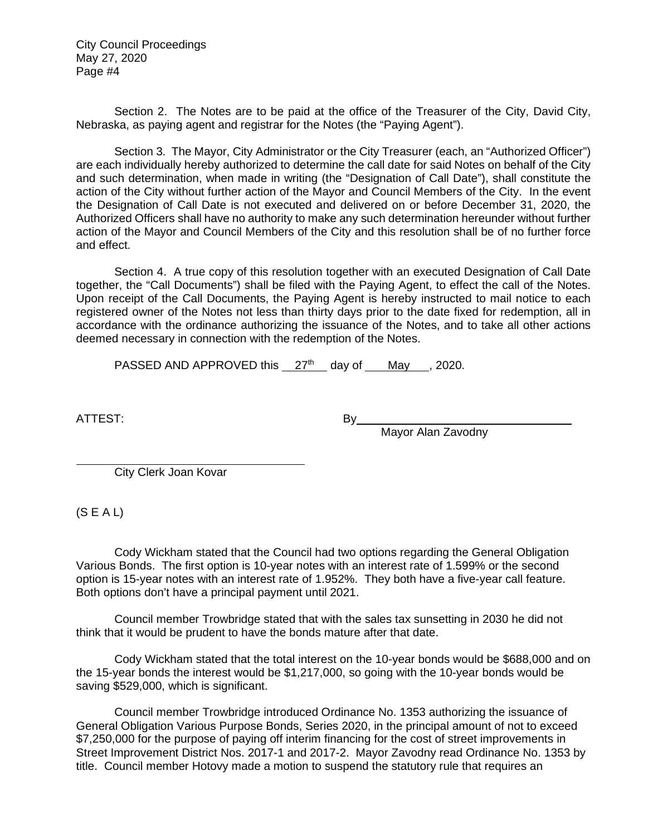Section 2. The Notes are to be paid at the office of the Treasurer of the City, David City, Nebraska, as paying agent and registrar for the Notes (the "Paying Agent").

Section 3. The Mayor, City Administrator or the City Treasurer (each, an "Authorized Officer") are each individually hereby authorized to determine the call date for said Notes on behalf of the City and such determination, when made in writing (the "Designation of Call Date"), shall constitute the action of the City without further action of the Mayor and Council Members of the City. In the event the Designation of Call Date is not executed and delivered on or before December 31, 2020, the Authorized Officers shall have no authority to make any such determination hereunder without further action of the Mayor and Council Members of the City and this resolution shall be of no further force and effect.

Section 4. A true copy of this resolution together with an executed Designation of Call Date together, the "Call Documents") shall be filed with the Paying Agent, to effect the call of the Notes. Upon receipt of the Call Documents, the Paying Agent is hereby instructed to mail notice to each registered owner of the Notes not less than thirty days prior to the date fixed for redemption, all in accordance with the ordinance authorizing the issuance of the Notes, and to take all other actions deemed necessary in connection with the redemption of the Notes.

PASSED AND APPROVED this  $27<sup>th</sup>$  day of May , 2020.

l.

ATTEST:

By<br>Mayor Alan Zavodny

City Clerk Joan Kovar

(S E A L)

Cody Wickham stated that the Council had two options regarding the General Obligation Various Bonds. The first option is 10-year notes with an interest rate of 1.599% or the second option is 15-year notes with an interest rate of 1.952%. They both have a five-year call feature. Both options don't have a principal payment until 2021.

Council member Trowbridge stated that with the sales tax sunsetting in 2030 he did not think that it would be prudent to have the bonds mature after that date.

Cody Wickham stated that the total interest on the 10-year bonds would be \$688,000 and on the 15-year bonds the interest would be \$1,217,000, so going with the 10-year bonds would be saving \$529,000, which is significant.

Council member Trowbridge introduced Ordinance No. 1353 authorizing the issuance of General Obligation Various Purpose Bonds, Series 2020, in the principal amount of not to exceed \$7,250,000 for the purpose of paying off interim financing for the cost of street improvements in Street Improvement District Nos. 2017-1 and 2017-2. Mayor Zavodny read Ordinance No. 1353 by title. Council member Hotovy made a motion to suspend the statutory rule that requires an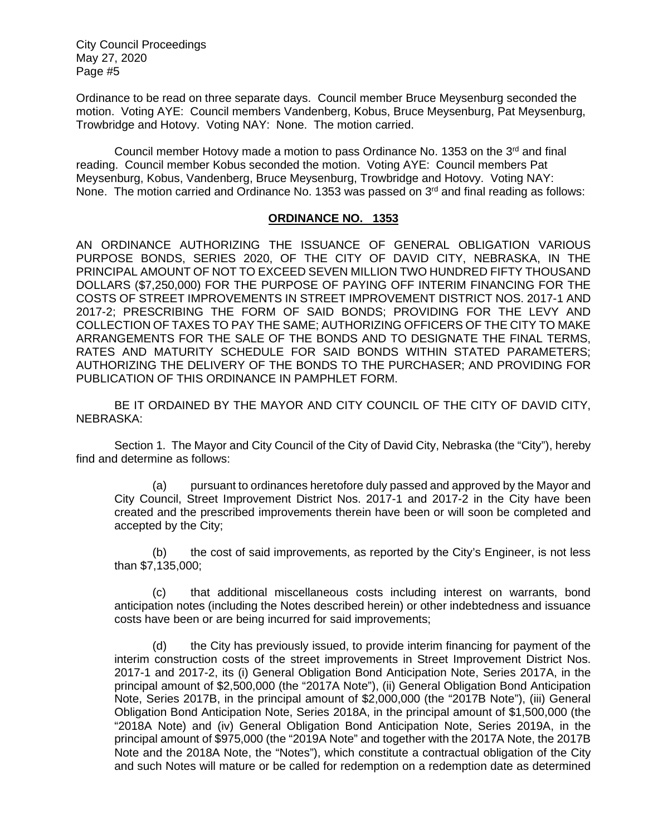Ordinance to be read on three separate days. Council member Bruce Meysenburg seconded the motion. Voting AYE: Council members Vandenberg, Kobus, Bruce Meysenburg, Pat Meysenburg, Trowbridge and Hotovy. Voting NAY: None. The motion carried.

Council member Hotovy made a motion to pass Ordinance No. 1353 on the  $3<sup>rd</sup>$  and final reading. Council member Kobus seconded the motion. Voting AYE: Council members Pat Meysenburg, Kobus, Vandenberg, Bruce Meysenburg, Trowbridge and Hotovy. Voting NAY: None. The motion carried and Ordinance No. 1353 was passed on  $3<sup>rd</sup>$  and final reading as follows:

### **ORDINANCE NO. 1353**

AN ORDINANCE AUTHORIZING THE ISSUANCE OF GENERAL OBLIGATION VARIOUS PURPOSE BONDS, SERIES 2020, OF THE CITY OF DAVID CITY, NEBRASKA, IN THE PRINCIPAL AMOUNT OF NOT TO EXCEED SEVEN MILLION TWO HUNDRED FIFTY THOUSAND DOLLARS (\$7,250,000) FOR THE PURPOSE OF PAYING OFF INTERIM FINANCING FOR THE COSTS OF STREET IMPROVEMENTS IN STREET IMPROVEMENT DISTRICT NOS. 2017-1 AND 2017-2; PRESCRIBING THE FORM OF SAID BONDS; PROVIDING FOR THE LEVY AND COLLECTION OF TAXES TO PAY THE SAME; AUTHORIZING OFFICERS OF THE CITY TO MAKE ARRANGEMENTS FOR THE SALE OF THE BONDS AND TO DESIGNATE THE FINAL TERMS, RATES AND MATURITY SCHEDULE FOR SAID BONDS WITHIN STATED PARAMETERS; AUTHORIZING THE DELIVERY OF THE BONDS TO THE PURCHASER; AND PROVIDING FOR PUBLICATION OF THIS ORDINANCE IN PAMPHLET FORM.

BE IT ORDAINED BY THE MAYOR AND CITY COUNCIL OF THE CITY OF DAVID CITY, NEBRASKA:

Section 1. The Mayor and City Council of the City of David City, Nebraska (the "City"), hereby find and determine as follows:

(a) pursuant to ordinances heretofore duly passed and approved by the Mayor and City Council, Street Improvement District Nos. 2017-1 and 2017-2 in the City have been created and the prescribed improvements therein have been or will soon be completed and accepted by the City;

(b) the cost of said improvements, as reported by the City's Engineer, is not less than \$7,135,000;

(c) that additional miscellaneous costs including interest on warrants, bond anticipation notes (including the Notes described herein) or other indebtedness and issuance costs have been or are being incurred for said improvements;

(d) the City has previously issued, to provide interim financing for payment of the interim construction costs of the street improvements in Street Improvement District Nos. 2017-1 and 2017-2, its (i) General Obligation Bond Anticipation Note, Series 2017A, in the principal amount of \$2,500,000 (the "2017A Note"), (ii) General Obligation Bond Anticipation Note, Series 2017B, in the principal amount of \$2,000,000 (the "2017B Note"), (iii) General Obligation Bond Anticipation Note, Series 2018A, in the principal amount of \$1,500,000 (the "2018A Note) and (iv) General Obligation Bond Anticipation Note, Series 2019A, in the principal amount of \$975,000 (the "2019A Note" and together with the 2017A Note, the 2017B Note and the 2018A Note, the "Notes"), which constitute a contractual obligation of the City and such Notes will mature or be called for redemption on a redemption date as determined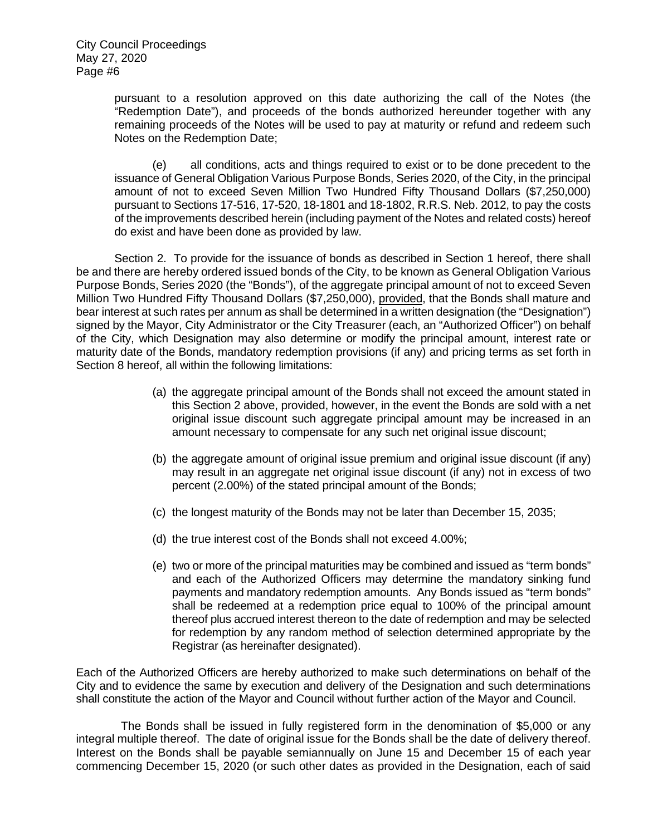pursuant to a resolution approved on this date authorizing the call of the Notes (the "Redemption Date"), and proceeds of the bonds authorized hereunder together with any remaining proceeds of the Notes will be used to pay at maturity or refund and redeem such Notes on the Redemption Date;

(e) all conditions, acts and things required to exist or to be done precedent to the issuance of General Obligation Various Purpose Bonds, Series 2020, of the City, in the principal amount of not to exceed Seven Million Two Hundred Fifty Thousand Dollars (\$7,250,000) pursuant to Sections 17-516, 17-520, 18-1801 and 18-1802, R.R.S. Neb. 2012, to pay the costs of the improvements described herein (including payment of the Notes and related costs) hereof do exist and have been done as provided by law.

Section 2. To provide for the issuance of bonds as described in Section 1 hereof, there shall be and there are hereby ordered issued bonds of the City, to be known as General Obligation Various Purpose Bonds, Series 2020 (the "Bonds"), of the aggregate principal amount of not to exceed Seven Million Two Hundred Fifty Thousand Dollars (\$7,250,000), provided, that the Bonds shall mature and bear interest at such rates per annum as shall be determined in a written designation (the "Designation") signed by the Mayor, City Administrator or the City Treasurer (each, an "Authorized Officer") on behalf of the City, which Designation may also determine or modify the principal amount, interest rate or maturity date of the Bonds, mandatory redemption provisions (if any) and pricing terms as set forth in Section 8 hereof, all within the following limitations:

- (a) the aggregate principal amount of the Bonds shall not exceed the amount stated in this Section 2 above, provided, however, in the event the Bonds are sold with a net original issue discount such aggregate principal amount may be increased in an amount necessary to compensate for any such net original issue discount;
- (b) the aggregate amount of original issue premium and original issue discount (if any) may result in an aggregate net original issue discount (if any) not in excess of two percent (2.00%) of the stated principal amount of the Bonds;
- (c) the longest maturity of the Bonds may not be later than December 15, 2035;
- (d) the true interest cost of the Bonds shall not exceed 4.00%;
- (e) two or more of the principal maturities may be combined and issued as "term bonds" and each of the Authorized Officers may determine the mandatory sinking fund payments and mandatory redemption amounts. Any Bonds issued as "term bonds" shall be redeemed at a redemption price equal to 100% of the principal amount thereof plus accrued interest thereon to the date of redemption and may be selected for redemption by any random method of selection determined appropriate by the Registrar (as hereinafter designated).

Each of the Authorized Officers are hereby authorized to make such determinations on behalf of the City and to evidence the same by execution and delivery of the Designation and such determinations shall constitute the action of the Mayor and Council without further action of the Mayor and Council.

 The Bonds shall be issued in fully registered form in the denomination of \$5,000 or any integral multiple thereof. The date of original issue for the Bonds shall be the date of delivery thereof. Interest on the Bonds shall be payable semiannually on June 15 and December 15 of each year commencing December 15, 2020 (or such other dates as provided in the Designation, each of said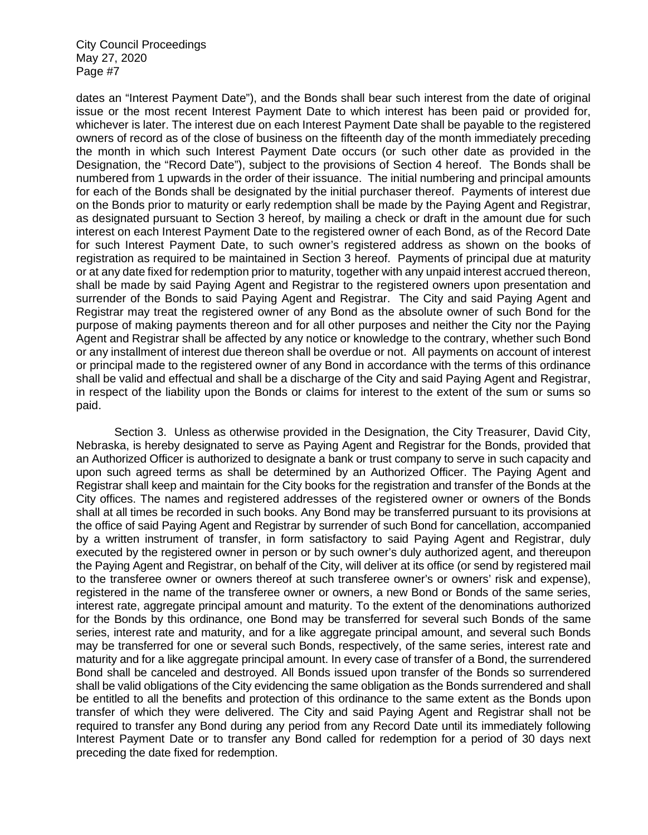dates an "Interest Payment Date"), and the Bonds shall bear such interest from the date of original issue or the most recent Interest Payment Date to which interest has been paid or provided for, whichever is later. The interest due on each Interest Payment Date shall be payable to the registered owners of record as of the close of business on the fifteenth day of the month immediately preceding the month in which such Interest Payment Date occurs (or such other date as provided in the Designation, the "Record Date"), subject to the provisions of Section 4 hereof. The Bonds shall be numbered from 1 upwards in the order of their issuance. The initial numbering and principal amounts for each of the Bonds shall be designated by the initial purchaser thereof. Payments of interest due on the Bonds prior to maturity or early redemption shall be made by the Paying Agent and Registrar, as designated pursuant to Section 3 hereof, by mailing a check or draft in the amount due for such interest on each Interest Payment Date to the registered owner of each Bond, as of the Record Date for such Interest Payment Date, to such owner's registered address as shown on the books of registration as required to be maintained in Section 3 hereof. Payments of principal due at maturity or at any date fixed for redemption prior to maturity, together with any unpaid interest accrued thereon, shall be made by said Paying Agent and Registrar to the registered owners upon presentation and surrender of the Bonds to said Paying Agent and Registrar. The City and said Paying Agent and Registrar may treat the registered owner of any Bond as the absolute owner of such Bond for the purpose of making payments thereon and for all other purposes and neither the City nor the Paying Agent and Registrar shall be affected by any notice or knowledge to the contrary, whether such Bond or any installment of interest due thereon shall be overdue or not. All payments on account of interest or principal made to the registered owner of any Bond in accordance with the terms of this ordinance shall be valid and effectual and shall be a discharge of the City and said Paying Agent and Registrar, in respect of the liability upon the Bonds or claims for interest to the extent of the sum or sums so paid.

Section 3. Unless as otherwise provided in the Designation, the City Treasurer, David City, Nebraska, is hereby designated to serve as Paying Agent and Registrar for the Bonds, provided that an Authorized Officer is authorized to designate a bank or trust company to serve in such capacity and upon such agreed terms as shall be determined by an Authorized Officer. The Paying Agent and Registrar shall keep and maintain for the City books for the registration and transfer of the Bonds at the City offices. The names and registered addresses of the registered owner or owners of the Bonds shall at all times be recorded in such books. Any Bond may be transferred pursuant to its provisions at the office of said Paying Agent and Registrar by surrender of such Bond for cancellation, accompanied by a written instrument of transfer, in form satisfactory to said Paying Agent and Registrar, duly executed by the registered owner in person or by such owner's duly authorized agent, and thereupon the Paying Agent and Registrar, on behalf of the City, will deliver at its office (or send by registered mail to the transferee owner or owners thereof at such transferee owner's or owners' risk and expense), registered in the name of the transferee owner or owners, a new Bond or Bonds of the same series, interest rate, aggregate principal amount and maturity. To the extent of the denominations authorized for the Bonds by this ordinance, one Bond may be transferred for several such Bonds of the same series, interest rate and maturity, and for a like aggregate principal amount, and several such Bonds may be transferred for one or several such Bonds, respectively, of the same series, interest rate and maturity and for a like aggregate principal amount. In every case of transfer of a Bond, the surrendered Bond shall be canceled and destroyed. All Bonds issued upon transfer of the Bonds so surrendered shall be valid obligations of the City evidencing the same obligation as the Bonds surrendered and shall be entitled to all the benefits and protection of this ordinance to the same extent as the Bonds upon transfer of which they were delivered. The City and said Paying Agent and Registrar shall not be required to transfer any Bond during any period from any Record Date until its immediately following Interest Payment Date or to transfer any Bond called for redemption for a period of 30 days next preceding the date fixed for redemption.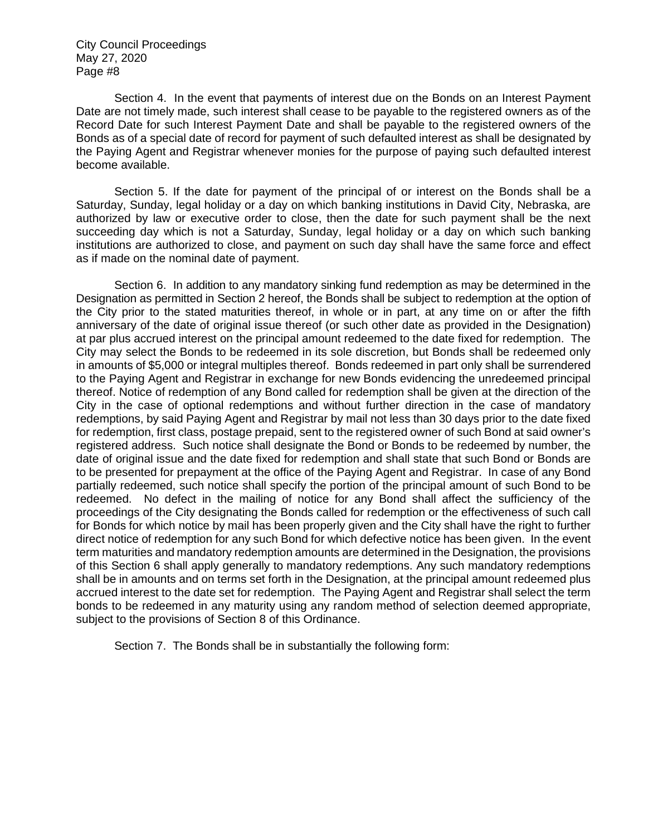Section 4. In the event that payments of interest due on the Bonds on an Interest Payment Date are not timely made, such interest shall cease to be payable to the registered owners as of the Record Date for such Interest Payment Date and shall be payable to the registered owners of the Bonds as of a special date of record for payment of such defaulted interest as shall be designated by the Paying Agent and Registrar whenever monies for the purpose of paying such defaulted interest become available.

Section 5. If the date for payment of the principal of or interest on the Bonds shall be a Saturday, Sunday, legal holiday or a day on which banking institutions in David City, Nebraska, are authorized by law or executive order to close, then the date for such payment shall be the next succeeding day which is not a Saturday, Sunday, legal holiday or a day on which such banking institutions are authorized to close, and payment on such day shall have the same force and effect as if made on the nominal date of payment.

Section 6. In addition to any mandatory sinking fund redemption as may be determined in the Designation as permitted in Section 2 hereof, the Bonds shall be subject to redemption at the option of the City prior to the stated maturities thereof, in whole or in part, at any time on or after the fifth anniversary of the date of original issue thereof (or such other date as provided in the Designation) at par plus accrued interest on the principal amount redeemed to the date fixed for redemption. The City may select the Bonds to be redeemed in its sole discretion, but Bonds shall be redeemed only in amounts of \$5,000 or integral multiples thereof. Bonds redeemed in part only shall be surrendered to the Paying Agent and Registrar in exchange for new Bonds evidencing the unredeemed principal thereof. Notice of redemption of any Bond called for redemption shall be given at the direction of the City in the case of optional redemptions and without further direction in the case of mandatory redemptions, by said Paying Agent and Registrar by mail not less than 30 days prior to the date fixed for redemption, first class, postage prepaid, sent to the registered owner of such Bond at said owner's registered address. Such notice shall designate the Bond or Bonds to be redeemed by number, the date of original issue and the date fixed for redemption and shall state that such Bond or Bonds are to be presented for prepayment at the office of the Paying Agent and Registrar. In case of any Bond partially redeemed, such notice shall specify the portion of the principal amount of such Bond to be redeemed. No defect in the mailing of notice for any Bond shall affect the sufficiency of the proceedings of the City designating the Bonds called for redemption or the effectiveness of such call for Bonds for which notice by mail has been properly given and the City shall have the right to further direct notice of redemption for any such Bond for which defective notice has been given. In the event term maturities and mandatory redemption amounts are determined in the Designation, the provisions of this Section 6 shall apply generally to mandatory redemptions. Any such mandatory redemptions shall be in amounts and on terms set forth in the Designation, at the principal amount redeemed plus accrued interest to the date set for redemption. The Paying Agent and Registrar shall select the term bonds to be redeemed in any maturity using any random method of selection deemed appropriate, subject to the provisions of Section 8 of this Ordinance.

Section 7. The Bonds shall be in substantially the following form: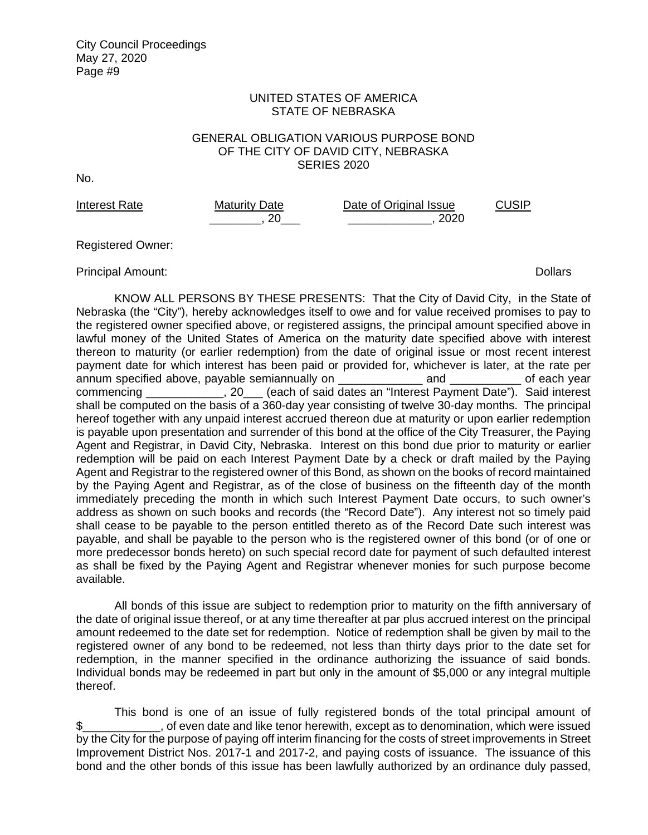## UNITED STATES OF AMERICA STATE OF NEBRASKA

#### GENERAL OBLIGATION VARIOUS PURPOSE BOND OF THE CITY OF DAVID CITY, NEBRASKA SERIES 2020

No.

Interest Rate **Maturity Date Date of Original Issue** CUSIP  $\overline{\phantom{a}0}$  , 2020

Registered Owner:

Principal Amount: Dollars

KNOW ALL PERSONS BY THESE PRESENTS: That the City of David City, in the State of Nebraska (the "City"), hereby acknowledges itself to owe and for value received promises to pay to the registered owner specified above, or registered assigns, the principal amount specified above in lawful money of the United States of America on the maturity date specified above with interest thereon to maturity (or earlier redemption) from the date of original issue or most recent interest payment date for which interest has been paid or provided for, whichever is later, at the rate per annum specified above, payable semiannually on \_\_\_\_\_\_\_\_\_\_\_\_\_\_\_ and \_\_\_\_\_\_\_\_\_\_\_\_ of each year commencing \_\_\_\_\_\_\_\_\_\_\_\_, 20\_\_\_ (each of said dates an "Interest Payment Date"). Said interest shall be computed on the basis of a 360-day year consisting of twelve 30-day months. The principal hereof together with any unpaid interest accrued thereon due at maturity or upon earlier redemption is payable upon presentation and surrender of this bond at the office of the City Treasurer, the Paying Agent and Registrar, in David City, Nebraska. Interest on this bond due prior to maturity or earlier redemption will be paid on each Interest Payment Date by a check or draft mailed by the Paying Agent and Registrar to the registered owner of this Bond, as shown on the books of record maintained by the Paying Agent and Registrar, as of the close of business on the fifteenth day of the month immediately preceding the month in which such Interest Payment Date occurs, to such owner's address as shown on such books and records (the "Record Date"). Any interest not so timely paid shall cease to be payable to the person entitled thereto as of the Record Date such interest was payable, and shall be payable to the person who is the registered owner of this bond (or of one or more predecessor bonds hereto) on such special record date for payment of such defaulted interest as shall be fixed by the Paying Agent and Registrar whenever monies for such purpose become available.

All bonds of this issue are subject to redemption prior to maturity on the fifth anniversary of the date of original issue thereof, or at any time thereafter at par plus accrued interest on the principal amount redeemed to the date set for redemption. Notice of redemption shall be given by mail to the registered owner of any bond to be redeemed, not less than thirty days prior to the date set for redemption, in the manner specified in the ordinance authorizing the issuance of said bonds. Individual bonds may be redeemed in part but only in the amount of \$5,000 or any integral multiple thereof.

This bond is one of an issue of fully registered bonds of the total principal amount of \$\_\_\_\_\_\_\_\_\_\_\_\_, of even date and like tenor herewith, except as to denomination, which were issued by the City for the purpose of paying off interim financing for the costs of street improvements in Street Improvement District Nos. 2017-1 and 2017-2, and paying costs of issuance. The issuance of this bond and the other bonds of this issue has been lawfully authorized by an ordinance duly passed,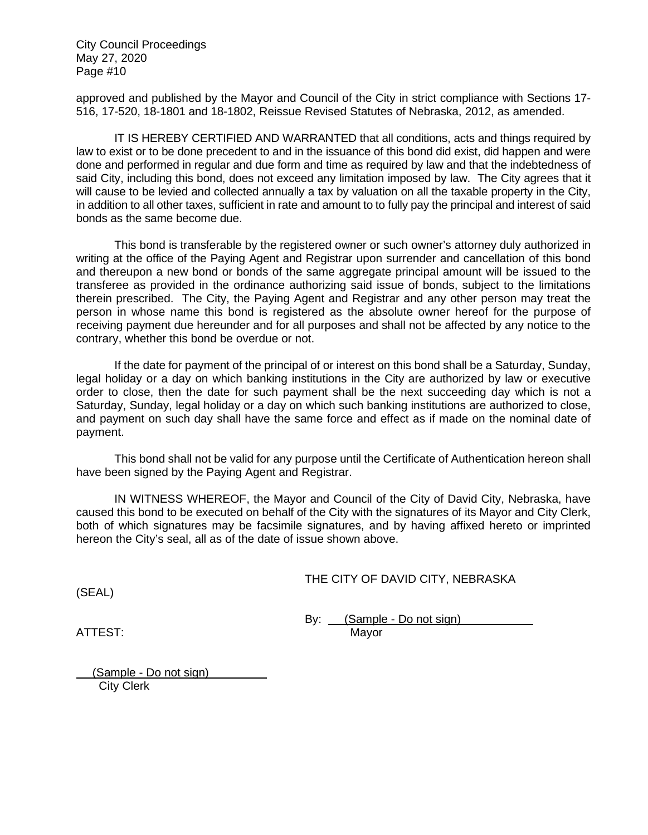approved and published by the Mayor and Council of the City in strict compliance with Sections 17- 516, 17-520, 18-1801 and 18-1802, Reissue Revised Statutes of Nebraska, 2012, as amended.

IT IS HEREBY CERTIFIED AND WARRANTED that all conditions, acts and things required by law to exist or to be done precedent to and in the issuance of this bond did exist, did happen and were done and performed in regular and due form and time as required by law and that the indebtedness of said City, including this bond, does not exceed any limitation imposed by law. The City agrees that it will cause to be levied and collected annually a tax by valuation on all the taxable property in the City, in addition to all other taxes, sufficient in rate and amount to to fully pay the principal and interest of said bonds as the same become due.

This bond is transferable by the registered owner or such owner's attorney duly authorized in writing at the office of the Paying Agent and Registrar upon surrender and cancellation of this bond and thereupon a new bond or bonds of the same aggregate principal amount will be issued to the transferee as provided in the ordinance authorizing said issue of bonds, subject to the limitations therein prescribed. The City, the Paying Agent and Registrar and any other person may treat the person in whose name this bond is registered as the absolute owner hereof for the purpose of receiving payment due hereunder and for all purposes and shall not be affected by any notice to the contrary, whether this bond be overdue or not.

If the date for payment of the principal of or interest on this bond shall be a Saturday, Sunday, legal holiday or a day on which banking institutions in the City are authorized by law or executive order to close, then the date for such payment shall be the next succeeding day which is not a Saturday, Sunday, legal holiday or a day on which such banking institutions are authorized to close, and payment on such day shall have the same force and effect as if made on the nominal date of payment.

This bond shall not be valid for any purpose until the Certificate of Authentication hereon shall have been signed by the Paying Agent and Registrar.

IN WITNESS WHEREOF, the Mayor and Council of the City of David City, Nebraska, have caused this bond to be executed on behalf of the City with the signatures of its Mayor and City Clerk, both of which signatures may be facsimile signatures, and by having affixed hereto or imprinted hereon the City's seal, all as of the date of issue shown above.

THE CITY OF DAVID CITY, NEBRASKA

(SEAL)

By: (Sample - Do not sign) ATTEST: Mayor

 (Sample - Do not sign) City Clerk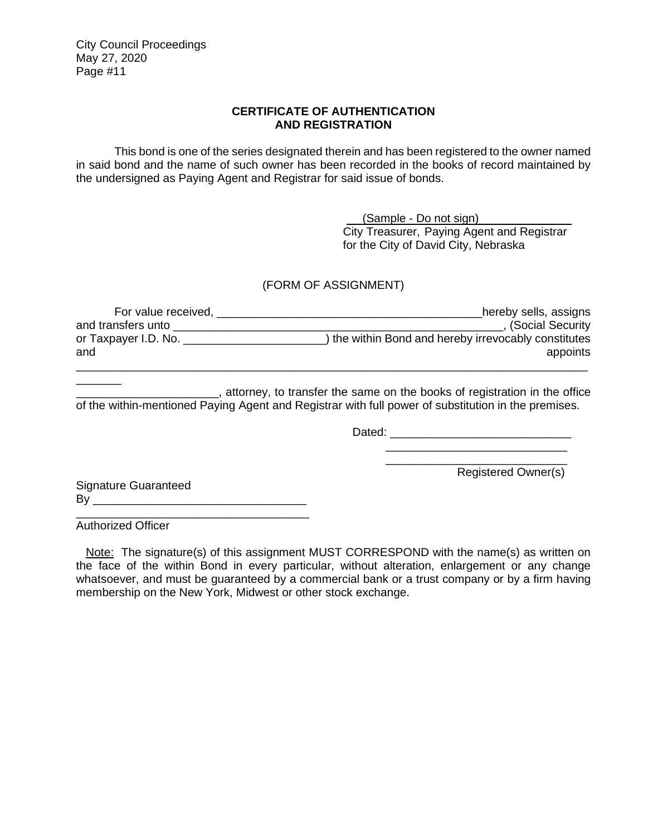## **CERTIFICATE OF AUTHENTICATION AND REGISTRATION**

This bond is one of the series designated therein and has been registered to the owner named in said bond and the name of such owner has been recorded in the books of record maintained by the undersigned as Paying Agent and Registrar for said issue of bonds.

(Sample - Do not sign)

City Treasurer, Paying Agent and Registrar for the City of David City, Nebraska

## (FORM OF ASSIGNMENT)

| For value received,  | hereby sells, assigns                              |
|----------------------|----------------------------------------------------|
| and transfers unto   | (Social Security)                                  |
| or Taxpayer I.D. No. | the within Bond and hereby irrevocably constitutes |
| and                  | appoints                                           |
|                      |                                                    |

\_\_\_\_\_\_\_ \_\_\_\_\_\_\_\_\_\_\_\_\_\_\_\_\_\_\_\_\_\_, attorney, to transfer the same on the books of registration in the office of the within-mentioned Paying Agent and Registrar with full power of substitution in the premises.

Dated: \_\_\_\_\_\_\_\_\_\_\_\_\_\_\_\_\_\_\_\_\_\_\_\_\_\_\_\_

\_\_\_\_\_\_\_\_\_\_\_\_\_\_\_\_\_\_\_\_\_\_\_\_\_\_\_\_

\_\_\_\_\_\_\_\_\_\_\_\_\_\_\_\_\_\_\_\_\_\_\_\_\_\_\_\_ Registered Owner(s)

Signature Guaranteed  $\mathsf{By}$ 

\_\_\_\_\_\_\_\_\_\_\_\_\_\_\_\_\_\_\_\_\_\_\_\_\_\_\_\_\_\_\_\_\_\_\_\_ Authorized Officer

 Note: The signature(s) of this assignment MUST CORRESPOND with the name(s) as written on the face of the within Bond in every particular, without alteration, enlargement or any change whatsoever, and must be guaranteed by a commercial bank or a trust company or by a firm having membership on the New York, Midwest or other stock exchange.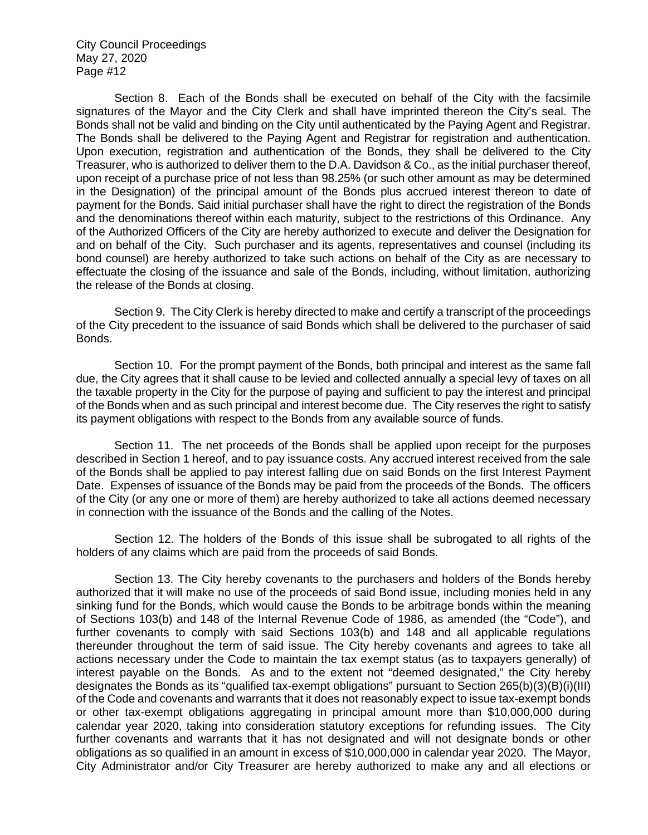Section 8. Each of the Bonds shall be executed on behalf of the City with the facsimile signatures of the Mayor and the City Clerk and shall have imprinted thereon the City's seal. The Bonds shall not be valid and binding on the City until authenticated by the Paying Agent and Registrar. The Bonds shall be delivered to the Paying Agent and Registrar for registration and authentication. Upon execution, registration and authentication of the Bonds, they shall be delivered to the City Treasurer, who is authorized to deliver them to the D.A. Davidson & Co., as the initial purchaser thereof, upon receipt of a purchase price of not less than 98.25% (or such other amount as may be determined in the Designation) of the principal amount of the Bonds plus accrued interest thereon to date of payment for the Bonds. Said initial purchaser shall have the right to direct the registration of the Bonds and the denominations thereof within each maturity, subject to the restrictions of this Ordinance. Any of the Authorized Officers of the City are hereby authorized to execute and deliver the Designation for and on behalf of the City. Such purchaser and its agents, representatives and counsel (including its bond counsel) are hereby authorized to take such actions on behalf of the City as are necessary to effectuate the closing of the issuance and sale of the Bonds, including, without limitation, authorizing the release of the Bonds at closing.

Section 9. The City Clerk is hereby directed to make and certify a transcript of the proceedings of the City precedent to the issuance of said Bonds which shall be delivered to the purchaser of said Bonds.

Section 10. For the prompt payment of the Bonds, both principal and interest as the same fall due, the City agrees that it shall cause to be levied and collected annually a special levy of taxes on all the taxable property in the City for the purpose of paying and sufficient to pay the interest and principal of the Bonds when and as such principal and interest become due. The City reserves the right to satisfy its payment obligations with respect to the Bonds from any available source of funds.

Section 11. The net proceeds of the Bonds shall be applied upon receipt for the purposes described in Section 1 hereof, and to pay issuance costs. Any accrued interest received from the sale of the Bonds shall be applied to pay interest falling due on said Bonds on the first Interest Payment Date. Expenses of issuance of the Bonds may be paid from the proceeds of the Bonds. The officers of the City (or any one or more of them) are hereby authorized to take all actions deemed necessary in connection with the issuance of the Bonds and the calling of the Notes.

Section 12. The holders of the Bonds of this issue shall be subrogated to all rights of the holders of any claims which are paid from the proceeds of said Bonds.

Section 13. The City hereby covenants to the purchasers and holders of the Bonds hereby authorized that it will make no use of the proceeds of said Bond issue, including monies held in any sinking fund for the Bonds, which would cause the Bonds to be arbitrage bonds within the meaning of Sections 103(b) and 148 of the Internal Revenue Code of 1986, as amended (the "Code"), and further covenants to comply with said Sections 103(b) and 148 and all applicable regulations thereunder throughout the term of said issue. The City hereby covenants and agrees to take all actions necessary under the Code to maintain the tax exempt status (as to taxpayers generally) of interest payable on the Bonds. As and to the extent not "deemed designated," the City hereby designates the Bonds as its "qualified tax-exempt obligations" pursuant to Section 265(b)(3)(B)(i)(III) of the Code and covenants and warrants that it does not reasonably expect to issue tax-exempt bonds or other tax-exempt obligations aggregating in principal amount more than \$10,000,000 during calendar year 2020, taking into consideration statutory exceptions for refunding issues. The City further covenants and warrants that it has not designated and will not designate bonds or other obligations as so qualified in an amount in excess of \$10,000,000 in calendar year 2020. The Mayor, City Administrator and/or City Treasurer are hereby authorized to make any and all elections or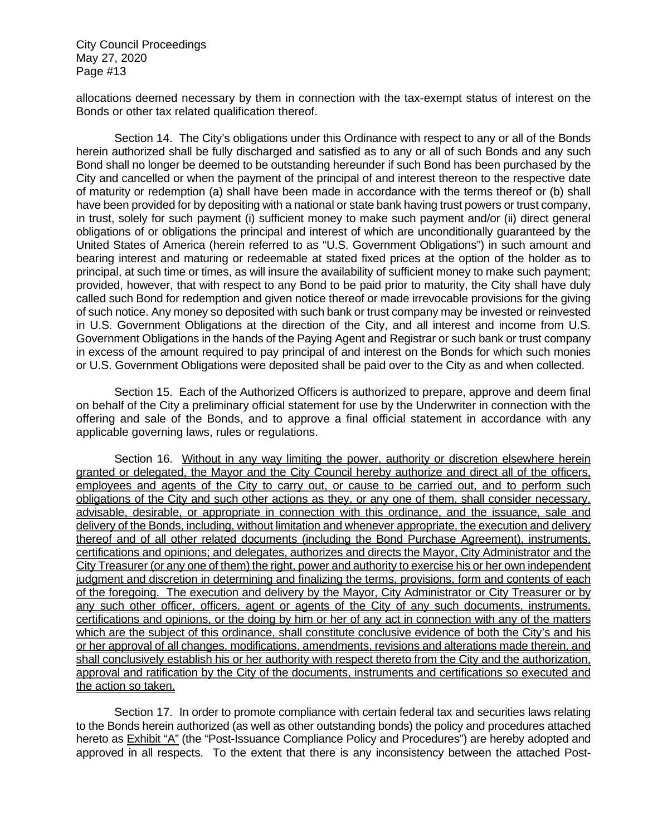allocations deemed necessary by them in connection with the tax-exempt status of interest on the Bonds or other tax related qualification thereof.

Section 14. The City's obligations under this Ordinance with respect to any or all of the Bonds herein authorized shall be fully discharged and satisfied as to any or all of such Bonds and any such Bond shall no longer be deemed to be outstanding hereunder if such Bond has been purchased by the City and cancelled or when the payment of the principal of and interest thereon to the respective date of maturity or redemption (a) shall have been made in accordance with the terms thereof or (b) shall have been provided for by depositing with a national or state bank having trust powers or trust company, in trust, solely for such payment (i) sufficient money to make such payment and/or (ii) direct general obligations of or obligations the principal and interest of which are unconditionally guaranteed by the United States of America (herein referred to as "U.S. Government Obligations") in such amount and bearing interest and maturing or redeemable at stated fixed prices at the option of the holder as to principal, at such time or times, as will insure the availability of sufficient money to make such payment; provided, however, that with respect to any Bond to be paid prior to maturity, the City shall have duly called such Bond for redemption and given notice thereof or made irrevocable provisions for the giving of such notice. Any money so deposited with such bank or trust company may be invested or reinvested in U.S. Government Obligations at the direction of the City, and all interest and income from U.S. Government Obligations in the hands of the Paying Agent and Registrar or such bank or trust company in excess of the amount required to pay principal of and interest on the Bonds for which such monies or U.S. Government Obligations were deposited shall be paid over to the City as and when collected.

Section 15. Each of the Authorized Officers is authorized to prepare, approve and deem final on behalf of the City a preliminary official statement for use by the Underwriter in connection with the offering and sale of the Bonds, and to approve a final official statement in accordance with any applicable governing laws, rules or regulations.

Section 16. Without in any way limiting the power, authority or discretion elsewhere herein granted or delegated, the Mayor and the City Council hereby authorize and direct all of the officers, employees and agents of the City to carry out, or cause to be carried out, and to perform such obligations of the City and such other actions as they, or any one of them, shall consider necessary, advisable, desirable, or appropriate in connection with this ordinance, and the issuance, sale and delivery of the Bonds, including, without limitation and whenever appropriate, the execution and delivery thereof and of all other related documents (including the Bond Purchase Agreement), instruments, certifications and opinions; and delegates, authorizes and directs the Mayor, City Administrator and the City Treasurer (or any one of them) the right, power and authority to exercise his or her own independent judgment and discretion in determining and finalizing the terms, provisions, form and contents of each of the foregoing. The execution and delivery by the Mayor, City Administrator or City Treasurer or by any such other officer, officers, agent or agents of the City of any such documents, instruments, certifications and opinions, or the doing by him or her of any act in connection with any of the matters which are the subject of this ordinance, shall constitute conclusive evidence of both the City's and his or her approval of all changes, modifications, amendments, revisions and alterations made therein, and shall conclusively establish his or her authority with respect thereto from the City and the authorization, approval and ratification by the City of the documents, instruments and certifications so executed and the action so taken.

Section 17. In order to promote compliance with certain federal tax and securities laws relating to the Bonds herein authorized (as well as other outstanding bonds) the policy and procedures attached hereto as **Exhibit "A"** (the "Post-Issuance Compliance Policy and Procedures") are hereby adopted and approved in all respects. To the extent that there is any inconsistency between the attached Post-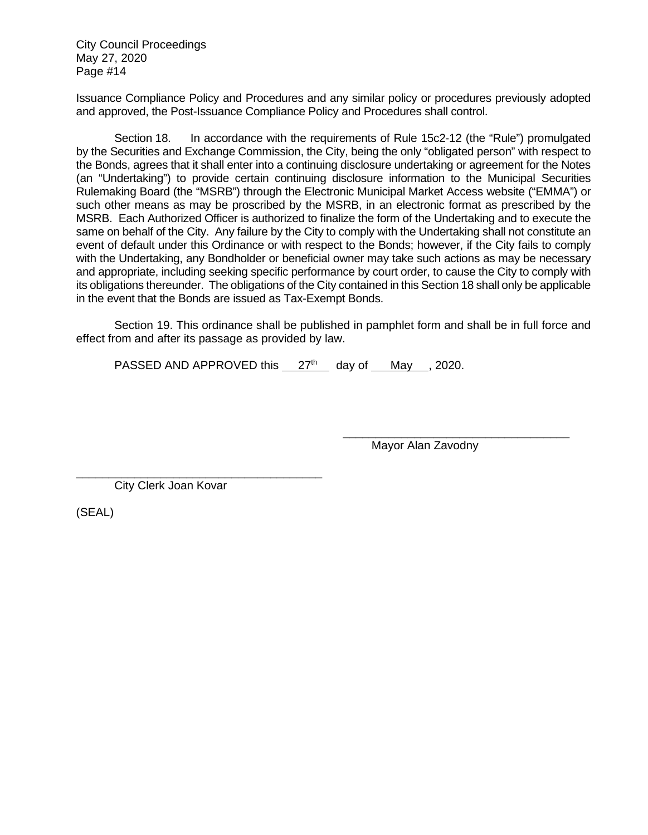Issuance Compliance Policy and Procedures and any similar policy or procedures previously adopted and approved, the Post-Issuance Compliance Policy and Procedures shall control.

Section 18. In accordance with the requirements of Rule 15c2-12 (the "Rule") promulgated by the Securities and Exchange Commission, the City, being the only "obligated person" with respect to the Bonds, agrees that it shall enter into a continuing disclosure undertaking or agreement for the Notes (an "Undertaking") to provide certain continuing disclosure information to the Municipal Securities Rulemaking Board (the "MSRB") through the Electronic Municipal Market Access website ("EMMA") or such other means as may be proscribed by the MSRB, in an electronic format as prescribed by the MSRB. Each Authorized Officer is authorized to finalize the form of the Undertaking and to execute the same on behalf of the City. Any failure by the City to comply with the Undertaking shall not constitute an event of default under this Ordinance or with respect to the Bonds; however, if the City fails to comply with the Undertaking, any Bondholder or beneficial owner may take such actions as may be necessary and appropriate, including seeking specific performance by court order, to cause the City to comply with its obligations thereunder. The obligations of the City contained in this Section 18 shall only be applicable in the event that the Bonds are issued as Tax-Exempt Bonds.

Section 19. This ordinance shall be published in pamphlet form and shall be in full force and effect from and after its passage as provided by law.

PASSED AND APPROVED this  $27<sup>th</sup>$  day of May , 2020.

\_\_\_\_\_\_\_\_\_\_\_\_\_\_\_\_\_\_\_\_\_\_\_\_\_\_\_\_\_\_\_\_\_\_\_ Mayor Alan Zavodny

\_\_\_\_\_\_\_\_\_\_\_\_\_\_\_\_\_\_\_\_\_\_\_\_\_\_\_\_\_\_\_\_\_\_\_\_\_\_ City Clerk Joan Kovar

(SEAL)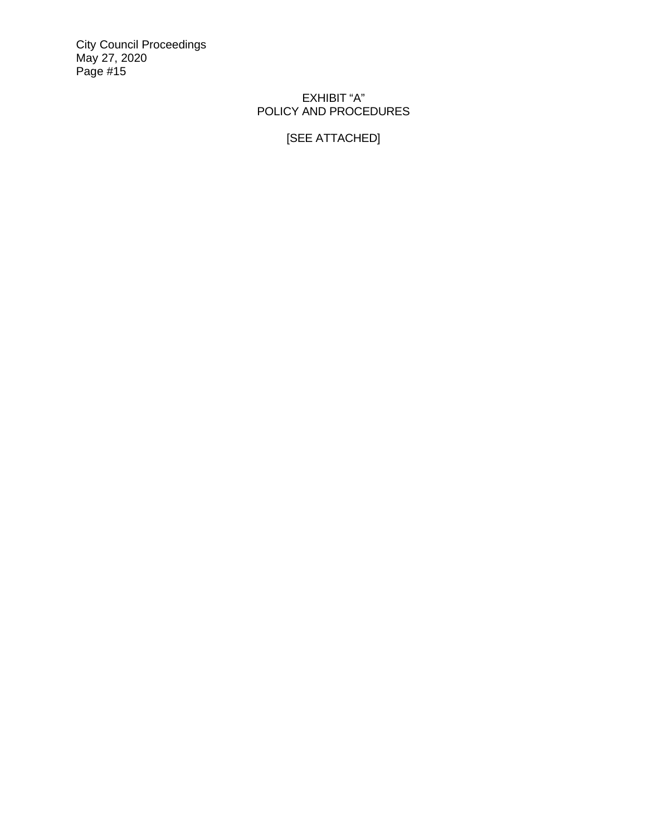# EXHIBIT "A" POLICY AND PROCEDURES

[SEE ATTACHED]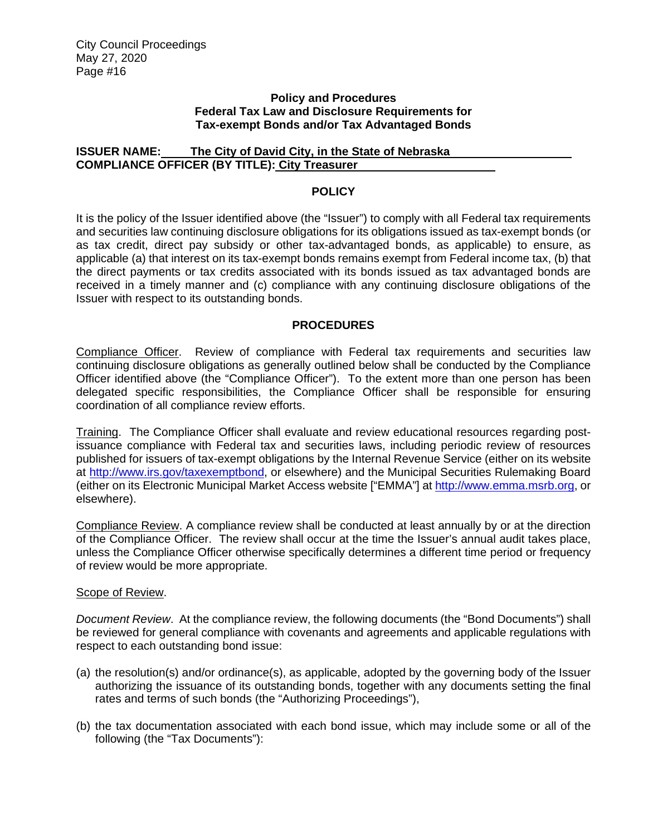#### **Policy and Procedures Federal Tax Law and Disclosure Requirements for Tax-exempt Bonds and/or Tax Advantaged Bonds**

## **ISSUER NAME: The City of David City, in the State of Nebraska COMPLIANCE OFFICER (BY TITLE): City Treasurer**

## **POLICY**

It is the policy of the Issuer identified above (the "Issuer") to comply with all Federal tax requirements and securities law continuing disclosure obligations for its obligations issued as tax-exempt bonds (or as tax credit, direct pay subsidy or other tax-advantaged bonds, as applicable) to ensure, as applicable (a) that interest on its tax-exempt bonds remains exempt from Federal income tax, (b) that the direct payments or tax credits associated with its bonds issued as tax advantaged bonds are received in a timely manner and (c) compliance with any continuing disclosure obligations of the Issuer with respect to its outstanding bonds.

### **PROCEDURES**

Compliance Officer. Review of compliance with Federal tax requirements and securities law continuing disclosure obligations as generally outlined below shall be conducted by the Compliance Officer identified above (the "Compliance Officer"). To the extent more than one person has been delegated specific responsibilities, the Compliance Officer shall be responsible for ensuring coordination of all compliance review efforts.

Training. The Compliance Officer shall evaluate and review educational resources regarding postissuance compliance with Federal tax and securities laws, including periodic review of resources published for issuers of tax-exempt obligations by the Internal Revenue Service (either on its website at [http://www.irs.gov/taxexemptbond,](http://www.irs.gov/taxexemptbond) or elsewhere) and the Municipal Securities Rulemaking Board (either on its Electronic Municipal Market Access website ["EMMA"] at [http://www.emma.msrb.org,](http://www.emma.msrb.org/) or elsewhere).

Compliance Review. A compliance review shall be conducted at least annually by or at the direction of the Compliance Officer. The review shall occur at the time the Issuer's annual audit takes place, unless the Compliance Officer otherwise specifically determines a different time period or frequency of review would be more appropriate.

#### Scope of Review.

*Document Review*. At the compliance review, the following documents (the "Bond Documents") shall be reviewed for general compliance with covenants and agreements and applicable regulations with respect to each outstanding bond issue:

- (a) the resolution(s) and/or ordinance(s), as applicable, adopted by the governing body of the Issuer authorizing the issuance of its outstanding bonds, together with any documents setting the final rates and terms of such bonds (the "Authorizing Proceedings"),
- (b) the tax documentation associated with each bond issue, which may include some or all of the following (the "Tax Documents"):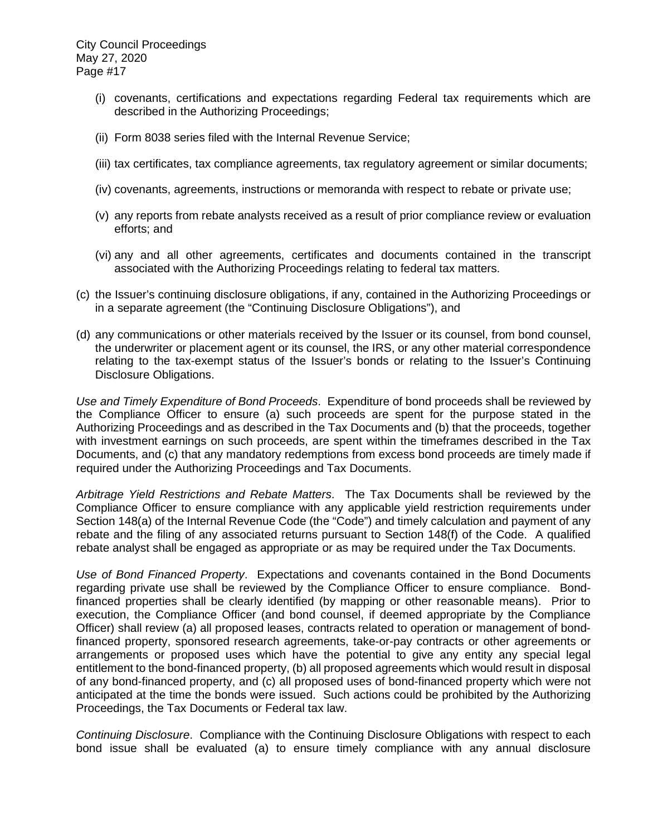- (i) covenants, certifications and expectations regarding Federal tax requirements which are described in the Authorizing Proceedings;
- (ii) Form 8038 series filed with the Internal Revenue Service;
- (iii) tax certificates, tax compliance agreements, tax regulatory agreement or similar documents;
- (iv) covenants, agreements, instructions or memoranda with respect to rebate or private use;
- (v) any reports from rebate analysts received as a result of prior compliance review or evaluation efforts; and
- (vi) any and all other agreements, certificates and documents contained in the transcript associated with the Authorizing Proceedings relating to federal tax matters.
- (c) the Issuer's continuing disclosure obligations, if any, contained in the Authorizing Proceedings or in a separate agreement (the "Continuing Disclosure Obligations"), and
- (d) any communications or other materials received by the Issuer or its counsel, from bond counsel, the underwriter or placement agent or its counsel, the IRS, or any other material correspondence relating to the tax-exempt status of the Issuer's bonds or relating to the Issuer's Continuing Disclosure Obligations.

*Use and Timely Expenditure of Bond Proceeds*. Expenditure of bond proceeds shall be reviewed by the Compliance Officer to ensure (a) such proceeds are spent for the purpose stated in the Authorizing Proceedings and as described in the Tax Documents and (b) that the proceeds, together with investment earnings on such proceeds, are spent within the timeframes described in the Tax Documents, and (c) that any mandatory redemptions from excess bond proceeds are timely made if required under the Authorizing Proceedings and Tax Documents.

*Arbitrage Yield Restrictions and Rebate Matters*. The Tax Documents shall be reviewed by the Compliance Officer to ensure compliance with any applicable yield restriction requirements under Section 148(a) of the Internal Revenue Code (the "Code") and timely calculation and payment of any rebate and the filing of any associated returns pursuant to Section 148(f) of the Code. A qualified rebate analyst shall be engaged as appropriate or as may be required under the Tax Documents.

*Use of Bond Financed Property*. Expectations and covenants contained in the Bond Documents regarding private use shall be reviewed by the Compliance Officer to ensure compliance. Bondfinanced properties shall be clearly identified (by mapping or other reasonable means). Prior to execution, the Compliance Officer (and bond counsel, if deemed appropriate by the Compliance Officer) shall review (a) all proposed leases, contracts related to operation or management of bondfinanced property, sponsored research agreements, take-or-pay contracts or other agreements or arrangements or proposed uses which have the potential to give any entity any special legal entitlement to the bond-financed property, (b) all proposed agreements which would result in disposal of any bond-financed property, and (c) all proposed uses of bond-financed property which were not anticipated at the time the bonds were issued. Such actions could be prohibited by the Authorizing Proceedings, the Tax Documents or Federal tax law.

*Continuing Disclosure*. Compliance with the Continuing Disclosure Obligations with respect to each bond issue shall be evaluated (a) to ensure timely compliance with any annual disclosure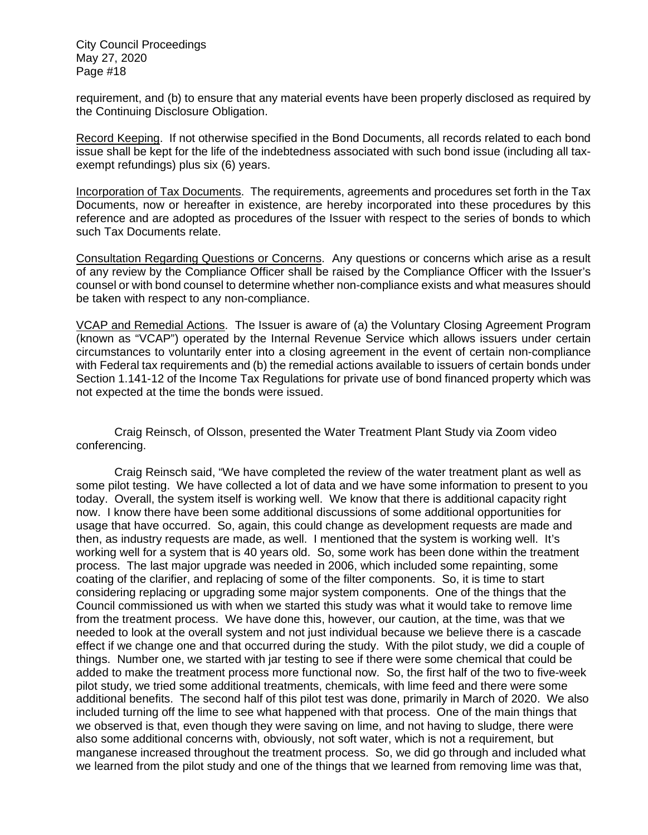requirement, and (b) to ensure that any material events have been properly disclosed as required by the Continuing Disclosure Obligation.

Record Keeping. If not otherwise specified in the Bond Documents, all records related to each bond issue shall be kept for the life of the indebtedness associated with such bond issue (including all taxexempt refundings) plus six (6) years.

Incorporation of Tax Documents. The requirements, agreements and procedures set forth in the Tax Documents, now or hereafter in existence, are hereby incorporated into these procedures by this reference and are adopted as procedures of the Issuer with respect to the series of bonds to which such Tax Documents relate.

Consultation Regarding Questions or Concerns. Any questions or concerns which arise as a result of any review by the Compliance Officer shall be raised by the Compliance Officer with the Issuer's counsel or with bond counsel to determine whether non-compliance exists and what measures should be taken with respect to any non-compliance.

VCAP and Remedial Actions. The Issuer is aware of (a) the Voluntary Closing Agreement Program (known as "VCAP") operated by the Internal Revenue Service which allows issuers under certain circumstances to voluntarily enter into a closing agreement in the event of certain non-compliance with Federal tax requirements and (b) the remedial actions available to issuers of certain bonds under Section 1.141-12 of the Income Tax Regulations for private use of bond financed property which was not expected at the time the bonds were issued.

Craig Reinsch, of Olsson, presented the Water Treatment Plant Study via Zoom video conferencing.

Craig Reinsch said, "We have completed the review of the water treatment plant as well as some pilot testing. We have collected a lot of data and we have some information to present to you today. Overall, the system itself is working well. We know that there is additional capacity right now. I know there have been some additional discussions of some additional opportunities for usage that have occurred. So, again, this could change as development requests are made and then, as industry requests are made, as well. I mentioned that the system is working well. It's working well for a system that is 40 years old. So, some work has been done within the treatment process. The last major upgrade was needed in 2006, which included some repainting, some coating of the clarifier, and replacing of some of the filter components. So, it is time to start considering replacing or upgrading some major system components. One of the things that the Council commissioned us with when we started this study was what it would take to remove lime from the treatment process. We have done this, however, our caution, at the time, was that we needed to look at the overall system and not just individual because we believe there is a cascade effect if we change one and that occurred during the study. With the pilot study, we did a couple of things. Number one, we started with jar testing to see if there were some chemical that could be added to make the treatment process more functional now. So, the first half of the two to five-week pilot study, we tried some additional treatments, chemicals, with lime feed and there were some additional benefits. The second half of this pilot test was done, primarily in March of 2020. We also included turning off the lime to see what happened with that process. One of the main things that we observed is that, even though they were saving on lime, and not having to sludge, there were also some additional concerns with, obviously, not soft water, which is not a requirement, but manganese increased throughout the treatment process. So, we did go through and included what we learned from the pilot study and one of the things that we learned from removing lime was that,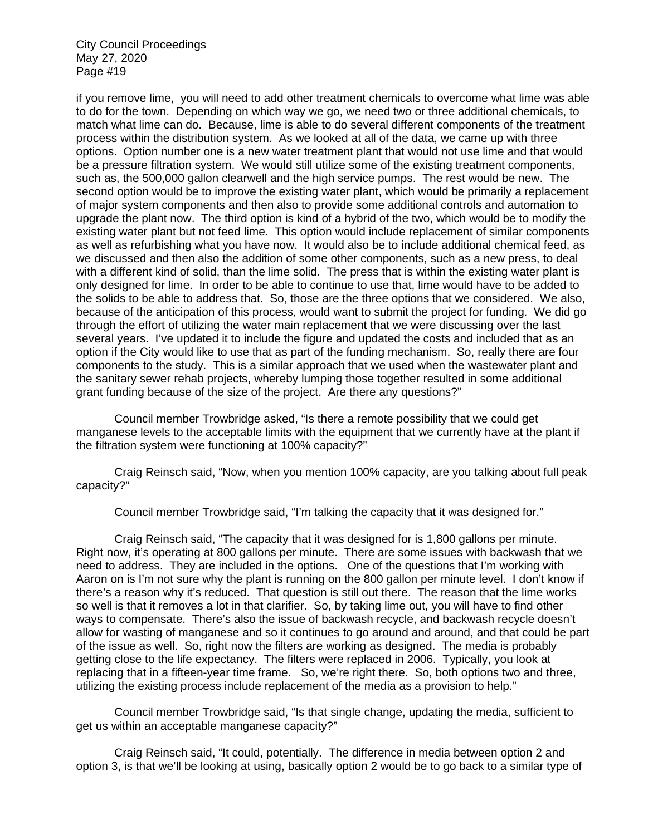if you remove lime, you will need to add other treatment chemicals to overcome what lime was able to do for the town. Depending on which way we go, we need two or three additional chemicals, to match what lime can do. Because, lime is able to do several different components of the treatment process within the distribution system. As we looked at all of the data, we came up with three options. Option number one is a new water treatment plant that would not use lime and that would be a pressure filtration system. We would still utilize some of the existing treatment components, such as, the 500,000 gallon clearwell and the high service pumps. The rest would be new. The second option would be to improve the existing water plant, which would be primarily a replacement of major system components and then also to provide some additional controls and automation to upgrade the plant now. The third option is kind of a hybrid of the two, which would be to modify the existing water plant but not feed lime. This option would include replacement of similar components as well as refurbishing what you have now. It would also be to include additional chemical feed, as we discussed and then also the addition of some other components, such as a new press, to deal with a different kind of solid, than the lime solid. The press that is within the existing water plant is only designed for lime. In order to be able to continue to use that, lime would have to be added to the solids to be able to address that. So, those are the three options that we considered. We also, because of the anticipation of this process, would want to submit the project for funding. We did go through the effort of utilizing the water main replacement that we were discussing over the last several years. I've updated it to include the figure and updated the costs and included that as an option if the City would like to use that as part of the funding mechanism. So, really there are four components to the study. This is a similar approach that we used when the wastewater plant and the sanitary sewer rehab projects, whereby lumping those together resulted in some additional grant funding because of the size of the project. Are there any questions?"

Council member Trowbridge asked, "Is there a remote possibility that we could get manganese levels to the acceptable limits with the equipment that we currently have at the plant if the filtration system were functioning at 100% capacity?"

Craig Reinsch said, "Now, when you mention 100% capacity, are you talking about full peak capacity?"

Council member Trowbridge said, "I'm talking the capacity that it was designed for."

Craig Reinsch said, "The capacity that it was designed for is 1,800 gallons per minute. Right now, it's operating at 800 gallons per minute. There are some issues with backwash that we need to address. They are included in the options. One of the questions that I'm working with Aaron on is I'm not sure why the plant is running on the 800 gallon per minute level. I don't know if there's a reason why it's reduced. That question is still out there. The reason that the lime works so well is that it removes a lot in that clarifier. So, by taking lime out, you will have to find other ways to compensate. There's also the issue of backwash recycle, and backwash recycle doesn't allow for wasting of manganese and so it continues to go around and around, and that could be part of the issue as well. So, right now the filters are working as designed. The media is probably getting close to the life expectancy. The filters were replaced in 2006. Typically, you look at replacing that in a fifteen-year time frame. So, we're right there. So, both options two and three, utilizing the existing process include replacement of the media as a provision to help."

Council member Trowbridge said, "Is that single change, updating the media, sufficient to get us within an acceptable manganese capacity?"

Craig Reinsch said, "It could, potentially. The difference in media between option 2 and option 3, is that we'll be looking at using, basically option 2 would be to go back to a similar type of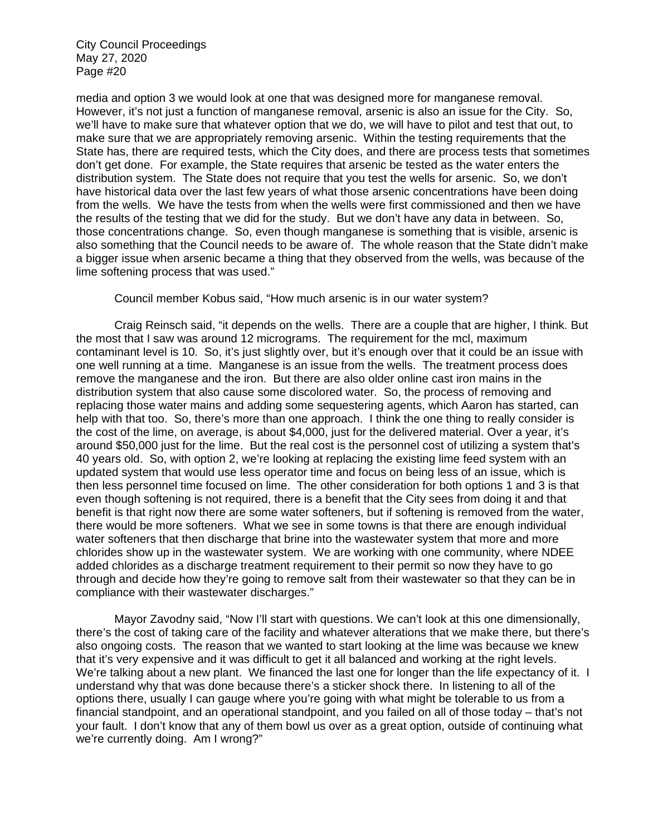media and option 3 we would look at one that was designed more for manganese removal. However, it's not just a function of manganese removal, arsenic is also an issue for the City. So, we'll have to make sure that whatever option that we do, we will have to pilot and test that out, to make sure that we are appropriately removing arsenic. Within the testing requirements that the State has, there are required tests, which the City does, and there are process tests that sometimes don't get done. For example, the State requires that arsenic be tested as the water enters the distribution system. The State does not require that you test the wells for arsenic. So, we don't have historical data over the last few years of what those arsenic concentrations have been doing from the wells. We have the tests from when the wells were first commissioned and then we have the results of the testing that we did for the study. But we don't have any data in between. So, those concentrations change. So, even though manganese is something that is visible, arsenic is also something that the Council needs to be aware of. The whole reason that the State didn't make a bigger issue when arsenic became a thing that they observed from the wells, was because of the lime softening process that was used."

Council member Kobus said, "How much arsenic is in our water system?

Craig Reinsch said, "it depends on the wells. There are a couple that are higher, I think. But the most that I saw was around 12 micrograms. The requirement for the mcl, maximum contaminant level is 10. So, it's just slightly over, but it's enough over that it could be an issue with one well running at a time. Manganese is an issue from the wells. The treatment process does remove the manganese and the iron. But there are also older online cast iron mains in the distribution system that also cause some discolored water. So, the process of removing and replacing those water mains and adding some sequestering agents, which Aaron has started, can help with that too. So, there's more than one approach. I think the one thing to really consider is the cost of the lime, on average, is about \$4,000, just for the delivered material. Over a year, it's around \$50,000 just for the lime. But the real cost is the personnel cost of utilizing a system that's 40 years old. So, with option 2, we're looking at replacing the existing lime feed system with an updated system that would use less operator time and focus on being less of an issue, which is then less personnel time focused on lime. The other consideration for both options 1 and 3 is that even though softening is not required, there is a benefit that the City sees from doing it and that benefit is that right now there are some water softeners, but if softening is removed from the water, there would be more softeners. What we see in some towns is that there are enough individual water softeners that then discharge that brine into the wastewater system that more and more chlorides show up in the wastewater system. We are working with one community, where NDEE added chlorides as a discharge treatment requirement to their permit so now they have to go through and decide how they're going to remove salt from their wastewater so that they can be in compliance with their wastewater discharges."

Mayor Zavodny said, "Now I'll start with questions. We can't look at this one dimensionally, there's the cost of taking care of the facility and whatever alterations that we make there, but there's also ongoing costs. The reason that we wanted to start looking at the lime was because we knew that it's very expensive and it was difficult to get it all balanced and working at the right levels. We're talking about a new plant. We financed the last one for longer than the life expectancy of it. I understand why that was done because there's a sticker shock there. In listening to all of the options there, usually I can gauge where you're going with what might be tolerable to us from a financial standpoint, and an operational standpoint, and you failed on all of those today – that's not your fault. I don't know that any of them bowl us over as a great option, outside of continuing what we're currently doing. Am I wrong?"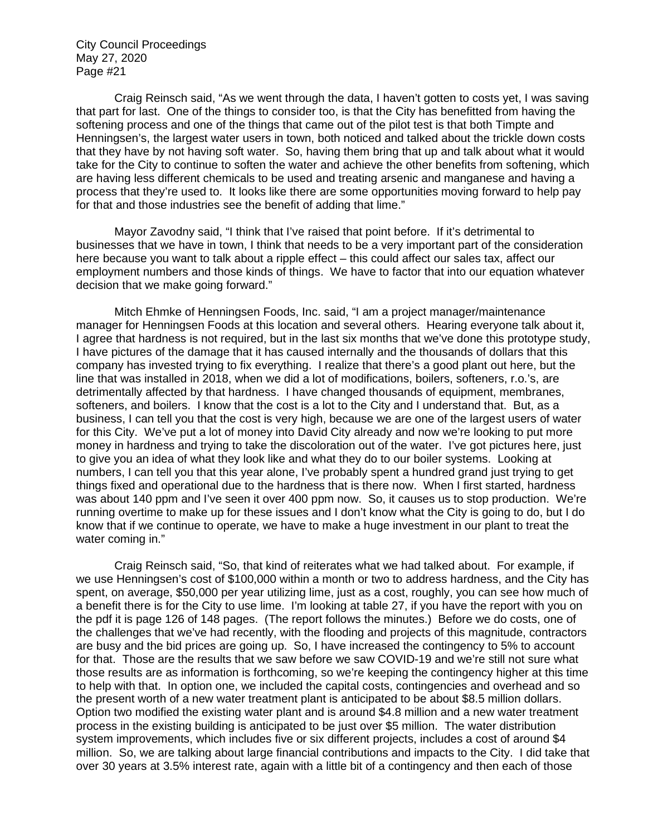Craig Reinsch said, "As we went through the data, I haven't gotten to costs yet, I was saving that part for last. One of the things to consider too, is that the City has benefitted from having the softening process and one of the things that came out of the pilot test is that both Timpte and Henningsen's, the largest water users in town, both noticed and talked about the trickle down costs that they have by not having soft water. So, having them bring that up and talk about what it would take for the City to continue to soften the water and achieve the other benefits from softening, which are having less different chemicals to be used and treating arsenic and manganese and having a process that they're used to. It looks like there are some opportunities moving forward to help pay for that and those industries see the benefit of adding that lime."

Mayor Zavodny said, "I think that I've raised that point before. If it's detrimental to businesses that we have in town, I think that needs to be a very important part of the consideration here because you want to talk about a ripple effect – this could affect our sales tax, affect our employment numbers and those kinds of things. We have to factor that into our equation whatever decision that we make going forward."

Mitch Ehmke of Henningsen Foods, Inc. said, "I am a project manager/maintenance manager for Henningsen Foods at this location and several others. Hearing everyone talk about it, I agree that hardness is not required, but in the last six months that we've done this prototype study, I have pictures of the damage that it has caused internally and the thousands of dollars that this company has invested trying to fix everything. I realize that there's a good plant out here, but the line that was installed in 2018, when we did a lot of modifications, boilers, softeners, r.o.'s, are detrimentally affected by that hardness. I have changed thousands of equipment, membranes, softeners, and boilers. I know that the cost is a lot to the City and I understand that. But, as a business, I can tell you that the cost is very high, because we are one of the largest users of water for this City. We've put a lot of money into David City already and now we're looking to put more money in hardness and trying to take the discoloration out of the water. I've got pictures here, just to give you an idea of what they look like and what they do to our boiler systems. Looking at numbers, I can tell you that this year alone, I've probably spent a hundred grand just trying to get things fixed and operational due to the hardness that is there now. When I first started, hardness was about 140 ppm and I've seen it over 400 ppm now. So, it causes us to stop production. We're running overtime to make up for these issues and I don't know what the City is going to do, but I do know that if we continue to operate, we have to make a huge investment in our plant to treat the water coming in."

Craig Reinsch said, "So, that kind of reiterates what we had talked about. For example, if we use Henningsen's cost of \$100,000 within a month or two to address hardness, and the City has spent, on average, \$50,000 per year utilizing lime, just as a cost, roughly, you can see how much of a benefit there is for the City to use lime. I'm looking at table 27, if you have the report with you on the pdf it is page 126 of 148 pages. (The report follows the minutes.) Before we do costs, one of the challenges that we've had recently, with the flooding and projects of this magnitude, contractors are busy and the bid prices are going up. So, I have increased the contingency to 5% to account for that. Those are the results that we saw before we saw COVID-19 and we're still not sure what those results are as information is forthcoming, so we're keeping the contingency higher at this time to help with that. In option one, we included the capital costs, contingencies and overhead and so the present worth of a new water treatment plant is anticipated to be about \$8.5 million dollars. Option two modified the existing water plant and is around \$4.8 million and a new water treatment process in the existing building is anticipated to be just over \$5 million. The water distribution system improvements, which includes five or six different projects, includes a cost of around \$4 million. So, we are talking about large financial contributions and impacts to the City. I did take that over 30 years at 3.5% interest rate, again with a little bit of a contingency and then each of those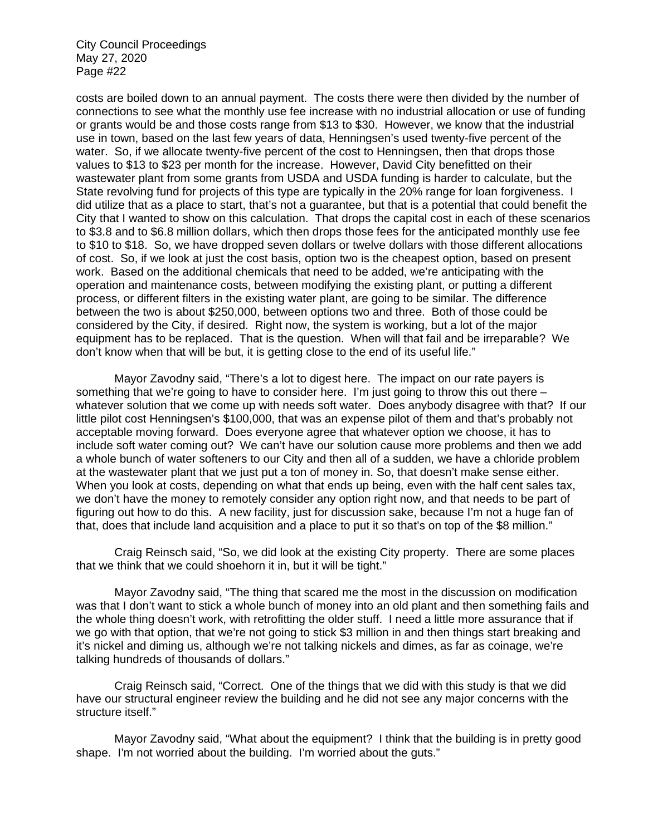costs are boiled down to an annual payment. The costs there were then divided by the number of connections to see what the monthly use fee increase with no industrial allocation or use of funding or grants would be and those costs range from \$13 to \$30. However, we know that the industrial use in town, based on the last few years of data, Henningsen's used twenty-five percent of the water. So, if we allocate twenty-five percent of the cost to Henningsen, then that drops those values to \$13 to \$23 per month for the increase. However, David City benefitted on their wastewater plant from some grants from USDA and USDA funding is harder to calculate, but the State revolving fund for projects of this type are typically in the 20% range for loan forgiveness. I did utilize that as a place to start, that's not a guarantee, but that is a potential that could benefit the City that I wanted to show on this calculation. That drops the capital cost in each of these scenarios to \$3.8 and to \$6.8 million dollars, which then drops those fees for the anticipated monthly use fee to \$10 to \$18. So, we have dropped seven dollars or twelve dollars with those different allocations of cost. So, if we look at just the cost basis, option two is the cheapest option, based on present work. Based on the additional chemicals that need to be added, we're anticipating with the operation and maintenance costs, between modifying the existing plant, or putting a different process, or different filters in the existing water plant, are going to be similar. The difference between the two is about \$250,000, between options two and three. Both of those could be considered by the City, if desired. Right now, the system is working, but a lot of the major equipment has to be replaced. That is the question. When will that fail and be irreparable? We don't know when that will be but, it is getting close to the end of its useful life."

Mayor Zavodny said, "There's a lot to digest here. The impact on our rate payers is something that we're going to have to consider here. I'm just going to throw this out there  $$ whatever solution that we come up with needs soft water. Does anybody disagree with that? If our little pilot cost Henningsen's \$100,000, that was an expense pilot of them and that's probably not acceptable moving forward. Does everyone agree that whatever option we choose, it has to include soft water coming out? We can't have our solution cause more problems and then we add a whole bunch of water softeners to our City and then all of a sudden, we have a chloride problem at the wastewater plant that we just put a ton of money in. So, that doesn't make sense either. When you look at costs, depending on what that ends up being, even with the half cent sales tax, we don't have the money to remotely consider any option right now, and that needs to be part of figuring out how to do this. A new facility, just for discussion sake, because I'm not a huge fan of that, does that include land acquisition and a place to put it so that's on top of the \$8 million."

Craig Reinsch said, "So, we did look at the existing City property. There are some places that we think that we could shoehorn it in, but it will be tight."

Mayor Zavodny said, "The thing that scared me the most in the discussion on modification was that I don't want to stick a whole bunch of money into an old plant and then something fails and the whole thing doesn't work, with retrofitting the older stuff. I need a little more assurance that if we go with that option, that we're not going to stick \$3 million in and then things start breaking and it's nickel and diming us, although we're not talking nickels and dimes, as far as coinage, we're talking hundreds of thousands of dollars."

Craig Reinsch said, "Correct. One of the things that we did with this study is that we did have our structural engineer review the building and he did not see any major concerns with the structure itself."

Mayor Zavodny said, "What about the equipment? I think that the building is in pretty good shape. I'm not worried about the building. I'm worried about the guts."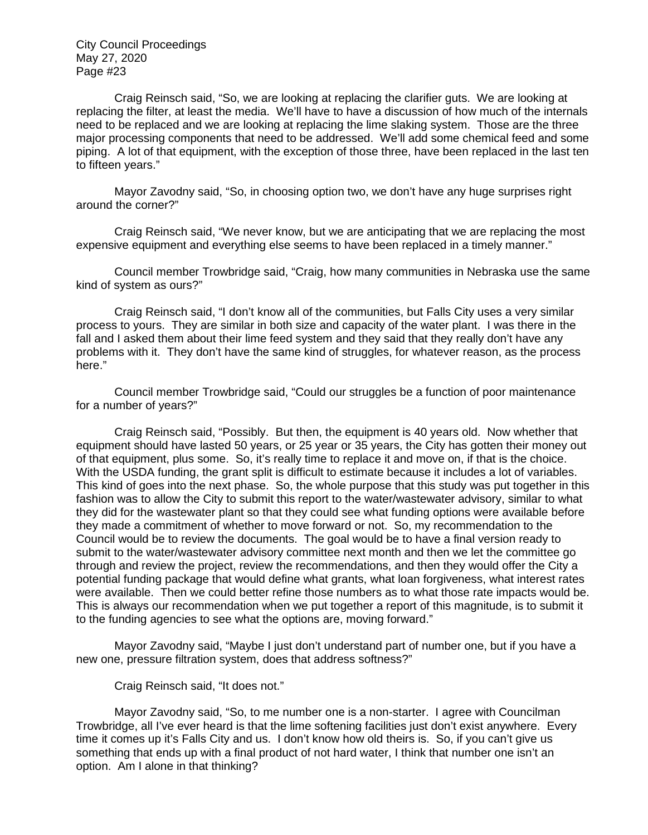Craig Reinsch said, "So, we are looking at replacing the clarifier guts. We are looking at replacing the filter, at least the media. We'll have to have a discussion of how much of the internals need to be replaced and we are looking at replacing the lime slaking system. Those are the three major processing components that need to be addressed. We'll add some chemical feed and some piping. A lot of that equipment, with the exception of those three, have been replaced in the last ten to fifteen years."

Mayor Zavodny said, "So, in choosing option two, we don't have any huge surprises right around the corner?"

Craig Reinsch said, "We never know, but we are anticipating that we are replacing the most expensive equipment and everything else seems to have been replaced in a timely manner."

Council member Trowbridge said, "Craig, how many communities in Nebraska use the same kind of system as ours?"

Craig Reinsch said, "I don't know all of the communities, but Falls City uses a very similar process to yours. They are similar in both size and capacity of the water plant. I was there in the fall and I asked them about their lime feed system and they said that they really don't have any problems with it. They don't have the same kind of struggles, for whatever reason, as the process here."

Council member Trowbridge said, "Could our struggles be a function of poor maintenance for a number of years?"

Craig Reinsch said, "Possibly. But then, the equipment is 40 years old. Now whether that equipment should have lasted 50 years, or 25 year or 35 years, the City has gotten their money out of that equipment, plus some. So, it's really time to replace it and move on, if that is the choice. With the USDA funding, the grant split is difficult to estimate because it includes a lot of variables. This kind of goes into the next phase. So, the whole purpose that this study was put together in this fashion was to allow the City to submit this report to the water/wastewater advisory, similar to what they did for the wastewater plant so that they could see what funding options were available before they made a commitment of whether to move forward or not. So, my recommendation to the Council would be to review the documents. The goal would be to have a final version ready to submit to the water/wastewater advisory committee next month and then we let the committee go through and review the project, review the recommendations, and then they would offer the City a potential funding package that would define what grants, what loan forgiveness, what interest rates were available. Then we could better refine those numbers as to what those rate impacts would be. This is always our recommendation when we put together a report of this magnitude, is to submit it to the funding agencies to see what the options are, moving forward."

Mayor Zavodny said, "Maybe I just don't understand part of number one, but if you have a new one, pressure filtration system, does that address softness?"

Craig Reinsch said, "It does not."

Mayor Zavodny said, "So, to me number one is a non-starter. I agree with Councilman Trowbridge, all I've ever heard is that the lime softening facilities just don't exist anywhere. Every time it comes up it's Falls City and us. I don't know how old theirs is. So, if you can't give us something that ends up with a final product of not hard water, I think that number one isn't an option. Am I alone in that thinking?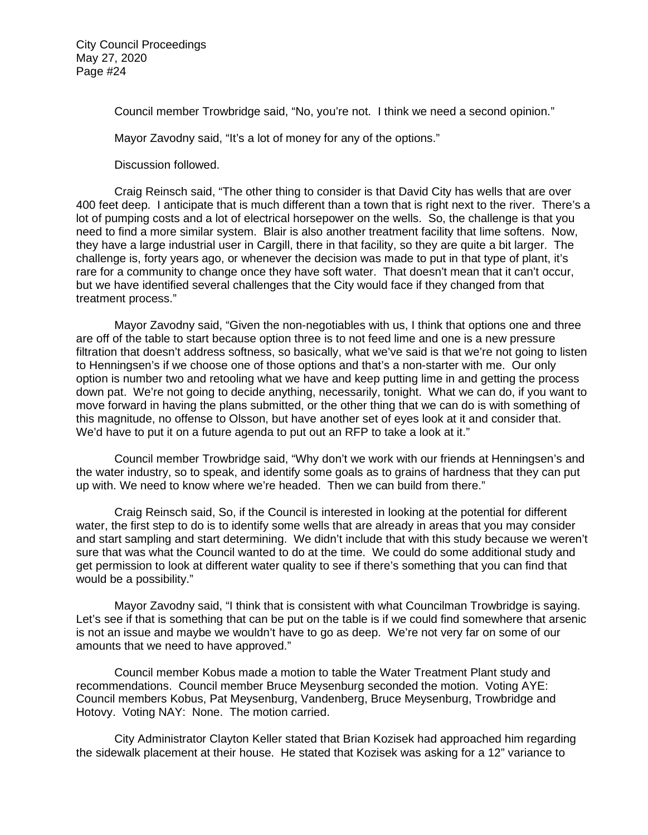Council member Trowbridge said, "No, you're not. I think we need a second opinion."

Mayor Zavodny said, "It's a lot of money for any of the options."

Discussion followed.

Craig Reinsch said, "The other thing to consider is that David City has wells that are over 400 feet deep. I anticipate that is much different than a town that is right next to the river. There's a lot of pumping costs and a lot of electrical horsepower on the wells. So, the challenge is that you need to find a more similar system. Blair is also another treatment facility that lime softens. Now, they have a large industrial user in Cargill, there in that facility, so they are quite a bit larger. The challenge is, forty years ago, or whenever the decision was made to put in that type of plant, it's rare for a community to change once they have soft water. That doesn't mean that it can't occur, but we have identified several challenges that the City would face if they changed from that treatment process."

Mayor Zavodny said, "Given the non-negotiables with us, I think that options one and three are off of the table to start because option three is to not feed lime and one is a new pressure filtration that doesn't address softness, so basically, what we've said is that we're not going to listen to Henningsen's if we choose one of those options and that's a non-starter with me. Our only option is number two and retooling what we have and keep putting lime in and getting the process down pat. We're not going to decide anything, necessarily, tonight. What we can do, if you want to move forward in having the plans submitted, or the other thing that we can do is with something of this magnitude, no offense to Olsson, but have another set of eyes look at it and consider that. We'd have to put it on a future agenda to put out an RFP to take a look at it."

Council member Trowbridge said, "Why don't we work with our friends at Henningsen's and the water industry, so to speak, and identify some goals as to grains of hardness that they can put up with. We need to know where we're headed. Then we can build from there."

Craig Reinsch said, So, if the Council is interested in looking at the potential for different water, the first step to do is to identify some wells that are already in areas that you may consider and start sampling and start determining. We didn't include that with this study because we weren't sure that was what the Council wanted to do at the time. We could do some additional study and get permission to look at different water quality to see if there's something that you can find that would be a possibility."

Mayor Zavodny said, "I think that is consistent with what Councilman Trowbridge is saying. Let's see if that is something that can be put on the table is if we could find somewhere that arsenic is not an issue and maybe we wouldn't have to go as deep. We're not very far on some of our amounts that we need to have approved."

Council member Kobus made a motion to table the Water Treatment Plant study and recommendations. Council member Bruce Meysenburg seconded the motion. Voting AYE: Council members Kobus, Pat Meysenburg, Vandenberg, Bruce Meysenburg, Trowbridge and Hotovy. Voting NAY: None. The motion carried.

City Administrator Clayton Keller stated that Brian Kozisek had approached him regarding the sidewalk placement at their house. He stated that Kozisek was asking for a 12" variance to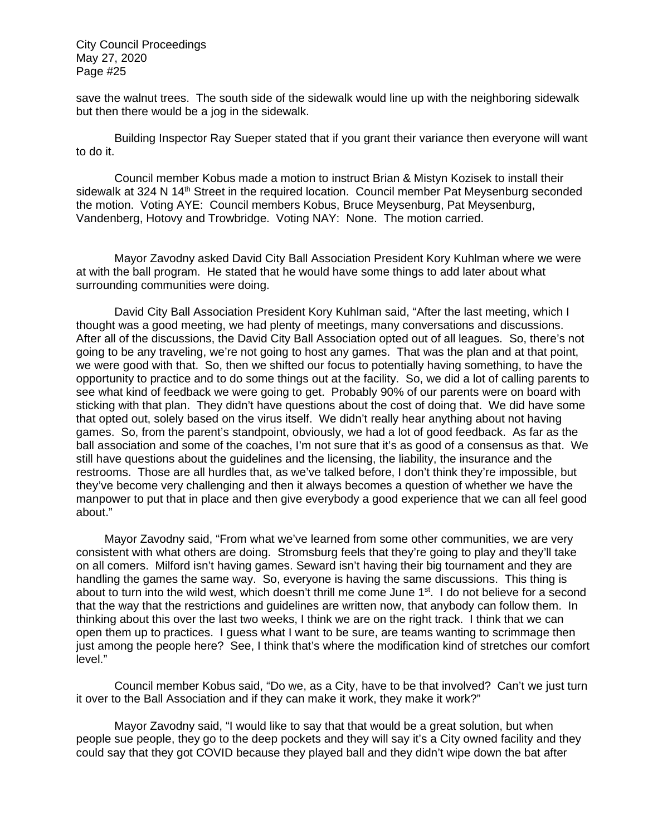save the walnut trees. The south side of the sidewalk would line up with the neighboring sidewalk but then there would be a jog in the sidewalk.

Building Inspector Ray Sueper stated that if you grant their variance then everyone will want to do it.

Council member Kobus made a motion to instruct Brian & Mistyn Kozisek to install their sidewalk at 324 N 14<sup>th</sup> Street in the required location. Council member Pat Meysenburg seconded the motion. Voting AYE: Council members Kobus, Bruce Meysenburg, Pat Meysenburg, Vandenberg, Hotovy and Trowbridge. Voting NAY: None. The motion carried.

 Mayor Zavodny asked David City Ball Association President Kory Kuhlman where we were at with the ball program. He stated that he would have some things to add later about what surrounding communities were doing.

 David City Ball Association President Kory Kuhlman said, "After the last meeting, which I thought was a good meeting, we had plenty of meetings, many conversations and discussions. After all of the discussions, the David City Ball Association opted out of all leagues. So, there's not going to be any traveling, we're not going to host any games. That was the plan and at that point, we were good with that. So, then we shifted our focus to potentially having something, to have the opportunity to practice and to do some things out at the facility. So, we did a lot of calling parents to see what kind of feedback we were going to get. Probably 90% of our parents were on board with sticking with that plan. They didn't have questions about the cost of doing that. We did have some that opted out, solely based on the virus itself. We didn't really hear anything about not having games. So, from the parent's standpoint, obviously, we had a lot of good feedback. As far as the ball association and some of the coaches, I'm not sure that it's as good of a consensus as that. We still have questions about the guidelines and the licensing, the liability, the insurance and the restrooms. Those are all hurdles that, as we've talked before, I don't think they're impossible, but they've become very challenging and then it always becomes a question of whether we have the manpower to put that in place and then give everybody a good experience that we can all feel good about."

Mayor Zavodny said, "From what we've learned from some other communities, we are very consistent with what others are doing. Stromsburg feels that they're going to play and they'll take on all comers. Milford isn't having games. Seward isn't having their big tournament and they are handling the games the same way. So, everyone is having the same discussions. This thing is about to turn into the wild west, which doesn't thrill me come June 1<sup>st</sup>. I do not believe for a second that the way that the restrictions and guidelines are written now, that anybody can follow them. In thinking about this over the last two weeks, I think we are on the right track. I think that we can open them up to practices. I guess what I want to be sure, are teams wanting to scrimmage then just among the people here? See, I think that's where the modification kind of stretches our comfort level."

 Council member Kobus said, "Do we, as a City, have to be that involved? Can't we just turn it over to the Ball Association and if they can make it work, they make it work?"

 Mayor Zavodny said, "I would like to say that that would be a great solution, but when people sue people, they go to the deep pockets and they will say it's a City owned facility and they could say that they got COVID because they played ball and they didn't wipe down the bat after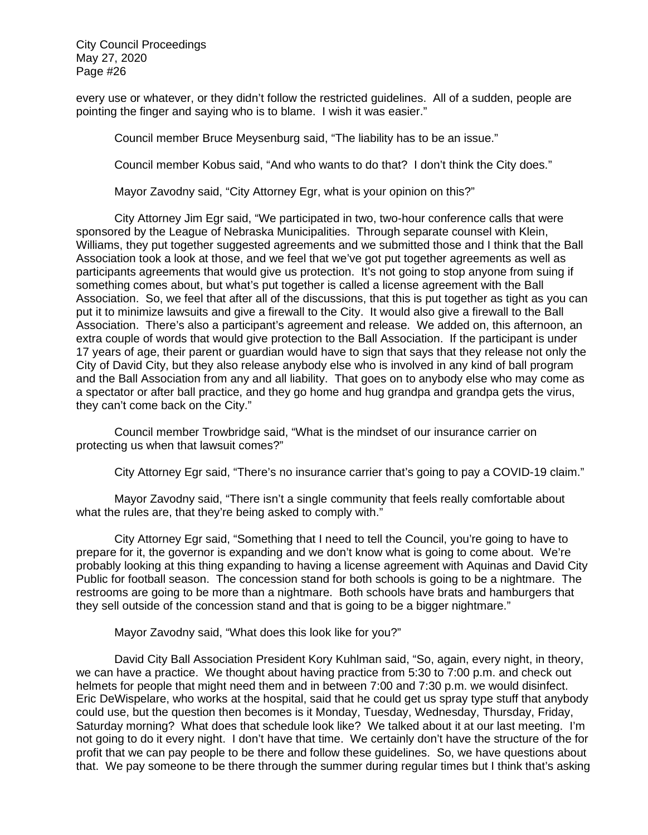every use or whatever, or they didn't follow the restricted guidelines. All of a sudden, people are pointing the finger and saying who is to blame. I wish it was easier."

Council member Bruce Meysenburg said, "The liability has to be an issue."

Council member Kobus said, "And who wants to do that? I don't think the City does."

Mayor Zavodny said, "City Attorney Egr, what is your opinion on this?"

 City Attorney Jim Egr said, "We participated in two, two-hour conference calls that were sponsored by the League of Nebraska Municipalities. Through separate counsel with Klein, Williams, they put together suggested agreements and we submitted those and I think that the Ball Association took a look at those, and we feel that we've got put together agreements as well as participants agreements that would give us protection. It's not going to stop anyone from suing if something comes about, but what's put together is called a license agreement with the Ball Association. So, we feel that after all of the discussions, that this is put together as tight as you can put it to minimize lawsuits and give a firewall to the City. It would also give a firewall to the Ball Association. There's also a participant's agreement and release. We added on, this afternoon, an extra couple of words that would give protection to the Ball Association. If the participant is under 17 years of age, their parent or guardian would have to sign that says that they release not only the City of David City, but they also release anybody else who is involved in any kind of ball program and the Ball Association from any and all liability. That goes on to anybody else who may come as a spectator or after ball practice, and they go home and hug grandpa and grandpa gets the virus, they can't come back on the City."

 Council member Trowbridge said, "What is the mindset of our insurance carrier on protecting us when that lawsuit comes?"

City Attorney Egr said, "There's no insurance carrier that's going to pay a COVID-19 claim."

 Mayor Zavodny said, "There isn't a single community that feels really comfortable about what the rules are, that they're being asked to comply with."

 City Attorney Egr said, "Something that I need to tell the Council, you're going to have to prepare for it, the governor is expanding and we don't know what is going to come about. We're probably looking at this thing expanding to having a license agreement with Aquinas and David City Public for football season. The concession stand for both schools is going to be a nightmare. The restrooms are going to be more than a nightmare. Both schools have brats and hamburgers that they sell outside of the concession stand and that is going to be a bigger nightmare."

Mayor Zavodny said, "What does this look like for you?"

 David City Ball Association President Kory Kuhlman said, "So, again, every night, in theory, we can have a practice. We thought about having practice from 5:30 to 7:00 p.m. and check out helmets for people that might need them and in between 7:00 and 7:30 p.m. we would disinfect. Eric DeWispelare, who works at the hospital, said that he could get us spray type stuff that anybody could use, but the question then becomes is it Monday, Tuesday, Wednesday, Thursday, Friday, Saturday morning? What does that schedule look like? We talked about it at our last meeting. I'm not going to do it every night. I don't have that time. We certainly don't have the structure of the for profit that we can pay people to be there and follow these guidelines. So, we have questions about that. We pay someone to be there through the summer during regular times but I think that's asking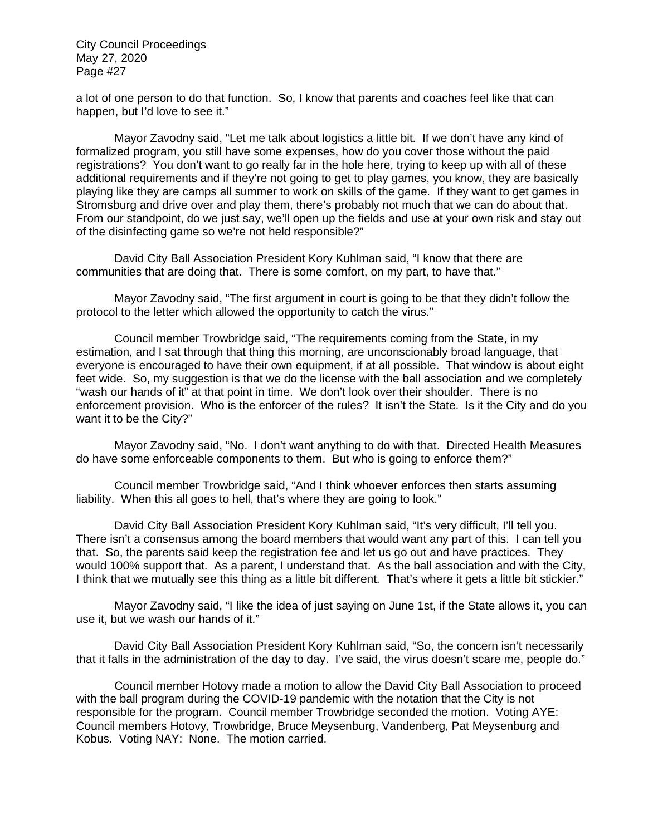a lot of one person to do that function. So, I know that parents and coaches feel like that can happen, but I'd love to see it."

Mayor Zavodny said, "Let me talk about logistics a little bit. If we don't have any kind of formalized program, you still have some expenses, how do you cover those without the paid registrations? You don't want to go really far in the hole here, trying to keep up with all of these additional requirements and if they're not going to get to play games, you know, they are basically playing like they are camps all summer to work on skills of the game. If they want to get games in Stromsburg and drive over and play them, there's probably not much that we can do about that. From our standpoint, do we just say, we'll open up the fields and use at your own risk and stay out of the disinfecting game so we're not held responsible?"

 David City Ball Association President Kory Kuhlman said, "I know that there are communities that are doing that. There is some comfort, on my part, to have that."

 Mayor Zavodny said, "The first argument in court is going to be that they didn't follow the protocol to the letter which allowed the opportunity to catch the virus."

 Council member Trowbridge said, "The requirements coming from the State, in my estimation, and I sat through that thing this morning, are unconscionably broad language, that everyone is encouraged to have their own equipment, if at all possible. That window is about eight feet wide. So, my suggestion is that we do the license with the ball association and we completely "wash our hands of it" at that point in time. We don't look over their shoulder. There is no enforcement provision. Who is the enforcer of the rules? It isn't the State. Is it the City and do you want it to be the City?"

 Mayor Zavodny said, "No. I don't want anything to do with that. Directed Health Measures do have some enforceable components to them. But who is going to enforce them?"

 Council member Trowbridge said, "And I think whoever enforces then starts assuming liability. When this all goes to hell, that's where they are going to look."

 David City Ball Association President Kory Kuhlman said, "It's very difficult, I'll tell you. There isn't a consensus among the board members that would want any part of this. I can tell you that. So, the parents said keep the registration fee and let us go out and have practices. They would 100% support that. As a parent, I understand that. As the ball association and with the City, I think that we mutually see this thing as a little bit different. That's where it gets a little bit stickier."

 Mayor Zavodny said, "I like the idea of just saying on June 1st, if the State allows it, you can use it, but we wash our hands of it."

 David City Ball Association President Kory Kuhlman said, "So, the concern isn't necessarily that it falls in the administration of the day to day. I've said, the virus doesn't scare me, people do."

Council member Hotovy made a motion to allow the David City Ball Association to proceed with the ball program during the COVID-19 pandemic with the notation that the City is not responsible for the program. Council member Trowbridge seconded the motion. Voting AYE: Council members Hotovy, Trowbridge, Bruce Meysenburg, Vandenberg, Pat Meysenburg and Kobus. Voting NAY: None. The motion carried.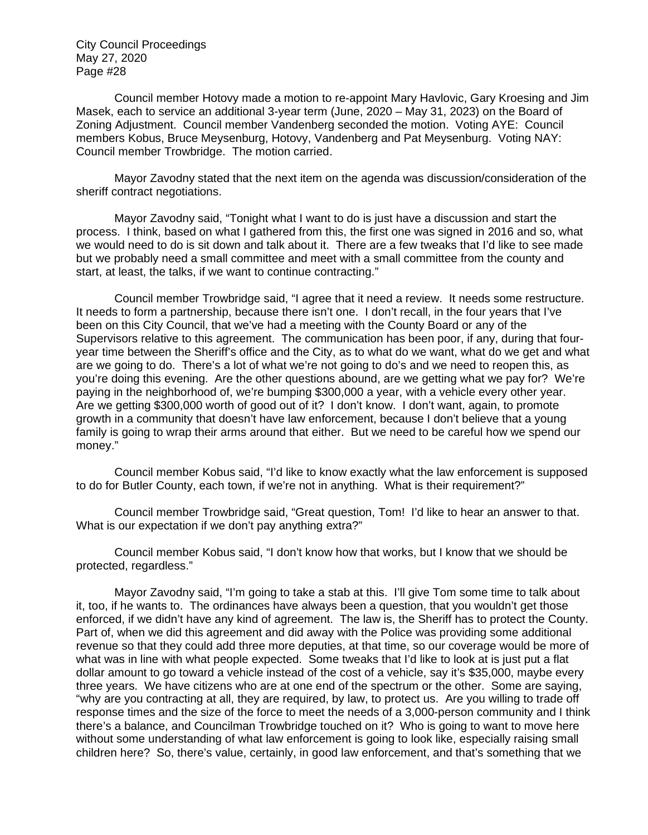Council member Hotovy made a motion to re-appoint Mary Havlovic, Gary Kroesing and Jim Masek, each to service an additional 3-year term (June, 2020 – May 31, 2023) on the Board of Zoning Adjustment. Council member Vandenberg seconded the motion. Voting AYE: Council members Kobus, Bruce Meysenburg, Hotovy, Vandenberg and Pat Meysenburg. Voting NAY: Council member Trowbridge. The motion carried.

Mayor Zavodny stated that the next item on the agenda was discussion/consideration of the sheriff contract negotiations.

Mayor Zavodny said, "Tonight what I want to do is just have a discussion and start the process. I think, based on what I gathered from this, the first one was signed in 2016 and so, what we would need to do is sit down and talk about it. There are a few tweaks that I'd like to see made but we probably need a small committee and meet with a small committee from the county and start, at least, the talks, if we want to continue contracting."

Council member Trowbridge said, "I agree that it need a review. It needs some restructure. It needs to form a partnership, because there isn't one. I don't recall, in the four years that I've been on this City Council, that we've had a meeting with the County Board or any of the Supervisors relative to this agreement. The communication has been poor, if any, during that fouryear time between the Sheriff's office and the City, as to what do we want, what do we get and what are we going to do. There's a lot of what we're not going to do's and we need to reopen this, as you're doing this evening. Are the other questions abound, are we getting what we pay for? We're paying in the neighborhood of, we're bumping \$300,000 a year, with a vehicle every other year. Are we getting \$300,000 worth of good out of it? I don't know. I don't want, again, to promote growth in a community that doesn't have law enforcement, because I don't believe that a young family is going to wrap their arms around that either. But we need to be careful how we spend our money."

Council member Kobus said, "I'd like to know exactly what the law enforcement is supposed to do for Butler County, each town, if we're not in anything. What is their requirement?"

Council member Trowbridge said, "Great question, Tom! I'd like to hear an answer to that. What is our expectation if we don't pay anything extra?"

Council member Kobus said, "I don't know how that works, but I know that we should be protected, regardless."

Mayor Zavodny said, "I'm going to take a stab at this. I'll give Tom some time to talk about it, too, if he wants to. The ordinances have always been a question, that you wouldn't get those enforced, if we didn't have any kind of agreement. The law is, the Sheriff has to protect the County. Part of, when we did this agreement and did away with the Police was providing some additional revenue so that they could add three more deputies, at that time, so our coverage would be more of what was in line with what people expected. Some tweaks that I'd like to look at is just put a flat dollar amount to go toward a vehicle instead of the cost of a vehicle, say it's \$35,000, maybe every three years. We have citizens who are at one end of the spectrum or the other. Some are saying, "why are you contracting at all, they are required, by law, to protect us. Are you willing to trade off response times and the size of the force to meet the needs of a 3,000-person community and I think there's a balance, and Councilman Trowbridge touched on it? Who is going to want to move here without some understanding of what law enforcement is going to look like, especially raising small children here? So, there's value, certainly, in good law enforcement, and that's something that we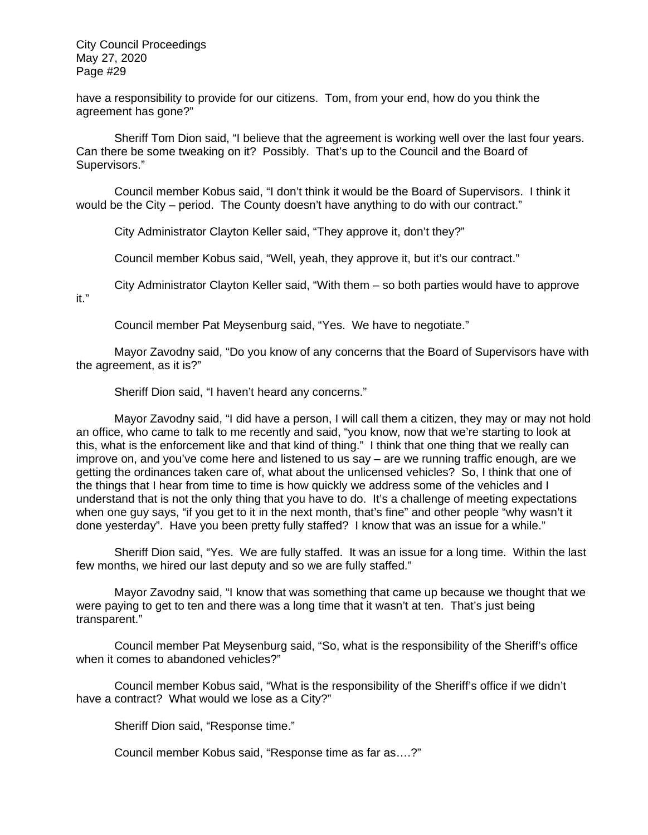have a responsibility to provide for our citizens. Tom, from your end, how do you think the agreement has gone?"

Sheriff Tom Dion said, "I believe that the agreement is working well over the last four years. Can there be some tweaking on it? Possibly. That's up to the Council and the Board of Supervisors."

Council member Kobus said, "I don't think it would be the Board of Supervisors. I think it would be the City – period. The County doesn't have anything to do with our contract."

City Administrator Clayton Keller said, "They approve it, don't they?"

Council member Kobus said, "Well, yeah, they approve it, but it's our contract."

City Administrator Clayton Keller said, "With them – so both parties would have to approve it."

Council member Pat Meysenburg said, "Yes. We have to negotiate."

Mayor Zavodny said, "Do you know of any concerns that the Board of Supervisors have with the agreement, as it is?"

Sheriff Dion said, "I haven't heard any concerns."

Mayor Zavodny said, "I did have a person, I will call them a citizen, they may or may not hold an office, who came to talk to me recently and said, "you know, now that we're starting to look at this, what is the enforcement like and that kind of thing." I think that one thing that we really can improve on, and you've come here and listened to us say – are we running traffic enough, are we getting the ordinances taken care of, what about the unlicensed vehicles? So, I think that one of the things that I hear from time to time is how quickly we address some of the vehicles and I understand that is not the only thing that you have to do. It's a challenge of meeting expectations when one guy says, "if you get to it in the next month, that's fine" and other people "why wasn't it done yesterday". Have you been pretty fully staffed? I know that was an issue for a while."

Sheriff Dion said, "Yes. We are fully staffed. It was an issue for a long time. Within the last few months, we hired our last deputy and so we are fully staffed."

Mayor Zavodny said, "I know that was something that came up because we thought that we were paying to get to ten and there was a long time that it wasn't at ten. That's just being transparent."

Council member Pat Meysenburg said, "So, what is the responsibility of the Sheriff's office when it comes to abandoned vehicles?"

Council member Kobus said, "What is the responsibility of the Sheriff's office if we didn't have a contract? What would we lose as a City?"

Sheriff Dion said, "Response time."

Council member Kobus said, "Response time as far as….?"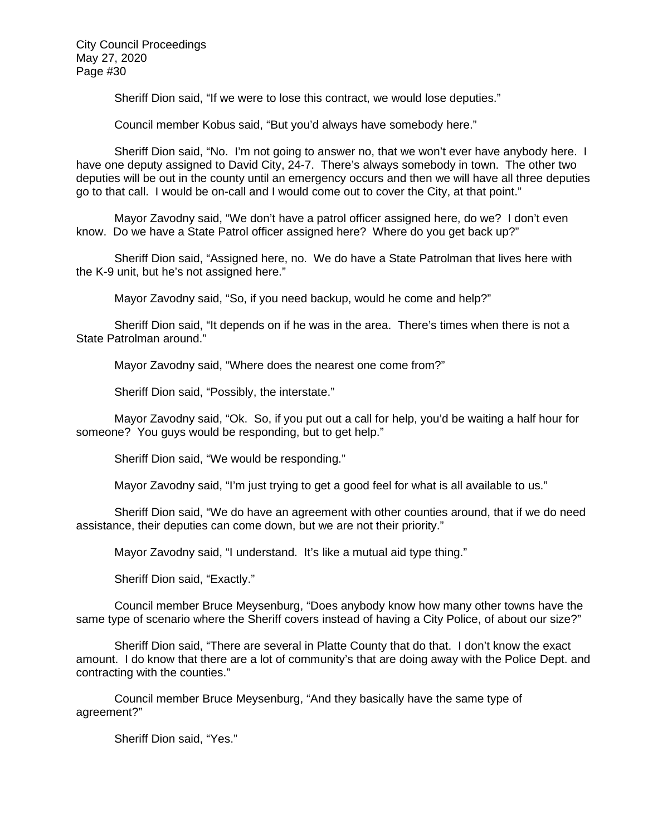Sheriff Dion said, "If we were to lose this contract, we would lose deputies."

Council member Kobus said, "But you'd always have somebody here."

Sheriff Dion said, "No. I'm not going to answer no, that we won't ever have anybody here. I have one deputy assigned to David City, 24-7. There's always somebody in town. The other two deputies will be out in the county until an emergency occurs and then we will have all three deputies go to that call. I would be on-call and I would come out to cover the City, at that point."

Mayor Zavodny said, "We don't have a patrol officer assigned here, do we? I don't even know. Do we have a State Patrol officer assigned here? Where do you get back up?"

Sheriff Dion said, "Assigned here, no. We do have a State Patrolman that lives here with the K-9 unit, but he's not assigned here."

Mayor Zavodny said, "So, if you need backup, would he come and help?"

Sheriff Dion said, "It depends on if he was in the area. There's times when there is not a State Patrolman around."

Mayor Zavodny said, "Where does the nearest one come from?"

Sheriff Dion said, "Possibly, the interstate."

Mayor Zavodny said, "Ok. So, if you put out a call for help, you'd be waiting a half hour for someone? You guys would be responding, but to get help."

Sheriff Dion said, "We would be responding."

Mayor Zavodny said, "I'm just trying to get a good feel for what is all available to us."

Sheriff Dion said, "We do have an agreement with other counties around, that if we do need assistance, their deputies can come down, but we are not their priority."

Mayor Zavodny said, "I understand. It's like a mutual aid type thing."

Sheriff Dion said, "Exactly."

Council member Bruce Meysenburg, "Does anybody know how many other towns have the same type of scenario where the Sheriff covers instead of having a City Police, of about our size?"

Sheriff Dion said, "There are several in Platte County that do that. I don't know the exact amount. I do know that there are a lot of community's that are doing away with the Police Dept. and contracting with the counties."

Council member Bruce Meysenburg, "And they basically have the same type of agreement?"

Sheriff Dion said, "Yes."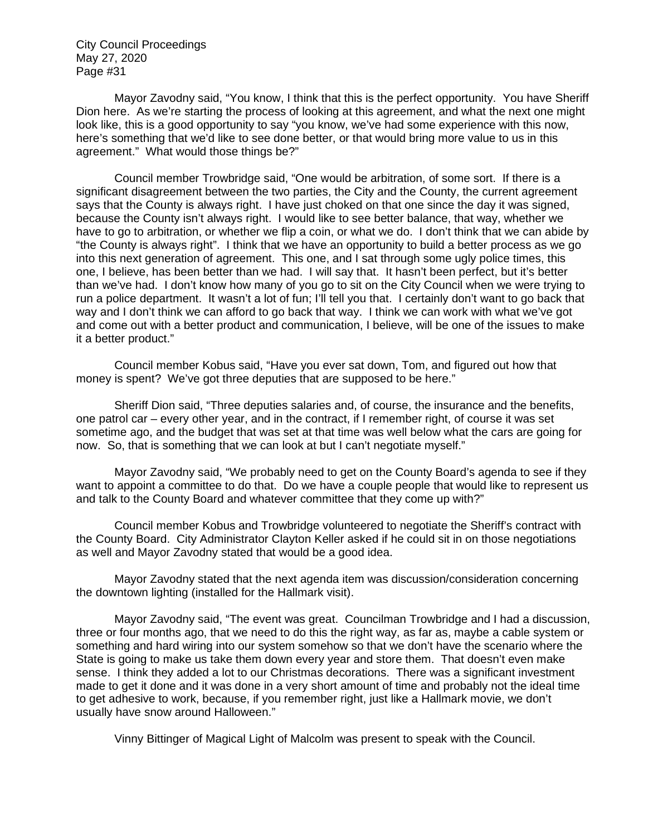Mayor Zavodny said, "You know, I think that this is the perfect opportunity. You have Sheriff Dion here. As we're starting the process of looking at this agreement, and what the next one might look like, this is a good opportunity to say "you know, we've had some experience with this now, here's something that we'd like to see done better, or that would bring more value to us in this agreement." What would those things be?"

Council member Trowbridge said, "One would be arbitration, of some sort. If there is a significant disagreement between the two parties, the City and the County, the current agreement says that the County is always right. I have just choked on that one since the day it was signed, because the County isn't always right. I would like to see better balance, that way, whether we have to go to arbitration, or whether we flip a coin, or what we do. I don't think that we can abide by "the County is always right". I think that we have an opportunity to build a better process as we go into this next generation of agreement. This one, and I sat through some ugly police times, this one, I believe, has been better than we had. I will say that. It hasn't been perfect, but it's better than we've had. I don't know how many of you go to sit on the City Council when we were trying to run a police department. It wasn't a lot of fun; I'll tell you that. I certainly don't want to go back that way and I don't think we can afford to go back that way. I think we can work with what we've got and come out with a better product and communication, I believe, will be one of the issues to make it a better product."

Council member Kobus said, "Have you ever sat down, Tom, and figured out how that money is spent? We've got three deputies that are supposed to be here."

Sheriff Dion said, "Three deputies salaries and, of course, the insurance and the benefits, one patrol car – every other year, and in the contract, if I remember right, of course it was set sometime ago, and the budget that was set at that time was well below what the cars are going for now. So, that is something that we can look at but I can't negotiate myself."

Mayor Zavodny said, "We probably need to get on the County Board's agenda to see if they want to appoint a committee to do that. Do we have a couple people that would like to represent us and talk to the County Board and whatever committee that they come up with?"

Council member Kobus and Trowbridge volunteered to negotiate the Sheriff's contract with the County Board. City Administrator Clayton Keller asked if he could sit in on those negotiations as well and Mayor Zavodny stated that would be a good idea.

Mayor Zavodny stated that the next agenda item was discussion/consideration concerning the downtown lighting (installed for the Hallmark visit).

Mayor Zavodny said, "The event was great. Councilman Trowbridge and I had a discussion, three or four months ago, that we need to do this the right way, as far as, maybe a cable system or something and hard wiring into our system somehow so that we don't have the scenario where the State is going to make us take them down every year and store them. That doesn't even make sense. I think they added a lot to our Christmas decorations. There was a significant investment made to get it done and it was done in a very short amount of time and probably not the ideal time to get adhesive to work, because, if you remember right, just like a Hallmark movie, we don't usually have snow around Halloween."

Vinny Bittinger of Magical Light of Malcolm was present to speak with the Council.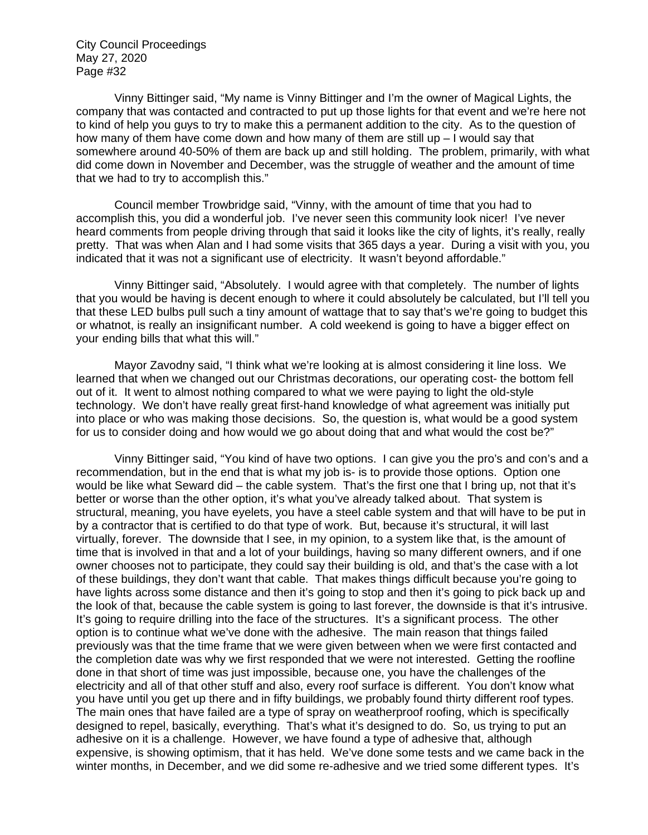Vinny Bittinger said, "My name is Vinny Bittinger and I'm the owner of Magical Lights, the company that was contacted and contracted to put up those lights for that event and we're here not to kind of help you guys to try to make this a permanent addition to the city. As to the question of how many of them have come down and how many of them are still up – I would say that somewhere around 40-50% of them are back up and still holding. The problem, primarily, with what did come down in November and December, was the struggle of weather and the amount of time that we had to try to accomplish this."

Council member Trowbridge said, "Vinny, with the amount of time that you had to accomplish this, you did a wonderful job. I've never seen this community look nicer! I've never heard comments from people driving through that said it looks like the city of lights, it's really, really pretty. That was when Alan and I had some visits that 365 days a year. During a visit with you, you indicated that it was not a significant use of electricity. It wasn't beyond affordable."

Vinny Bittinger said, "Absolutely. I would agree with that completely. The number of lights that you would be having is decent enough to where it could absolutely be calculated, but I'll tell you that these LED bulbs pull such a tiny amount of wattage that to say that's we're going to budget this or whatnot, is really an insignificant number. A cold weekend is going to have a bigger effect on your ending bills that what this will."

Mayor Zavodny said, "I think what we're looking at is almost considering it line loss. We learned that when we changed out our Christmas decorations, our operating cost- the bottom fell out of it. It went to almost nothing compared to what we were paying to light the old-style technology. We don't have really great first-hand knowledge of what agreement was initially put into place or who was making those decisions. So, the question is, what would be a good system for us to consider doing and how would we go about doing that and what would the cost be?"

Vinny Bittinger said, "You kind of have two options. I can give you the pro's and con's and a recommendation, but in the end that is what my job is- is to provide those options. Option one would be like what Seward did – the cable system. That's the first one that I bring up, not that it's better or worse than the other option, it's what you've already talked about. That system is structural, meaning, you have eyelets, you have a steel cable system and that will have to be put in by a contractor that is certified to do that type of work. But, because it's structural, it will last virtually, forever. The downside that I see, in my opinion, to a system like that, is the amount of time that is involved in that and a lot of your buildings, having so many different owners, and if one owner chooses not to participate, they could say their building is old, and that's the case with a lot of these buildings, they don't want that cable. That makes things difficult because you're going to have lights across some distance and then it's going to stop and then it's going to pick back up and the look of that, because the cable system is going to last forever, the downside is that it's intrusive. It's going to require drilling into the face of the structures. It's a significant process. The other option is to continue what we've done with the adhesive. The main reason that things failed previously was that the time frame that we were given between when we were first contacted and the completion date was why we first responded that we were not interested. Getting the roofline done in that short of time was just impossible, because one, you have the challenges of the electricity and all of that other stuff and also, every roof surface is different. You don't know what you have until you get up there and in fifty buildings, we probably found thirty different roof types. The main ones that have failed are a type of spray on weatherproof roofing, which is specifically designed to repel, basically, everything. That's what it's designed to do. So, us trying to put an adhesive on it is a challenge. However, we have found a type of adhesive that, although expensive, is showing optimism, that it has held. We've done some tests and we came back in the winter months, in December, and we did some re-adhesive and we tried some different types. It's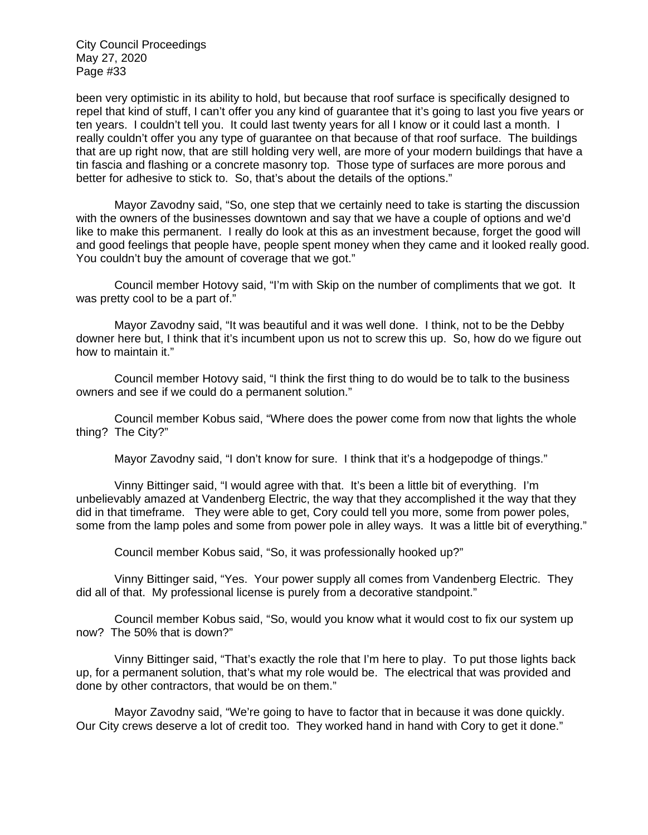been very optimistic in its ability to hold, but because that roof surface is specifically designed to repel that kind of stuff, I can't offer you any kind of guarantee that it's going to last you five years or ten years. I couldn't tell you. It could last twenty years for all I know or it could last a month. I really couldn't offer you any type of guarantee on that because of that roof surface. The buildings that are up right now, that are still holding very well, are more of your modern buildings that have a tin fascia and flashing or a concrete masonry top. Those type of surfaces are more porous and better for adhesive to stick to. So, that's about the details of the options."

Mayor Zavodny said, "So, one step that we certainly need to take is starting the discussion with the owners of the businesses downtown and say that we have a couple of options and we'd like to make this permanent. I really do look at this as an investment because, forget the good will and good feelings that people have, people spent money when they came and it looked really good. You couldn't buy the amount of coverage that we got."

Council member Hotovy said, "I'm with Skip on the number of compliments that we got. It was pretty cool to be a part of."

Mayor Zavodny said, "It was beautiful and it was well done. I think, not to be the Debby downer here but, I think that it's incumbent upon us not to screw this up. So, how do we figure out how to maintain it."

Council member Hotovy said, "I think the first thing to do would be to talk to the business owners and see if we could do a permanent solution."

Council member Kobus said, "Where does the power come from now that lights the whole thing? The City?"

Mayor Zavodny said, "I don't know for sure. I think that it's a hodgepodge of things."

Vinny Bittinger said, "I would agree with that. It's been a little bit of everything. I'm unbelievably amazed at Vandenberg Electric, the way that they accomplished it the way that they did in that timeframe. They were able to get, Cory could tell you more, some from power poles, some from the lamp poles and some from power pole in alley ways. It was a little bit of everything."

Council member Kobus said, "So, it was professionally hooked up?"

Vinny Bittinger said, "Yes. Your power supply all comes from Vandenberg Electric. They did all of that. My professional license is purely from a decorative standpoint."

Council member Kobus said, "So, would you know what it would cost to fix our system up now? The 50% that is down?"

Vinny Bittinger said, "That's exactly the role that I'm here to play. To put those lights back up, for a permanent solution, that's what my role would be. The electrical that was provided and done by other contractors, that would be on them."

Mayor Zavodny said, "We're going to have to factor that in because it was done quickly. Our City crews deserve a lot of credit too. They worked hand in hand with Cory to get it done."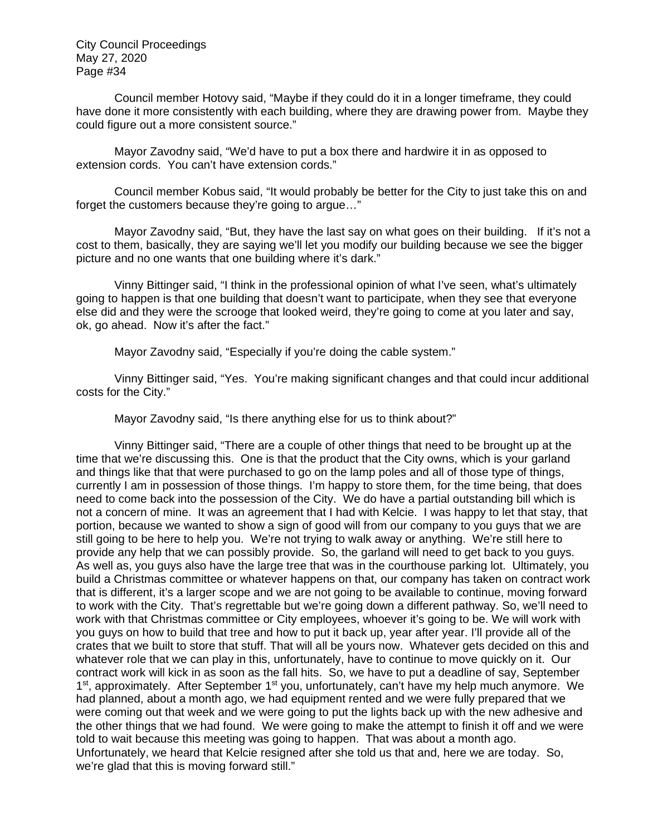Council member Hotovy said, "Maybe if they could do it in a longer timeframe, they could have done it more consistently with each building, where they are drawing power from. Maybe they could figure out a more consistent source."

Mayor Zavodny said, "We'd have to put a box there and hardwire it in as opposed to extension cords. You can't have extension cords."

Council member Kobus said, "It would probably be better for the City to just take this on and forget the customers because they're going to argue…"

Mayor Zavodny said, "But, they have the last say on what goes on their building. If it's not a cost to them, basically, they are saying we'll let you modify our building because we see the bigger picture and no one wants that one building where it's dark."

Vinny Bittinger said, "I think in the professional opinion of what I've seen, what's ultimately going to happen is that one building that doesn't want to participate, when they see that everyone else did and they were the scrooge that looked weird, they're going to come at you later and say, ok, go ahead. Now it's after the fact."

Mayor Zavodny said, "Especially if you're doing the cable system."

Vinny Bittinger said, "Yes. You're making significant changes and that could incur additional costs for the City."

Mayor Zavodny said, "Is there anything else for us to think about?"

Vinny Bittinger said, "There are a couple of other things that need to be brought up at the time that we're discussing this. One is that the product that the City owns, which is your garland and things like that that were purchased to go on the lamp poles and all of those type of things, currently I am in possession of those things. I'm happy to store them, for the time being, that does need to come back into the possession of the City. We do have a partial outstanding bill which is not a concern of mine. It was an agreement that I had with Kelcie. I was happy to let that stay, that portion, because we wanted to show a sign of good will from our company to you guys that we are still going to be here to help you. We're not trying to walk away or anything. We're still here to provide any help that we can possibly provide. So, the garland will need to get back to you guys. As well as, you guys also have the large tree that was in the courthouse parking lot. Ultimately, you build a Christmas committee or whatever happens on that, our company has taken on contract work that is different, it's a larger scope and we are not going to be available to continue, moving forward to work with the City. That's regrettable but we're going down a different pathway. So, we'll need to work with that Christmas committee or City employees, whoever it's going to be. We will work with you guys on how to build that tree and how to put it back up, year after year. I'll provide all of the crates that we built to store that stuff. That will all be yours now. Whatever gets decided on this and whatever role that we can play in this, unfortunately, have to continue to move quickly on it. Our contract work will kick in as soon as the fall hits. So, we have to put a deadline of say, September 1<sup>st</sup>, approximately. After September 1<sup>st</sup> you, unfortunately, can't have my help much anymore. We had planned, about a month ago, we had equipment rented and we were fully prepared that we were coming out that week and we were going to put the lights back up with the new adhesive and the other things that we had found. We were going to make the attempt to finish it off and we were told to wait because this meeting was going to happen. That was about a month ago. Unfortunately, we heard that Kelcie resigned after she told us that and, here we are today. So, we're glad that this is moving forward still."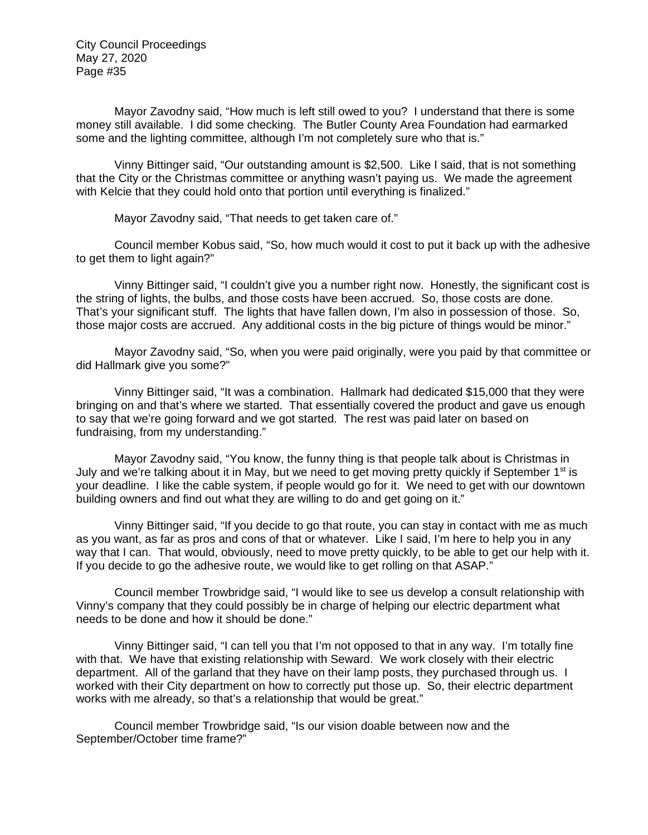Mayor Zavodny said, "How much is left still owed to you? I understand that there is some money still available. I did some checking. The Butler County Area Foundation had earmarked some and the lighting committee, although I'm not completely sure who that is."

Vinny Bittinger said, "Our outstanding amount is \$2,500. Like I said, that is not something that the City or the Christmas committee or anything wasn't paying us. We made the agreement with Kelcie that they could hold onto that portion until everything is finalized."

Mayor Zavodny said, "That needs to get taken care of."

Council member Kobus said, "So, how much would it cost to put it back up with the adhesive to get them to light again?"

Vinny Bittinger said, "I couldn't give you a number right now. Honestly, the significant cost is the string of lights, the bulbs, and those costs have been accrued. So, those costs are done. That's your significant stuff. The lights that have fallen down, I'm also in possession of those. So, those major costs are accrued. Any additional costs in the big picture of things would be minor."

Mayor Zavodny said, "So, when you were paid originally, were you paid by that committee or did Hallmark give you some?"

Vinny Bittinger said, "It was a combination. Hallmark had dedicated \$15,000 that they were bringing on and that's where we started. That essentially covered the product and gave us enough to say that we're going forward and we got started. The rest was paid later on based on fundraising, from my understanding."

Mayor Zavodny said, "You know, the funny thing is that people talk about is Christmas in July and we're talking about it in May, but we need to get moving pretty quickly if September  $1<sup>st</sup>$  is your deadline. I like the cable system, if people would go for it. We need to get with our downtown building owners and find out what they are willing to do and get going on it."

Vinny Bittinger said, "If you decide to go that route, you can stay in contact with me as much as you want, as far as pros and cons of that or whatever. Like I said, I'm here to help you in any way that I can. That would, obviously, need to move pretty quickly, to be able to get our help with it. If you decide to go the adhesive route, we would like to get rolling on that ASAP."

Council member Trowbridge said, "I would like to see us develop a consult relationship with Vinny's company that they could possibly be in charge of helping our electric department what needs to be done and how it should be done."

Vinny Bittinger said, "I can tell you that I'm not opposed to that in any way. I'm totally fine with that. We have that existing relationship with Seward. We work closely with their electric department. All of the garland that they have on their lamp posts, they purchased through us. I worked with their City department on how to correctly put those up. So, their electric department works with me already, so that's a relationship that would be great."

Council member Trowbridge said, "Is our vision doable between now and the September/October time frame?"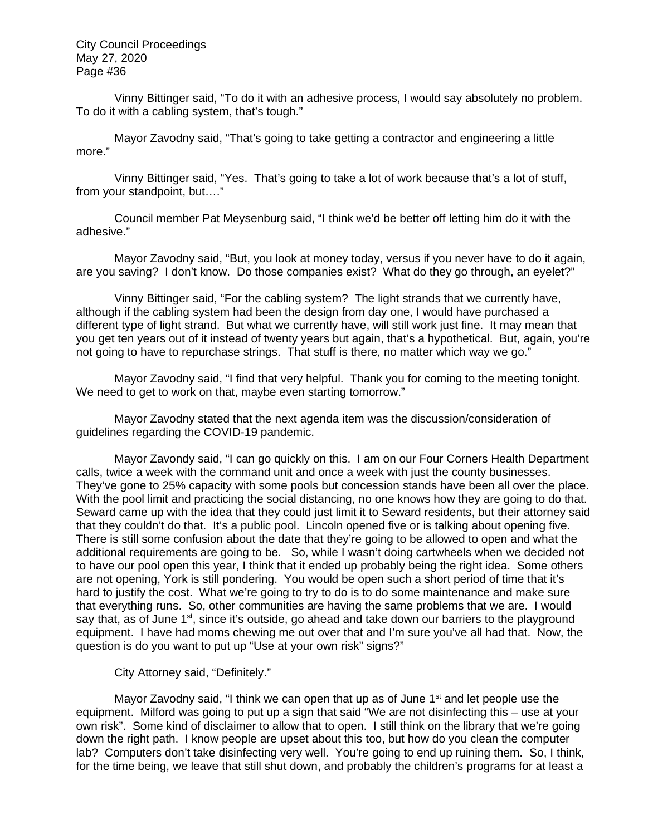Vinny Bittinger said, "To do it with an adhesive process, I would say absolutely no problem. To do it with a cabling system, that's tough."

Mayor Zavodny said, "That's going to take getting a contractor and engineering a little more."

Vinny Bittinger said, "Yes. That's going to take a lot of work because that's a lot of stuff, from your standpoint, but…."

Council member Pat Meysenburg said, "I think we'd be better off letting him do it with the adhesive."

Mayor Zavodny said, "But, you look at money today, versus if you never have to do it again, are you saving? I don't know. Do those companies exist? What do they go through, an eyelet?"

Vinny Bittinger said, "For the cabling system? The light strands that we currently have, although if the cabling system had been the design from day one, I would have purchased a different type of light strand. But what we currently have, will still work just fine. It may mean that you get ten years out of it instead of twenty years but again, that's a hypothetical. But, again, you're not going to have to repurchase strings. That stuff is there, no matter which way we go."

Mayor Zavodny said, "I find that very helpful. Thank you for coming to the meeting tonight. We need to get to work on that, maybe even starting tomorrow."

Mayor Zavodny stated that the next agenda item was the discussion/consideration of guidelines regarding the COVID-19 pandemic.

Mayor Zavondy said, "I can go quickly on this. I am on our Four Corners Health Department calls, twice a week with the command unit and once a week with just the county businesses. They've gone to 25% capacity with some pools but concession stands have been all over the place. With the pool limit and practicing the social distancing, no one knows how they are going to do that. Seward came up with the idea that they could just limit it to Seward residents, but their attorney said that they couldn't do that. It's a public pool. Lincoln opened five or is talking about opening five. There is still some confusion about the date that they're going to be allowed to open and what the additional requirements are going to be. So, while I wasn't doing cartwheels when we decided not to have our pool open this year, I think that it ended up probably being the right idea. Some others are not opening, York is still pondering. You would be open such a short period of time that it's hard to justify the cost. What we're going to try to do is to do some maintenance and make sure that everything runs. So, other communities are having the same problems that we are. I would say that, as of June 1<sup>st</sup>, since it's outside, go ahead and take down our barriers to the playground equipment. I have had moms chewing me out over that and I'm sure you've all had that. Now, the question is do you want to put up "Use at your own risk" signs?"

City Attorney said, "Definitely."

Mayor Zavodny said, "I think we can open that up as of June  $1<sup>st</sup>$  and let people use the equipment. Milford was going to put up a sign that said "We are not disinfecting this – use at your own risk". Some kind of disclaimer to allow that to open. I still think on the library that we're going down the right path. I know people are upset about this too, but how do you clean the computer lab? Computers don't take disinfecting very well. You're going to end up ruining them. So, I think, for the time being, we leave that still shut down, and probably the children's programs for at least a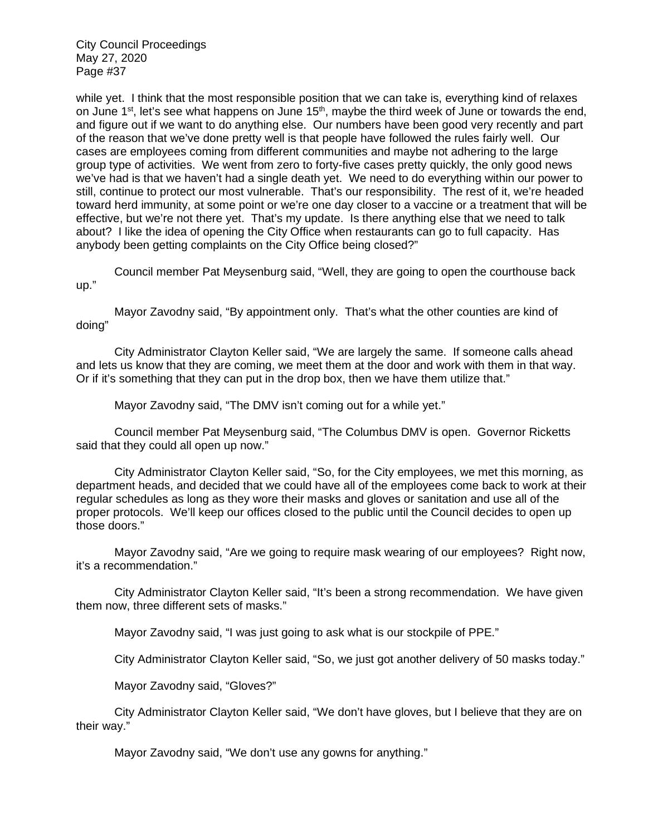while yet. I think that the most responsible position that we can take is, everything kind of relaxes on June  $1^{st}$ , let's see what happens on June  $15^{th}$ , maybe the third week of June or towards the end, and figure out if we want to do anything else. Our numbers have been good very recently and part of the reason that we've done pretty well is that people have followed the rules fairly well. Our cases are employees coming from different communities and maybe not adhering to the large group type of activities. We went from zero to forty-five cases pretty quickly, the only good news we've had is that we haven't had a single death yet. We need to do everything within our power to still, continue to protect our most vulnerable. That's our responsibility. The rest of it, we're headed toward herd immunity, at some point or we're one day closer to a vaccine or a treatment that will be effective, but we're not there yet. That's my update. Is there anything else that we need to talk about? I like the idea of opening the City Office when restaurants can go to full capacity. Has anybody been getting complaints on the City Office being closed?"

Council member Pat Meysenburg said, "Well, they are going to open the courthouse back up."

Mayor Zavodny said, "By appointment only. That's what the other counties are kind of doing"

City Administrator Clayton Keller said, "We are largely the same. If someone calls ahead and lets us know that they are coming, we meet them at the door and work with them in that way. Or if it's something that they can put in the drop box, then we have them utilize that."

Mayor Zavodny said, "The DMV isn't coming out for a while yet."

Council member Pat Meysenburg said, "The Columbus DMV is open. Governor Ricketts said that they could all open up now."

City Administrator Clayton Keller said, "So, for the City employees, we met this morning, as department heads, and decided that we could have all of the employees come back to work at their regular schedules as long as they wore their masks and gloves or sanitation and use all of the proper protocols. We'll keep our offices closed to the public until the Council decides to open up those doors."

Mayor Zavodny said, "Are we going to require mask wearing of our employees? Right now, it's a recommendation."

City Administrator Clayton Keller said, "It's been a strong recommendation. We have given them now, three different sets of masks."

Mayor Zavodny said, "I was just going to ask what is our stockpile of PPE."

City Administrator Clayton Keller said, "So, we just got another delivery of 50 masks today."

Mayor Zavodny said, "Gloves?"

City Administrator Clayton Keller said, "We don't have gloves, but I believe that they are on their way."

Mayor Zavodny said, "We don't use any gowns for anything."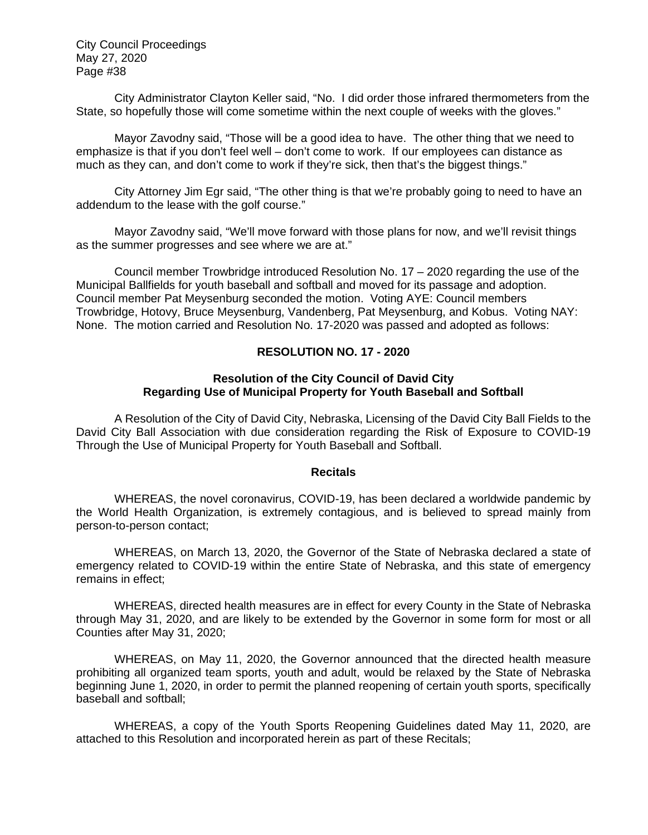City Administrator Clayton Keller said, "No. I did order those infrared thermometers from the State, so hopefully those will come sometime within the next couple of weeks with the gloves."

Mayor Zavodny said, "Those will be a good idea to have. The other thing that we need to emphasize is that if you don't feel well – don't come to work. If our employees can distance as much as they can, and don't come to work if they're sick, then that's the biggest things."

City Attorney Jim Egr said, "The other thing is that we're probably going to need to have an addendum to the lease with the golf course."

Mayor Zavodny said, "We'll move forward with those plans for now, and we'll revisit things as the summer progresses and see where we are at."

Council member Trowbridge introduced Resolution No. 17 – 2020 regarding the use of the Municipal Ballfields for youth baseball and softball and moved for its passage and adoption. Council member Pat Meysenburg seconded the motion. Voting AYE: Council members Trowbridge, Hotovy, Bruce Meysenburg, Vandenberg, Pat Meysenburg, and Kobus. Voting NAY: None. The motion carried and Resolution No. 17-2020 was passed and adopted as follows:

#### **RESOLUTION NO. 17 - 2020**

#### **Resolution of the City Council of David City Regarding Use of Municipal Property for Youth Baseball and Softball**

A Resolution of the City of David City, Nebraska, Licensing of the David City Ball Fields to the David City Ball Association with due consideration regarding the Risk of Exposure to COVID-19 Through the Use of Municipal Property for Youth Baseball and Softball.

#### **Recitals**

WHEREAS, the novel coronavirus, COVID-19, has been declared a worldwide pandemic by the World Health Organization, is extremely contagious, and is believed to spread mainly from person-to-person contact;

WHEREAS, on March 13, 2020, the Governor of the State of Nebraska declared a state of emergency related to COVID-19 within the entire State of Nebraska, and this state of emergency remains in effect;

WHEREAS, directed health measures are in effect for every County in the State of Nebraska through May 31, 2020, and are likely to be extended by the Governor in some form for most or all Counties after May 31, 2020;

WHEREAS, on May 11, 2020, the Governor announced that the directed health measure prohibiting all organized team sports, youth and adult, would be relaxed by the State of Nebraska beginning June 1, 2020, in order to permit the planned reopening of certain youth sports, specifically baseball and softball;

WHEREAS, a copy of the Youth Sports Reopening Guidelines dated May 11, 2020, are attached to this Resolution and incorporated herein as part of these Recitals;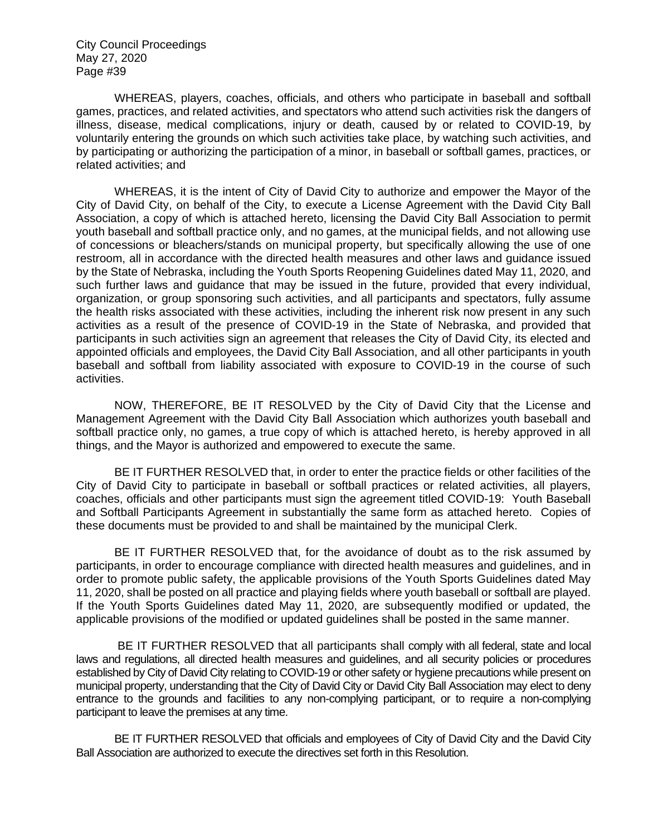WHEREAS, players, coaches, officials, and others who participate in baseball and softball games, practices, and related activities, and spectators who attend such activities risk the dangers of illness, disease, medical complications, injury or death, caused by or related to COVID-19, by voluntarily entering the grounds on which such activities take place, by watching such activities, and by participating or authorizing the participation of a minor, in baseball or softball games, practices, or related activities; and

WHEREAS, it is the intent of City of David City to authorize and empower the Mayor of the City of David City, on behalf of the City, to execute a License Agreement with the David City Ball Association, a copy of which is attached hereto, licensing the David City Ball Association to permit youth baseball and softball practice only, and no games, at the municipal fields, and not allowing use of concessions or bleachers/stands on municipal property, but specifically allowing the use of one restroom, all in accordance with the directed health measures and other laws and guidance issued by the State of Nebraska, including the Youth Sports Reopening Guidelines dated May 11, 2020, and such further laws and guidance that may be issued in the future, provided that every individual, organization, or group sponsoring such activities, and all participants and spectators, fully assume the health risks associated with these activities, including the inherent risk now present in any such activities as a result of the presence of COVID-19 in the State of Nebraska, and provided that participants in such activities sign an agreement that releases the City of David City, its elected and appointed officials and employees, the David City Ball Association, and all other participants in youth baseball and softball from liability associated with exposure to COVID-19 in the course of such activities.

NOW, THEREFORE, BE IT RESOLVED by the City of David City that the License and Management Agreement with the David City Ball Association which authorizes youth baseball and softball practice only, no games, a true copy of which is attached hereto, is hereby approved in all things, and the Mayor is authorized and empowered to execute the same.

BE IT FURTHER RESOLVED that, in order to enter the practice fields or other facilities of the City of David City to participate in baseball or softball practices or related activities, all players, coaches, officials and other participants must sign the agreement titled COVID-19: Youth Baseball and Softball Participants Agreement in substantially the same form as attached hereto. Copies of these documents must be provided to and shall be maintained by the municipal Clerk.

BE IT FURTHER RESOLVED that, for the avoidance of doubt as to the risk assumed by participants, in order to encourage compliance with directed health measures and guidelines, and in order to promote public safety, the applicable provisions of the Youth Sports Guidelines dated May 11, 2020, shall be posted on all practice and playing fields where youth baseball or softball are played. If the Youth Sports Guidelines dated May 11, 2020, are subsequently modified or updated, the applicable provisions of the modified or updated guidelines shall be posted in the same manner.

 BE IT FURTHER RESOLVED that all participants shall comply with all federal, state and local laws and regulations, all directed health measures and guidelines, and all security policies or procedures established by City of David City relating to COVID-19 or other safety or hygiene precautions while present on municipal property, understanding that the City of David City or David City Ball Association may elect to deny entrance to the grounds and facilities to any non-complying participant, or to require a non-complying participant to leave the premises at any time.

BE IT FURTHER RESOLVED that officials and employees of City of David City and the David City Ball Association are authorized to execute the directives set forth in this Resolution.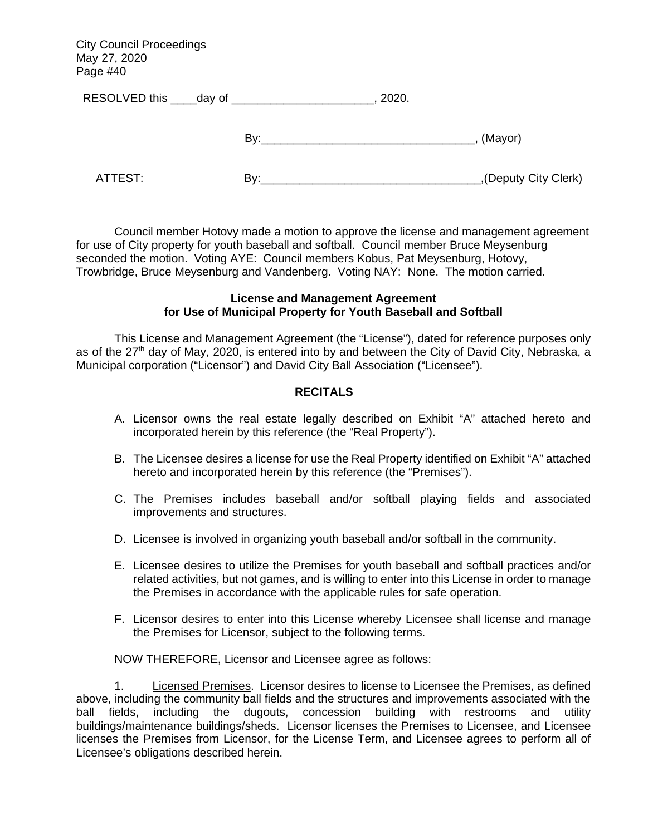RESOLVED this day of the state of the state of the state of the state of the state of the state of the state of the state of the state of the state of the state of the state of the state of the state of the state of the st

By: example of the state of the state of the state of the state of the state of the state of the state of the state of the state of the state of the state of the state of the state of the state of the state of the state of

ATTEST: By: By: By: By: By: (Deputy City Clerk)

Council member Hotovy made a motion to approve the license and management agreement for use of City property for youth baseball and softball. Council member Bruce Meysenburg seconded the motion. Voting AYE: Council members Kobus, Pat Meysenburg, Hotovy, Trowbridge, Bruce Meysenburg and Vandenberg. Voting NAY: None. The motion carried.

### **License and Management Agreement for Use of Municipal Property for Youth Baseball and Softball**

This License and Management Agreement (the "License"), dated for reference purposes only as of the 27<sup>th</sup> day of May, 2020, is entered into by and between the City of David City, Nebraska, a Municipal corporation ("Licensor") and David City Ball Association ("Licensee").

## **RECITALS**

- A. Licensor owns the real estate legally described on Exhibit "A" attached hereto and incorporated herein by this reference (the "Real Property").
- B. The Licensee desires a license for use the Real Property identified on Exhibit "A" attached hereto and incorporated herein by this reference (the "Premises").
- C. The Premises includes baseball and/or softball playing fields and associated improvements and structures.
- D. Licensee is involved in organizing youth baseball and/or softball in the community.
- E. Licensee desires to utilize the Premises for youth baseball and softball practices and/or related activities, but not games, and is willing to enter into this License in order to manage the Premises in accordance with the applicable rules for safe operation.
- F. Licensor desires to enter into this License whereby Licensee shall license and manage the Premises for Licensor, subject to the following terms.

NOW THEREFORE, Licensor and Licensee agree as follows:

1. Licensed Premises. Licensor desires to license to Licensee the Premises, as defined above, including the community ball fields and the structures and improvements associated with the ball fields, including the dugouts, concession building with restrooms and utility buildings/maintenance buildings/sheds. Licensor licenses the Premises to Licensee, and Licensee licenses the Premises from Licensor, for the License Term, and Licensee agrees to perform all of Licensee's obligations described herein.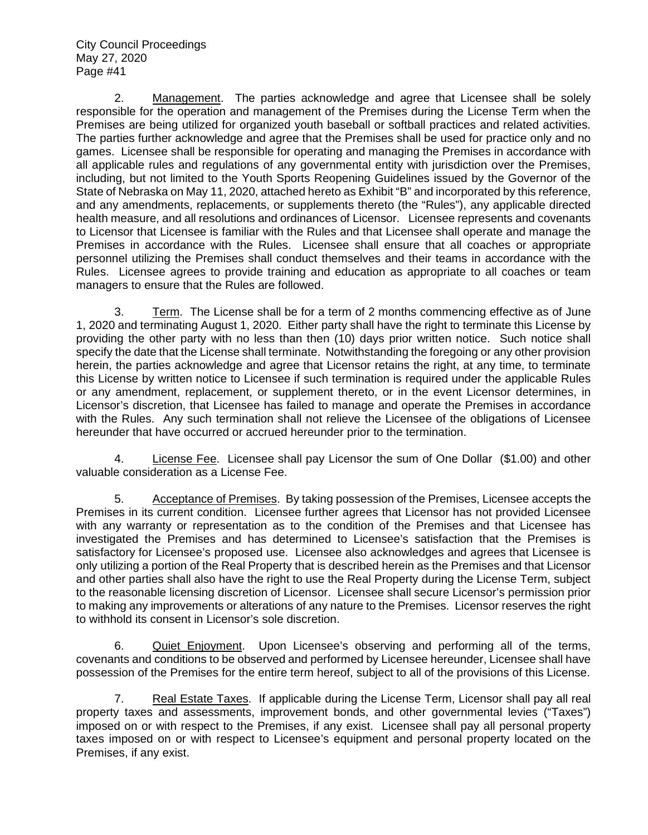2. Management. The parties acknowledge and agree that Licensee shall be solely responsible for the operation and management of the Premises during the License Term when the Premises are being utilized for organized youth baseball or softball practices and related activities. The parties further acknowledge and agree that the Premises shall be used for practice only and no games. Licensee shall be responsible for operating and managing the Premises in accordance with all applicable rules and regulations of any governmental entity with jurisdiction over the Premises, including, but not limited to the Youth Sports Reopening Guidelines issued by the Governor of the State of Nebraska on May 11, 2020, attached hereto as Exhibit "B" and incorporated by this reference, and any amendments, replacements, or supplements thereto (the "Rules"), any applicable directed health measure, and all resolutions and ordinances of Licensor. Licensee represents and covenants to Licensor that Licensee is familiar with the Rules and that Licensee shall operate and manage the Premises in accordance with the Rules. Licensee shall ensure that all coaches or appropriate personnel utilizing the Premises shall conduct themselves and their teams in accordance with the Rules. Licensee agrees to provide training and education as appropriate to all coaches or team managers to ensure that the Rules are followed.

3. Term. The License shall be for a term of 2 months commencing effective as of June 1, 2020 and terminating August 1, 2020. Either party shall have the right to terminate this License by providing the other party with no less than then (10) days prior written notice. Such notice shall specify the date that the License shall terminate. Notwithstanding the foregoing or any other provision herein, the parties acknowledge and agree that Licensor retains the right, at any time, to terminate this License by written notice to Licensee if such termination is required under the applicable Rules or any amendment, replacement, or supplement thereto, or in the event Licensor determines, in Licensor's discretion, that Licensee has failed to manage and operate the Premises in accordance with the Rules. Any such termination shall not relieve the Licensee of the obligations of Licensee hereunder that have occurred or accrued hereunder prior to the termination.

4. License Fee. Licensee shall pay Licensor the sum of One Dollar (\$1.00) and other valuable consideration as a License Fee.

5. Acceptance of Premises. By taking possession of the Premises, Licensee accepts the Premises in its current condition. Licensee further agrees that Licensor has not provided Licensee with any warranty or representation as to the condition of the Premises and that Licensee has investigated the Premises and has determined to Licensee's satisfaction that the Premises is satisfactory for Licensee's proposed use. Licensee also acknowledges and agrees that Licensee is only utilizing a portion of the Real Property that is described herein as the Premises and that Licensor and other parties shall also have the right to use the Real Property during the License Term, subject to the reasonable licensing discretion of Licensor. Licensee shall secure Licensor's permission prior to making any improvements or alterations of any nature to the Premises. Licensor reserves the right to withhold its consent in Licensor's sole discretion.

6. Quiet Enjoyment. Upon Licensee's observing and performing all of the terms, covenants and conditions to be observed and performed by Licensee hereunder, Licensee shall have possession of the Premises for the entire term hereof, subject to all of the provisions of this License.

7. Real Estate Taxes. If applicable during the License Term, Licensor shall pay all real property taxes and assessments, improvement bonds, and other governmental levies ("Taxes") imposed on or with respect to the Premises, if any exist. Licensee shall pay all personal property taxes imposed on or with respect to Licensee's equipment and personal property located on the Premises, if any exist.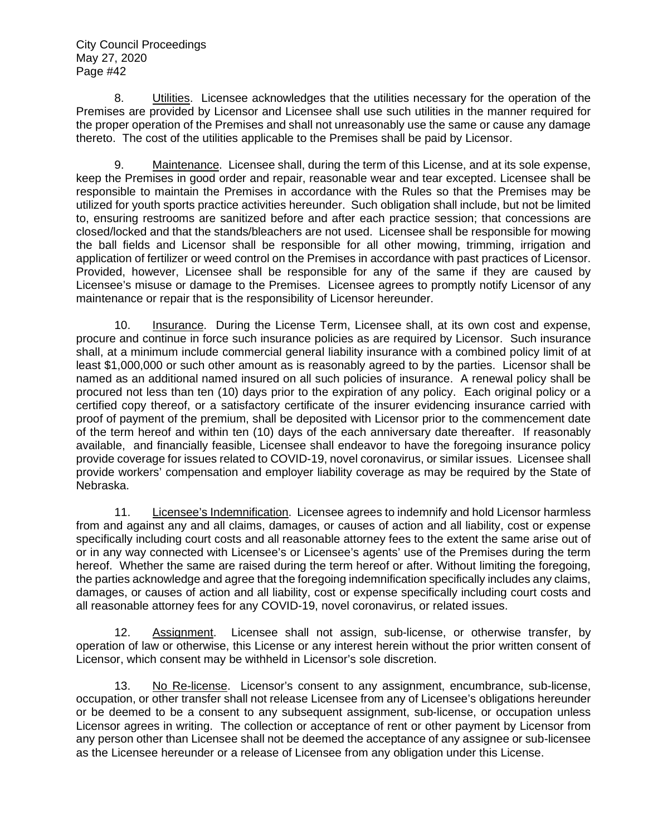8. Utilities. Licensee acknowledges that the utilities necessary for the operation of the Premises are provided by Licensor and Licensee shall use such utilities in the manner required for the proper operation of the Premises and shall not unreasonably use the same or cause any damage thereto. The cost of the utilities applicable to the Premises shall be paid by Licensor.

9. Maintenance. Licensee shall, during the term of this License, and at its sole expense, keep the Premises in good order and repair, reasonable wear and tear excepted. Licensee shall be responsible to maintain the Premises in accordance with the Rules so that the Premises may be utilized for youth sports practice activities hereunder. Such obligation shall include, but not be limited to, ensuring restrooms are sanitized before and after each practice session; that concessions are closed/locked and that the stands/bleachers are not used. Licensee shall be responsible for mowing the ball fields and Licensor shall be responsible for all other mowing, trimming, irrigation and application of fertilizer or weed control on the Premises in accordance with past practices of Licensor. Provided, however, Licensee shall be responsible for any of the same if they are caused by Licensee's misuse or damage to the Premises. Licensee agrees to promptly notify Licensor of any maintenance or repair that is the responsibility of Licensor hereunder.

10. Insurance. During the License Term, Licensee shall, at its own cost and expense, procure and continue in force such insurance policies as are required by Licensor. Such insurance shall, at a minimum include commercial general liability insurance with a combined policy limit of at least \$1,000,000 or such other amount as is reasonably agreed to by the parties. Licensor shall be named as an additional named insured on all such policies of insurance. A renewal policy shall be procured not less than ten (10) days prior to the expiration of any policy. Each original policy or a certified copy thereof, or a satisfactory certificate of the insurer evidencing insurance carried with proof of payment of the premium, shall be deposited with Licensor prior to the commencement date of the term hereof and within ten (10) days of the each anniversary date thereafter. If reasonably available, and financially feasible, Licensee shall endeavor to have the foregoing insurance policy provide coverage for issues related to COVID-19, novel coronavirus, or similar issues.Licensee shall provide workers' compensation and employer liability coverage as may be required by the State of Nebraska.

11. Licensee's Indemnification. Licensee agrees to indemnify and hold Licensor harmless from and against any and all claims, damages, or causes of action and all liability, cost or expense specifically including court costs and all reasonable attorney fees to the extent the same arise out of or in any way connected with Licensee's or Licensee's agents' use of the Premises during the term hereof. Whether the same are raised during the term hereof or after. Without limiting the foregoing, the parties acknowledge and agree that the foregoing indemnification specifically includes any claims, damages, or causes of action and all liability, cost or expense specifically including court costs and all reasonable attorney fees for any COVID-19, novel coronavirus, or related issues.

12. Assignment. Licensee shall not assign, sub-license, or otherwise transfer, by operation of law or otherwise, this License or any interest herein without the prior written consent of Licensor, which consent may be withheld in Licensor's sole discretion.

13. No Re-license. Licensor's consent to any assignment, encumbrance, sub-license, occupation, or other transfer shall not release Licensee from any of Licensee's obligations hereunder or be deemed to be a consent to any subsequent assignment, sub-license, or occupation unless Licensor agrees in writing. The collection or acceptance of rent or other payment by Licensor from any person other than Licensee shall not be deemed the acceptance of any assignee or sub-licensee as the Licensee hereunder or a release of Licensee from any obligation under this License.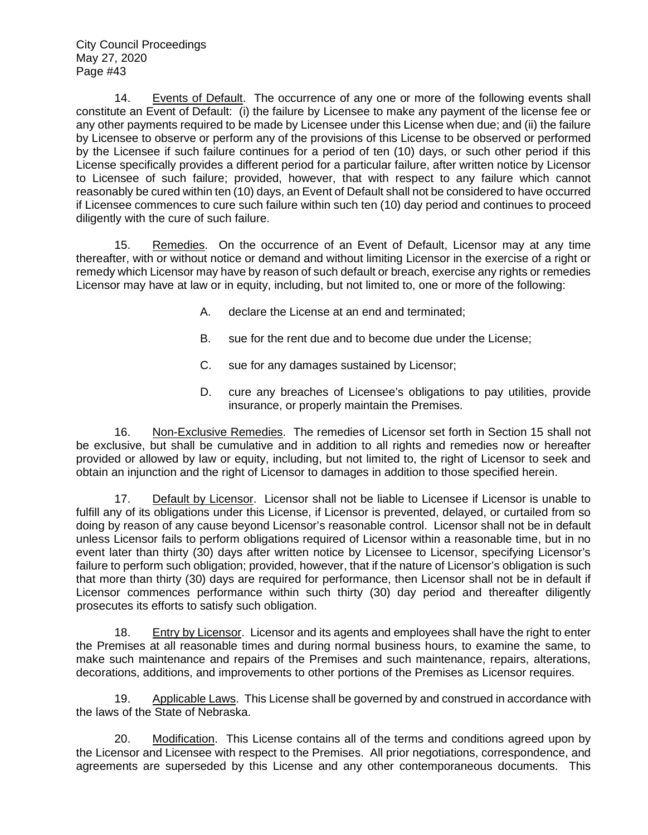14. Events of Default. The occurrence of any one or more of the following events shall constitute an Event of Default: (i) the failure by Licensee to make any payment of the license fee or any other payments required to be made by Licensee under this License when due; and (ii) the failure by Licensee to observe or perform any of the provisions of this License to be observed or performed by the Licensee if such failure continues for a period of ten (10) days, or such other period if this License specifically provides a different period for a particular failure, after written notice by Licensor to Licensee of such failure; provided, however, that with respect to any failure which cannot reasonably be cured within ten (10) days, an Event of Default shall not be considered to have occurred if Licensee commences to cure such failure within such ten (10) day period and continues to proceed diligently with the cure of such failure.

15. Remedies. On the occurrence of an Event of Default, Licensor may at any time thereafter, with or without notice or demand and without limiting Licensor in the exercise of a right or remedy which Licensor may have by reason of such default or breach, exercise any rights or remedies Licensor may have at law or in equity, including, but not limited to, one or more of the following:

- A. declare the License at an end and terminated;
- B. sue for the rent due and to become due under the License;
- C. sue for any damages sustained by Licensor;
- D. cure any breaches of Licensee's obligations to pay utilities, provide insurance, or properly maintain the Premises.

16. Non-Exclusive Remedies. The remedies of Licensor set forth in Section 15 shall not be exclusive, but shall be cumulative and in addition to all rights and remedies now or hereafter provided or allowed by law or equity, including, but not limited to, the right of Licensor to seek and obtain an injunction and the right of Licensor to damages in addition to those specified herein.

17. Default by Licensor. Licensor shall not be liable to Licensee if Licensor is unable to fulfill any of its obligations under this License, if Licensor is prevented, delayed, or curtailed from so doing by reason of any cause beyond Licensor's reasonable control. Licensor shall not be in default unless Licensor fails to perform obligations required of Licensor within a reasonable time, but in no event later than thirty (30) days after written notice by Licensee to Licensor, specifying Licensor's failure to perform such obligation; provided, however, that if the nature of Licensor's obligation is such that more than thirty (30) days are required for performance, then Licensor shall not be in default if Licensor commences performance within such thirty (30) day period and thereafter diligently prosecutes its efforts to satisfy such obligation.

18. Entry by Licensor. Licensor and its agents and employees shall have the right to enter the Premises at all reasonable times and during normal business hours, to examine the same, to make such maintenance and repairs of the Premises and such maintenance, repairs, alterations, decorations, additions, and improvements to other portions of the Premises as Licensor requires.

19. Applicable Laws. This License shall be governed by and construed in accordance with the laws of the State of Nebraska.

20. Modification. This License contains all of the terms and conditions agreed upon by the Licensor and Licensee with respect to the Premises. All prior negotiations, correspondence, and agreements are superseded by this License and any other contemporaneous documents. This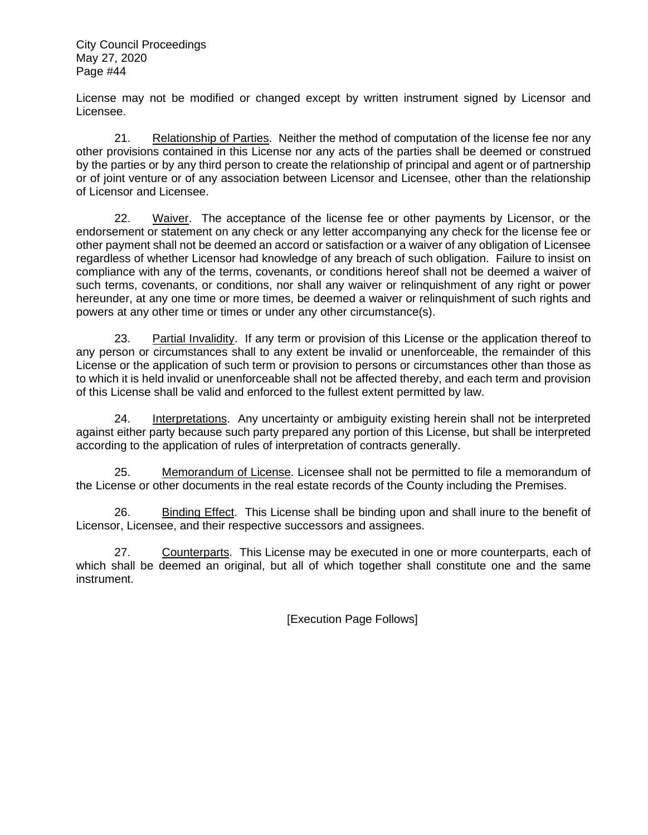License may not be modified or changed except by written instrument signed by Licensor and Licensee.

21. Relationship of Parties. Neither the method of computation of the license fee nor any other provisions contained in this License nor any acts of the parties shall be deemed or construed by the parties or by any third person to create the relationship of principal and agent or of partnership or of joint venture or of any association between Licensor and Licensee, other than the relationship of Licensor and Licensee.

22. Waiver. The acceptance of the license fee or other payments by Licensor, or the endorsement or statement on any check or any letter accompanying any check for the license fee or other payment shall not be deemed an accord or satisfaction or a waiver of any obligation of Licensee regardless of whether Licensor had knowledge of any breach of such obligation. Failure to insist on compliance with any of the terms, covenants, or conditions hereof shall not be deemed a waiver of such terms, covenants, or conditions, nor shall any waiver or relinquishment of any right or power hereunder, at any one time or more times, be deemed a waiver or relinquishment of such rights and powers at any other time or times or under any other circumstance(s).

23. Partial Invalidity. If any term or provision of this License or the application thereof to any person or circumstances shall to any extent be invalid or unenforceable, the remainder of this License or the application of such term or provision to persons or circumstances other than those as to which it is held invalid or unenforceable shall not be affected thereby, and each term and provision of this License shall be valid and enforced to the fullest extent permitted by law.

24. Interpretations. Any uncertainty or ambiguity existing herein shall not be interpreted against either party because such party prepared any portion of this License, but shall be interpreted according to the application of rules of interpretation of contracts generally.

25. Memorandum of License. Licensee shall not be permitted to file a memorandum of the License or other documents in the real estate records of the County including the Premises.

26. Binding Effect. This License shall be binding upon and shall inure to the benefit of Licensor, Licensee, and their respective successors and assignees.

27. Counterparts. This License may be executed in one or more counterparts, each of which shall be deemed an original, but all of which together shall constitute one and the same instrument.

[Execution Page Follows]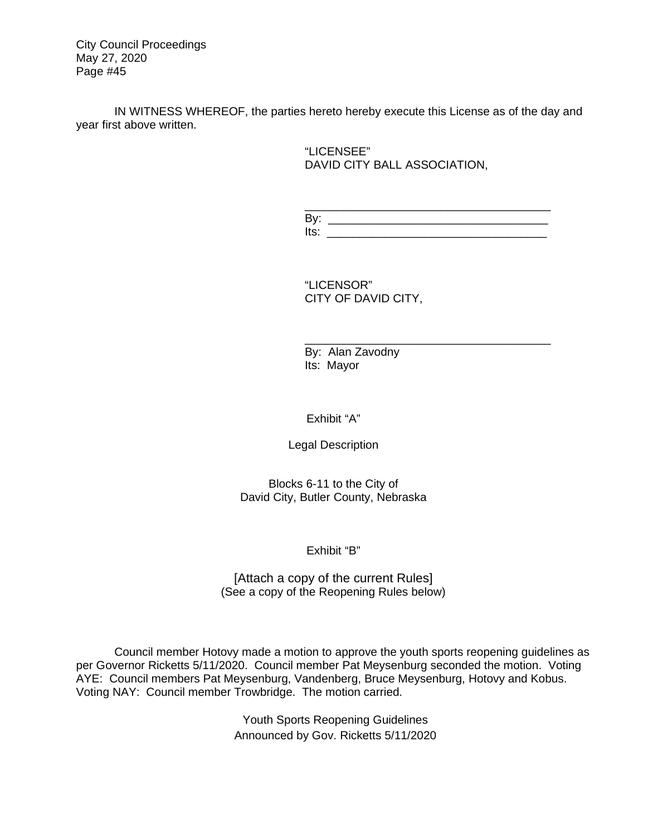IN WITNESS WHEREOF, the parties hereto hereby execute this License as of the day and year first above written.

> "LICENSEE" DAVID CITY BALL ASSOCIATION,

\_\_\_\_\_\_\_\_\_\_\_\_\_\_\_\_\_\_\_\_\_\_\_\_\_\_\_\_\_\_\_\_\_\_\_\_\_\_ By: \_\_\_\_\_\_\_\_\_\_\_\_\_\_\_\_\_\_\_\_\_\_\_\_\_\_\_\_\_\_\_\_\_\_  $Its:$ 

\_\_\_\_\_\_\_\_\_\_\_\_\_\_\_\_\_\_\_\_\_\_\_\_\_\_\_\_\_\_\_\_\_\_\_\_\_\_

"LICENSOR" CITY OF DAVID CITY,

By: Alan Zavodny Its: Mayor

Exhibit "A"

Legal Description

Blocks 6-11 to the City of David City, Butler County, Nebraska

Exhibit "B"

[Attach a copy of the current Rules] (See a copy of the Reopening Rules below)

Council member Hotovy made a motion to approve the youth sports reopening guidelines as per Governor Ricketts 5/11/2020. Council member Pat Meysenburg seconded the motion. Voting AYE: Council members Pat Meysenburg, Vandenberg, Bruce Meysenburg, Hotovy and Kobus. Voting NAY: Council member Trowbridge. The motion carried.

> Youth Sports Reopening Guidelines Announced by Gov. Ricketts 5/11/2020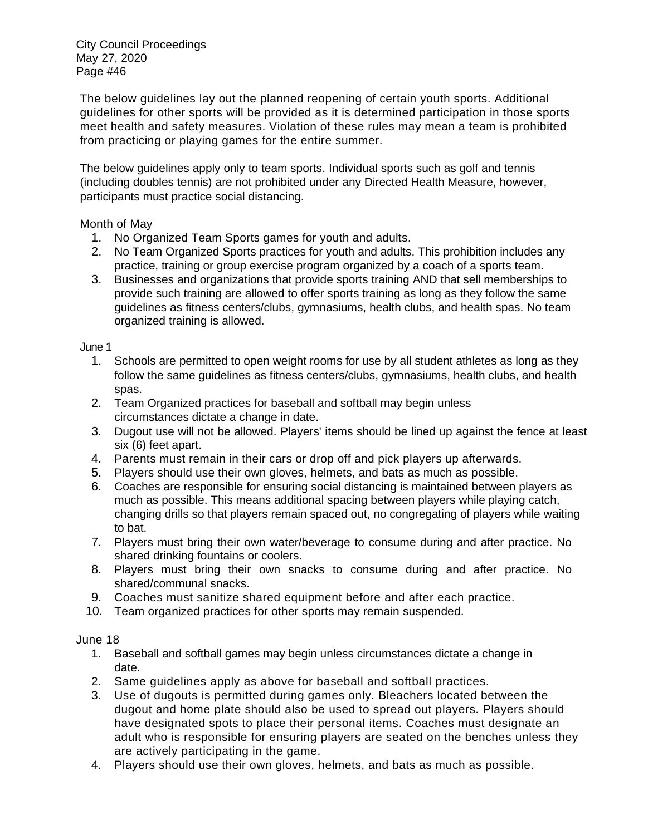The below guidelines lay out the planned reopening of certain youth sports. Additional guidelines for other sports will be provided as it is determined participation in those sports meet health and safety measures. Violation of these rules may mean a team is prohibited from practicing or playing games for the entire summer.

The below guidelines apply only to team sports. Individual sports such as golf and tennis (including doubles tennis) are not prohibited under any Directed Health Measure, however, participants must practice social distancing.

## Month of May

- 1. No Organized Team Sports games for youth and adults.
- 2. No Team Organized Sports practices for youth and adults. This prohibition includes any practice, training or group exercise program organized by a coach of a sports team.
- 3. Businesses and organizations that provide sports training AND that sell memberships to provide such training are allowed to offer sports training as long as they follow the same guidelines as fitness centers/clubs, gymnasiums, health clubs, and health spas. No team organized training is allowed.

## June 1

- 1. Schools are permitted to open weight rooms for use by all student athletes as long as they follow the same guidelines as fitness centers/clubs, gymnasiums, health clubs, and health spas.
- 2. Team Organized practices for baseball and softball may begin unless circumstances dictate a change in date.
- 3. Dugout use will not be allowed. Players' items should be lined up against the fence at least six (6) feet apart.
- 4. Parents must remain in their cars or drop off and pick players up afterwards.
- 5. Players should use their own gloves, helmets, and bats as much as possible.
- 6. Coaches are responsible for ensuring social distancing is maintained between players as much as possible. This means additional spacing between players while playing catch, changing drills so that players remain spaced out, no congregating of players while waiting to bat.
- 7. Players must bring their own water/beverage to consume during and after practice. No shared drinking fountains or coolers.
- 8. Players must bring their own snacks to consume during and after practice. No shared/communal snacks.
- 9. Coaches must sanitize shared equipment before and after each practice.
- 10. Team organized practices for other sports may remain suspended.

June 18

- 1. Baseball and softball games may begin unless circumstances dictate a change in date.
- 2. Same guidelines apply as above for baseball and softball practices.
- 3. Use of dugouts is permitted during games only. Bleachers located between the dugout and home plate should also be used to spread out players. Players should have designated spots to place their personal items. Coaches must designate an adult who is responsible for ensuring players are seated on the benches unless they are actively participating in the game.
- 4. Players should use their own gloves, helmets, and bats as much as possible.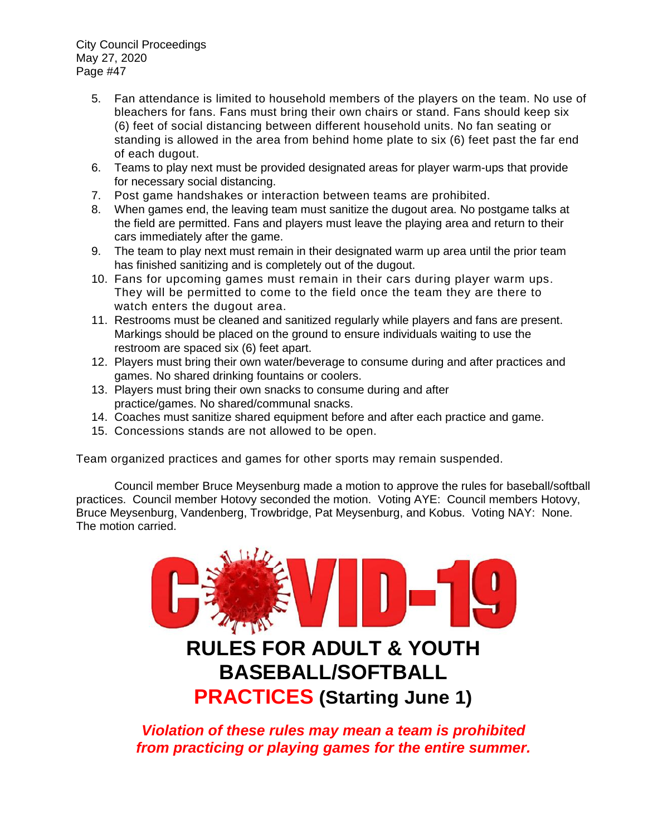- 5. Fan attendance is limited to household members of the players on the team. No use of bleachers for fans. Fans must bring their own chairs or stand. Fans should keep six (6) feet of social distancing between different household units. No fan seating or standing is allowed in the area from behind home plate to six (6) feet past the far end of each dugout.
- 6. Teams to play next must be provided designated areas for player warm-ups that provide for necessary social distancing.
- 7. Post game handshakes or interaction between teams are prohibited.
- 8. When games end, the leaving team must sanitize the dugout area. No postgame talks at the field are permitted. Fans and players must leave the playing area and return to their cars immediately after the game.
- 9. The team to play next must remain in their designated warm up area until the prior team has finished sanitizing and is completely out of the dugout.
- 10. Fans for upcoming games must remain in their cars during player warm ups. They will be permitted to come to the field once the team they are there to watch enters the dugout area.
- 11. Restrooms must be cleaned and sanitized regularly while players and fans are present. Markings should be placed on the ground to ensure individuals waiting to use the restroom are spaced six (6) feet apart.
- 12. Players must bring their own water/beverage to consume during and after practices and games. No shared drinking fountains or coolers.
- 13. Players must bring their own snacks to consume during and after practice/games. No shared/communal snacks.
- 14. Coaches must sanitize shared equipment before and after each practice and game.
- 15. Concessions stands are not allowed to be open.

Team organized practices and games for other sports may remain suspended.

Council member Bruce Meysenburg made a motion to approve the rules for baseball/softball practices. Council member Hotovy seconded the motion. Voting AYE: Council members Hotovy, Bruce Meysenburg, Vandenberg, Trowbridge, Pat Meysenburg, and Kobus. Voting NAY: None. The motion carried.



*Violation of these rules may mean a team is prohibited from practicing or playing games for the entire summer.*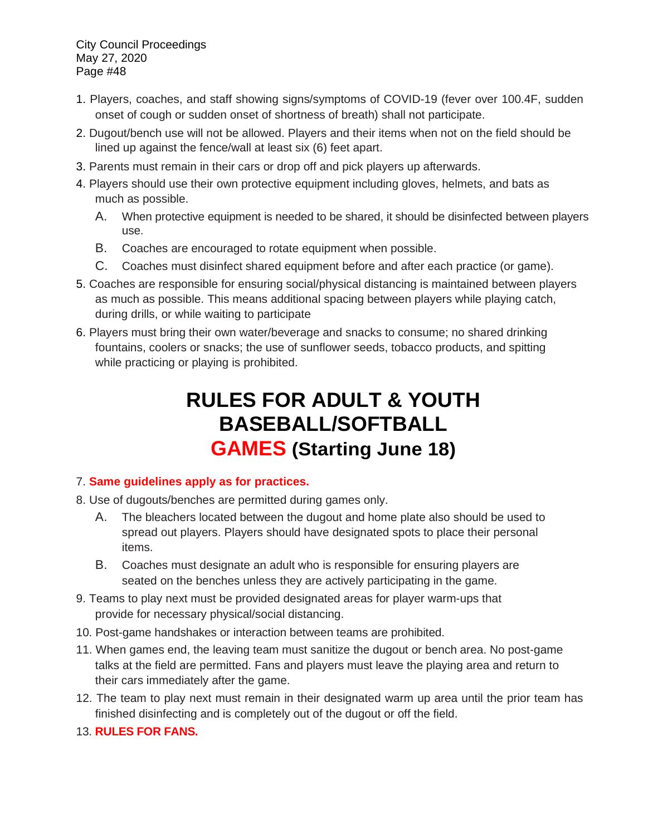- 1. Players, coaches, and staff showing signs/symptoms of COVID-19 (fever over 100.4F, sudden onset of cough or sudden onset of shortness of breath) shall not participate.
- 2. Dugout/bench use will not be allowed. Players and their items when not on the field should be lined up against the fence/wall at least six (6) feet apart.
- 3. Parents must remain in their cars or drop off and pick players up afterwards.
- 4. Players should use their own protective equipment including gloves, helmets, and bats as much as possible.
	- A. When protective equipment is needed to be shared, it should be disinfected between players use.
	- B. Coaches are encouraged to rotate equipment when possible.
	- C. Coaches must disinfect shared equipment before and after each practice (or game).
- 5. Coaches are responsible for ensuring social/physical distancing is maintained between players as much as possible. This means additional spacing between players while playing catch, during drills, or while waiting to participate
- 6. Players must bring their own water/beverage and snacks to consume; no shared drinking fountains, coolers or snacks; the use of sunflower seeds, tobacco products, and spitting while practicing or playing is prohibited.

# **RULES FOR ADULT & YOUTH BASEBALL/SOFTBALL GAMES (Starting June 18)**

## 7. **Same guidelines apply as for practices.**

- 8. Use of dugouts/benches are permitted during games only.
	- A. The bleachers located between the dugout and home plate also should be used to spread out players. Players should have designated spots to place their personal items.
	- B. Coaches must designate an adult who is responsible for ensuring players are seated on the benches unless they are actively participating in the game.
- 9. Teams to play next must be provided designated areas for player warm-ups that provide for necessary physical/social distancing.
- 10. Post-game handshakes or interaction between teams are prohibited.
- 11. When games end, the leaving team must sanitize the dugout or bench area. No post-game talks at the field are permitted. Fans and players must leave the playing area and return to their cars immediately after the game.
- 12. The team to play next must remain in their designated warm up area until the prior team has finished disinfecting and is completely out of the dugout or off the field.
- 13. **RULES FOR FANS.**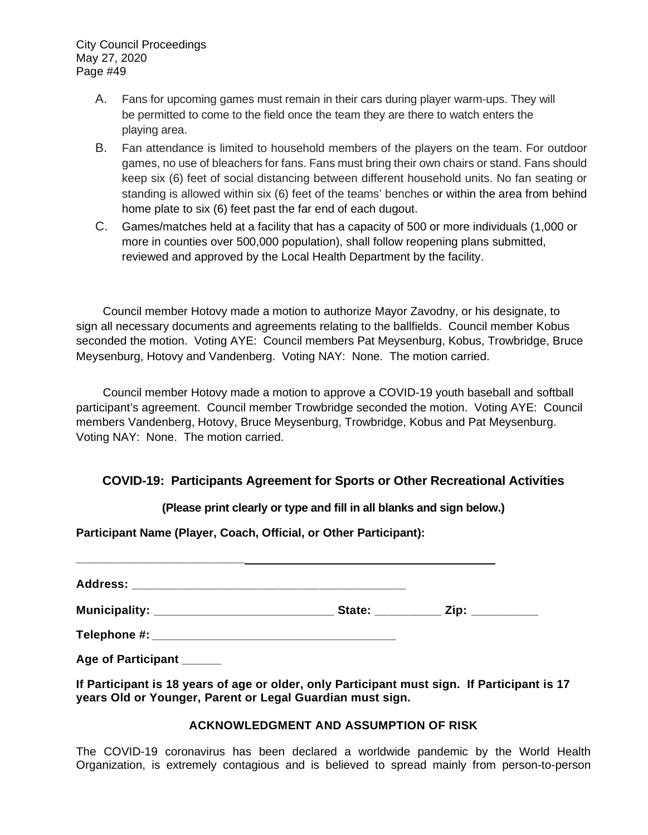- A. Fans for upcoming games must remain in their cars during player warm-ups. They will be permitted to come to the field once the team they are there to watch enters the playing area.
- B. Fan attendance is limited to household members of the players on the team. For outdoor games, no use of bleachers for fans. Fans must bring their own chairs or stand. Fans should keep six (6) feet of social distancing between different household units. No fan seating or standing is allowed within six (6) feet of the teams' benches or within the area from behind home plate to six (6) feet past the far end of each dugout.
- C. Games/matches held at a facility that has a capacity of 500 or more individuals (1,000 or more in counties over 500,000 population), shall follow reopening plans submitted, reviewed and approved by the Local Health Department by the facility.

Council member Hotovy made a motion to authorize Mayor Zavodny, or his designate, to sign all necessary documents and agreements relating to the ballfields. Council member Kobus seconded the motion. Voting AYE: Council members Pat Meysenburg, Kobus, Trowbridge, Bruce Meysenburg, Hotovy and Vandenberg. Voting NAY: None. The motion carried.

Council member Hotovy made a motion to approve a COVID-19 youth baseball and softball participant's agreement. Council member Trowbridge seconded the motion. Voting AYE: Council members Vandenberg, Hotovy, Bruce Meysenburg, Trowbridge, Kobus and Pat Meysenburg. Voting NAY: None. The motion carried.

# **COVID-19: Participants Agreement for Sports or Other Recreational Activities**

**(Please print clearly or type and fill in all blanks and sign below.)** 

**Participant Name (Player, Coach, Official, or Other Participant):** 

**Address: \_\_\_\_\_\_\_\_\_\_\_\_\_\_\_\_\_\_\_\_\_\_\_\_\_\_\_\_\_\_\_\_\_\_\_\_\_\_\_\_\_** 

**Municipality: \_\_\_\_\_\_\_\_\_\_\_\_\_\_\_\_\_\_\_\_\_\_\_\_\_\_\_ State: \_\_\_\_\_\_\_\_\_\_ Zip: \_\_\_\_\_\_\_\_\_\_** 

**Telephone #: \_\_\_\_\_\_\_\_\_\_\_\_\_\_\_\_\_\_\_\_\_\_\_\_\_\_\_\_\_\_\_\_\_\_\_\_\_** 

**Age of Participant \_\_\_\_\_\_** 

**\_\_\_\_\_\_\_\_\_\_\_\_\_\_\_\_\_\_\_\_\_\_\_\_\_\_** 

**If Participant is 18 years of age or older, only Participant must sign. If Participant is 17 years Old or Younger, Parent or Legal Guardian must sign.** 

# **ACKNOWLEDGMENT AND ASSUMPTION OF RISK**

The COVID-19 coronavirus has been declared a worldwide pandemic by the World Health Organization, is extremely contagious and is believed to spread mainly from person-to-person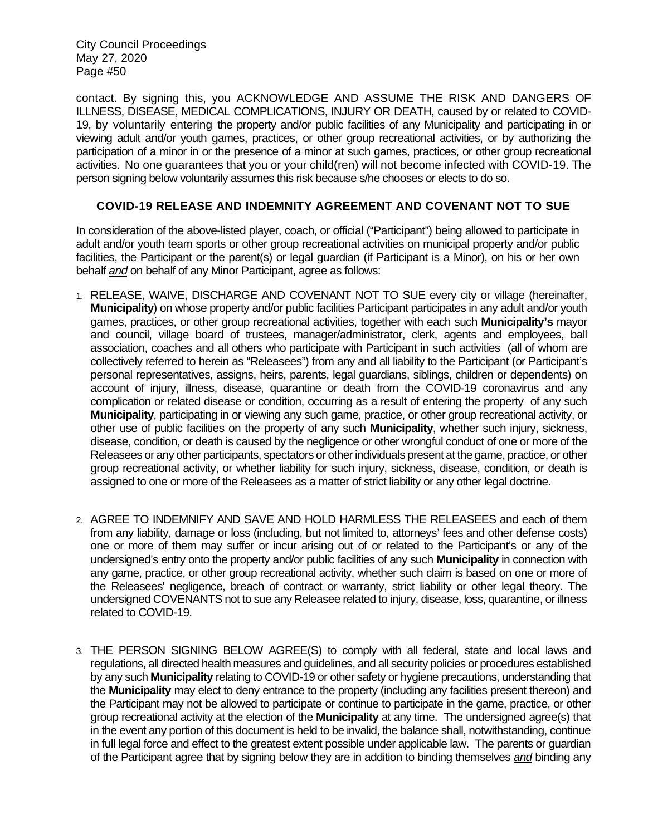contact. By signing this, you ACKNOWLEDGE AND ASSUME THE RISK AND DANGERS OF ILLNESS, DISEASE, MEDICAL COMPLICATIONS, INJURY OR DEATH, caused by or related to COVID-19, by voluntarily entering the property and/or public facilities of any Municipality and participating in or viewing adult and/or youth games, practices, or other group recreational activities, or by authorizing the participation of a minor in or the presence of a minor at such games, practices, or other group recreational activities. No one guarantees that you or your child(ren) will not become infected with COVID-19. The person signing below voluntarily assumes this risk because s/he chooses or elects to do so.

## **COVID-19 RELEASE AND INDEMNITY AGREEMENT AND COVENANT NOT TO SUE**

In consideration of the above-listed player, coach, or official ("Participant") being allowed to participate in adult and/or youth team sports or other group recreational activities on municipal property and/or public facilities, the Participant or the parent(s) or legal guardian (if Participant is a Minor), on his or her own behalf *and* on behalf of any Minor Participant, agree as follows:

- 1. RELEASE, WAIVE, DISCHARGE AND COVENANT NOT TO SUE every city or village (hereinafter, **Municipality**) on whose property and/or public facilities Participant participates in any adult and/or youth games, practices, or other group recreational activities, together with each such **Municipality's** mayor and council, village board of trustees, manager/administrator, clerk, agents and employees, ball association, coaches and all others who participate with Participant in such activities (all of whom are collectively referred to herein as "Releasees") from any and all liability to the Participant (or Participant's personal representatives, assigns, heirs, parents, legal guardians, siblings, children or dependents) on account of injury, illness, disease, quarantine or death from the COVID-19 coronavirus and any complication or related disease or condition, occurring as a result of entering the property of any such **Municipality**, participating in or viewing any such game, practice, or other group recreational activity, or other use of public facilities on the property of any such **Municipality**, whether such injury, sickness, disease, condition, or death is caused by the negligence or other wrongful conduct of one or more of the Releasees or any other participants, spectators or other individuals present at the game, practice, or other group recreational activity, or whether liability for such injury, sickness, disease, condition, or death is assigned to one or more of the Releasees as a matter of strict liability or any other legal doctrine.
- 2. AGREE TO INDEMNIFY AND SAVE AND HOLD HARMLESS THE RELEASEES and each of them from any liability, damage or loss (including, but not limited to, attorneys' fees and other defense costs) one or more of them may suffer or incur arising out of or related to the Participant's or any of the undersigned's entry onto the property and/or public facilities of any such **Municipality** in connection with any game, practice, or other group recreational activity, whether such claim is based on one or more of the Releasees' negligence, breach of contract or warranty, strict liability or other legal theory. The undersigned COVENANTS not to sue any Releasee related to injury, disease, loss, quarantine, or illness related to COVID-19.
- 3. THE PERSON SIGNING BELOW AGREE(S) to comply with all federal, state and local laws and regulations, all directed health measures and guidelines, and all security policies or procedures established by any such **Municipality** relating to COVID-19 or other safety or hygiene precautions, understanding that the **Municipality** may elect to deny entrance to the property (including any facilities present thereon) and the Participant may not be allowed to participate or continue to participate in the game, practice, or other group recreational activity at the election of the **Municipality** at any time. The undersigned agree(s) that in the event any portion of this document is held to be invalid, the balance shall, notwithstanding, continue in full legal force and effect to the greatest extent possible under applicable law. The parents or guardian of the Participant agree that by signing below they are in addition to binding themselves *and* binding any